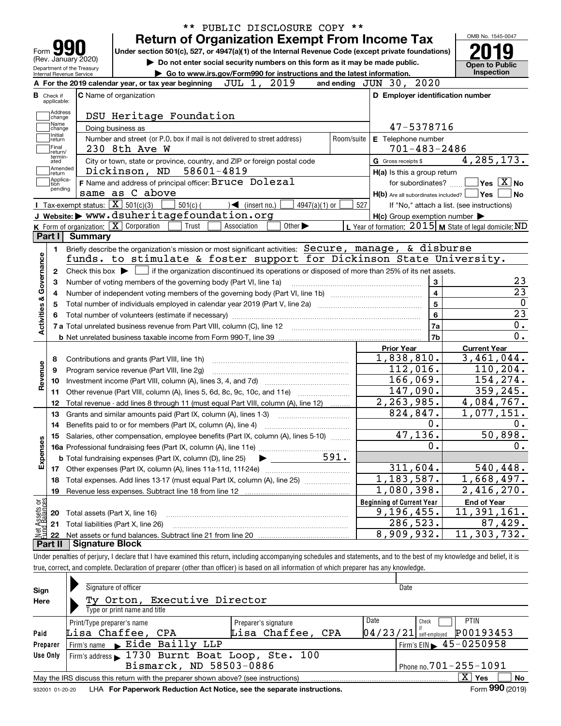| <b>Return of Organization Exempt From Income Tax</b><br>Under section 501(c), 527, or 4947(a)(1) of the Internal Revenue Code (except private foundations)<br>Do not enter social security numbers on this form as it may be made public.<br>Go to www.irs.gov/Form990 for instructions and the latest information.<br>and ending $JUN$ 30, $2020$<br>D Employer identification number | OMB No. 1545-0047<br><b>Open to Public</b>                                                             |
|----------------------------------------------------------------------------------------------------------------------------------------------------------------------------------------------------------------------------------------------------------------------------------------------------------------------------------------------------------------------------------------|--------------------------------------------------------------------------------------------------------|
|                                                                                                                                                                                                                                                                                                                                                                                        |                                                                                                        |
|                                                                                                                                                                                                                                                                                                                                                                                        |                                                                                                        |
|                                                                                                                                                                                                                                                                                                                                                                                        | Inspection                                                                                             |
|                                                                                                                                                                                                                                                                                                                                                                                        |                                                                                                        |
|                                                                                                                                                                                                                                                                                                                                                                                        |                                                                                                        |
|                                                                                                                                                                                                                                                                                                                                                                                        |                                                                                                        |
|                                                                                                                                                                                                                                                                                                                                                                                        |                                                                                                        |
| 47-5378716                                                                                                                                                                                                                                                                                                                                                                             |                                                                                                        |
| E Telephone number                                                                                                                                                                                                                                                                                                                                                                     |                                                                                                        |
| $701 - 483 - 2486$                                                                                                                                                                                                                                                                                                                                                                     |                                                                                                        |
| G Gross receipts \$                                                                                                                                                                                                                                                                                                                                                                    | 4, 285, 173.                                                                                           |
| H(a) Is this a group return                                                                                                                                                                                                                                                                                                                                                            |                                                                                                        |
| for subordinates?                                                                                                                                                                                                                                                                                                                                                                      | $\overline{\mathsf{Yes}}$ $\overline{\mathsf{X}}$ No                                                   |
|                                                                                                                                                                                                                                                                                                                                                                                        | $H(b)$ Are all subordinates included? $\Box$ Yes  <br>∣ No                                             |
|                                                                                                                                                                                                                                                                                                                                                                                        | If "No," attach a list. (see instructions)                                                             |
| $H(c)$ Group exemption number $\blacktriangleright$                                                                                                                                                                                                                                                                                                                                    |                                                                                                        |
|                                                                                                                                                                                                                                                                                                                                                                                        | L Year of formation: $2015$ M State of legal domicile: ND                                              |
|                                                                                                                                                                                                                                                                                                                                                                                        |                                                                                                        |
| Briefly describe the organization's mission or most significant activities: Secure, manage, & disburse                                                                                                                                                                                                                                                                                 | funds. to stimulate & foster support for Dickinson State University.                                   |
|                                                                                                                                                                                                                                                                                                                                                                                        |                                                                                                        |
| Check this box $\blacktriangleright$ $\blacksquare$ if the organization discontinued its operations or disposed of more than 25% of its net assets.<br>3                                                                                                                                                                                                                               | 23                                                                                                     |
| $\overline{4}$                                                                                                                                                                                                                                                                                                                                                                         | $\overline{23}$                                                                                        |
| $5\overline{5}$<br>Total number of individuals employed in calendar year 2019 (Part V, line 2a) manufacture of individuals employed in calendar year 2019 (Part V, line 2a)                                                                                                                                                                                                            | $\mathbf 0$                                                                                            |
| $6\phantom{a}$                                                                                                                                                                                                                                                                                                                                                                         | $\overline{23}$                                                                                        |
| 7a<br>7 a Total unrelated business revenue from Part VIII, column (C), line 12 [11] [12] [11] [12] [11] [11] [12] [1                                                                                                                                                                                                                                                                   | 0.                                                                                                     |
| 7b                                                                                                                                                                                                                                                                                                                                                                                     | 0.                                                                                                     |
| <b>Prior Year</b>                                                                                                                                                                                                                                                                                                                                                                      | <b>Current Year</b>                                                                                    |
| 1,838,810.                                                                                                                                                                                                                                                                                                                                                                             | 3,461,044.                                                                                             |
| 112,016.                                                                                                                                                                                                                                                                                                                                                                               | 110, 204.                                                                                              |
| 166,069.                                                                                                                                                                                                                                                                                                                                                                               | 154,274.                                                                                               |
| 147,090.                                                                                                                                                                                                                                                                                                                                                                               | 359,245.                                                                                               |
| 2, 263, 985.                                                                                                                                                                                                                                                                                                                                                                           | 4,084,767.                                                                                             |
| 824,847.                                                                                                                                                                                                                                                                                                                                                                               | 1,077,151.                                                                                             |
| 0.                                                                                                                                                                                                                                                                                                                                                                                     | 0.                                                                                                     |
| 47, 136.                                                                                                                                                                                                                                                                                                                                                                               | 50,898.                                                                                                |
| 0.                                                                                                                                                                                                                                                                                                                                                                                     | 0.                                                                                                     |
|                                                                                                                                                                                                                                                                                                                                                                                        |                                                                                                        |
| 311, 604.                                                                                                                                                                                                                                                                                                                                                                              | 540, 448.                                                                                              |
|                                                                                                                                                                                                                                                                                                                                                                                        | 1,668,497.                                                                                             |
|                                                                                                                                                                                                                                                                                                                                                                                        | 2,416,270.                                                                                             |
|                                                                                                                                                                                                                                                                                                                                                                                        | <b>End of Year</b>                                                                                     |
|                                                                                                                                                                                                                                                                                                                                                                                        | 11,391,161.                                                                                            |
|                                                                                                                                                                                                                                                                                                                                                                                        | 87,429.                                                                                                |
|                                                                                                                                                                                                                                                                                                                                                                                        | 11,303,732.                                                                                            |
|                                                                                                                                                                                                                                                                                                                                                                                        | 1, 183, 587.<br>1,080,398.<br><b>Beginning of Current Year</b><br>9,196,455.<br>286,523.<br>8,909,932. |

| Sign<br>Here    | Signature of officer<br>Ty Orton, Executive Director<br>Type or print name and title                         |                           |                                                               | Date                                          |  |  |  |  |  |  |
|-----------------|--------------------------------------------------------------------------------------------------------------|---------------------------|---------------------------------------------------------------|-----------------------------------------------|--|--|--|--|--|--|
| Paid            | Print/Type preparer's name<br>Lisa Chaffee, CPA                                                              | Date<br>Lisa Chaffee, CPA | <b>PTIN</b><br>Check<br>P00193453<br>$04/23/21$ self-employed |                                               |  |  |  |  |  |  |
| Preparer        | Firm's name Eide Bailly LLP                                                                                  |                           |                                                               | Firm's EIN $\blacktriangleright$ 45 - 0250958 |  |  |  |  |  |  |
| <b>Use Only</b> | Firm's address 1730 Burnt Boat Loop, Ste. 100<br>Bismarck, ND 58503-0886<br>$'$ Phone no. $701 - 255 - 1091$ |                           |                                                               |                                               |  |  |  |  |  |  |
|                 | May the IRS discuss this return with the preparer shown above? (see instructions)                            |                           |                                                               | ΧI<br>Yes<br><b>No</b>                        |  |  |  |  |  |  |
|                 |                                                                                                              |                           |                                                               | $\mathbf{a}$                                  |  |  |  |  |  |  |

true, correct, and complete. Declaration of preparer (other than officer) is based on all information of which preparer has any knowledge.

932001 01-20-20 LHA **For Paperwork Reduction Act Notice, see the separate instructions. Form 990 (2019)** 

**990**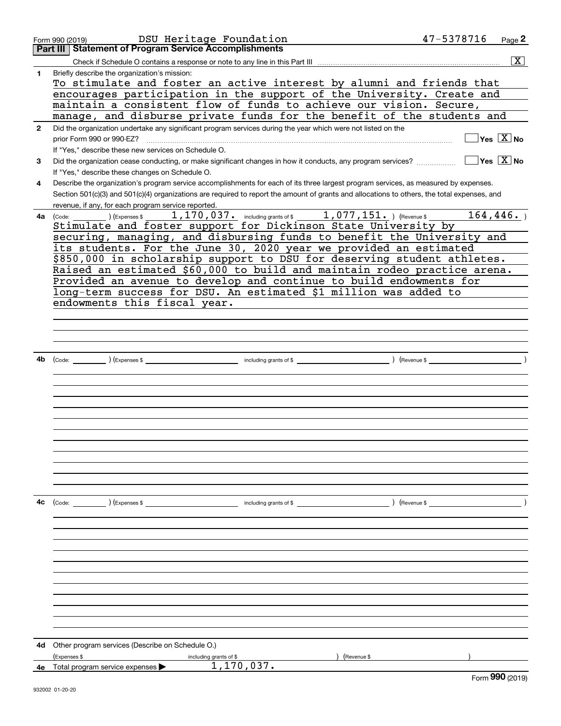|              | DSU Heritage Foundation<br>Form 990 (2019)                                                                                                   | 47-5378716 | Page 2                                 |
|--------------|----------------------------------------------------------------------------------------------------------------------------------------------|------------|----------------------------------------|
|              | <b>Part III   Statement of Program Service Accomplishments</b>                                                                               |            |                                        |
|              |                                                                                                                                              |            | $\overline{\mathbf{x}}$                |
| 1            | Briefly describe the organization's mission:                                                                                                 |            |                                        |
|              | To stimulate and foster an active interest by alumni and friends that                                                                        |            |                                        |
|              | encourages participation in the support of the University. Create and                                                                        |            |                                        |
|              | maintain a consistent flow of funds to achieve our vision. Secure,                                                                           |            |                                        |
|              | manage, and disburse private funds for the benefit of the students and                                                                       |            |                                        |
| $\mathbf{2}$ | Did the organization undertake any significant program services during the year which were not listed on the                                 |            |                                        |
|              | prior Form 990 or 990-EZ?                                                                                                                    |            | $Yes \quad X$ No                       |
|              | If "Yes," describe these new services on Schedule O.                                                                                         |            |                                        |
| 3            |                                                                                                                                              |            | $\sqrt{}$ Yes $\sqrt{}$ X $\sqrt{}$ No |
|              | If "Yes," describe these changes on Schedule O.                                                                                              |            |                                        |
| 4            | Describe the organization's program service accomplishments for each of its three largest program services, as measured by expenses.         |            |                                        |
|              | Section 501(c)(3) and 501(c)(4) organizations are required to report the amount of grants and allocations to others, the total expenses, and |            |                                        |
|              | revenue, if any, for each program service reported.                                                                                          |            |                                        |
| 4a           | 1, 170, 037. including grants of \$ 1, 077, 151. ) (Revenue \$<br>$(Ex)$ (Expenses \$<br>(Code:                                              |            | 164, 446.                              |
|              | Stimulate and foster support for Dickinson State University by                                                                               |            |                                        |
|              | securing, managing, and disbursing funds to benefit the University and                                                                       |            |                                        |
|              | its students. For the June 30, 2020 year we provided an estimated                                                                            |            |                                        |
|              | \$850,000 in scholarship support to DSU for deserving student athletes.                                                                      |            |                                        |
|              | Raised an estimated \$60,000 to build and maintain rodeo practice arena.                                                                     |            |                                        |
|              | Provided an avenue to develop and continue to build endowments for                                                                           |            |                                        |
|              | long-term success for DSU. An estimated \$1 million was added to                                                                             |            |                                        |
|              | endowments this fiscal year.                                                                                                                 |            |                                        |
|              |                                                                                                                                              |            |                                        |
|              |                                                                                                                                              |            |                                        |
|              |                                                                                                                                              |            |                                        |
|              |                                                                                                                                              |            |                                        |
| 4b           |                                                                                                                                              |            |                                        |
|              |                                                                                                                                              |            |                                        |
|              |                                                                                                                                              |            |                                        |
|              |                                                                                                                                              |            |                                        |
|              |                                                                                                                                              |            |                                        |
|              |                                                                                                                                              |            |                                        |
|              |                                                                                                                                              |            |                                        |
|              |                                                                                                                                              |            |                                        |
|              |                                                                                                                                              |            |                                        |
|              |                                                                                                                                              |            |                                        |
|              |                                                                                                                                              |            |                                        |
|              |                                                                                                                                              |            |                                        |
|              |                                                                                                                                              |            |                                        |
| 4c           | (Code: ) (Expenses \$<br>including grants of \$<br>) (Revenue \$                                                                             |            |                                        |
|              |                                                                                                                                              |            |                                        |
|              |                                                                                                                                              |            |                                        |
|              |                                                                                                                                              |            |                                        |
|              |                                                                                                                                              |            |                                        |
|              |                                                                                                                                              |            |                                        |
|              |                                                                                                                                              |            |                                        |
|              |                                                                                                                                              |            |                                        |
|              |                                                                                                                                              |            |                                        |
|              |                                                                                                                                              |            |                                        |
|              |                                                                                                                                              |            |                                        |
|              |                                                                                                                                              |            |                                        |
|              |                                                                                                                                              |            |                                        |
| 4d           | Other program services (Describe on Schedule O.)                                                                                             |            |                                        |
|              | (Expenses \$<br>Revenue \$<br>including grants of \$                                                                                         |            |                                        |
|              | 1,170,037.<br>4e Total program service expenses >                                                                                            |            |                                        |
|              |                                                                                                                                              |            | $F_{\text{Orm}}$ 990 (2019)            |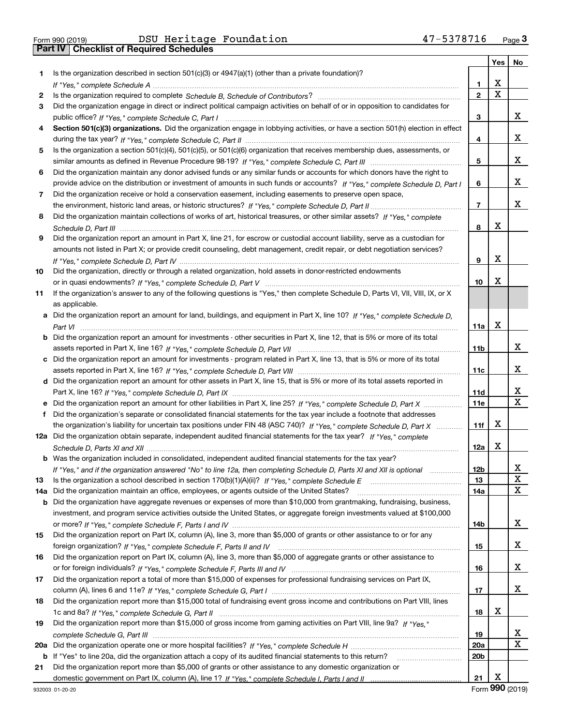|     |                                                                                                                                       |                 | Yes | No     |
|-----|---------------------------------------------------------------------------------------------------------------------------------------|-----------------|-----|--------|
| 1.  | Is the organization described in section $501(c)(3)$ or $4947(a)(1)$ (other than a private foundation)?                               |                 |     |        |
|     |                                                                                                                                       | 1               | X   |        |
| 2   |                                                                                                                                       | $\overline{2}$  | X   |        |
| 3   | Did the organization engage in direct or indirect political campaign activities on behalf of or in opposition to candidates for       |                 |     |        |
|     |                                                                                                                                       | 3               |     | x      |
| 4   | Section 501(c)(3) organizations. Did the organization engage in lobbying activities, or have a section 501(h) election in effect      |                 |     |        |
|     |                                                                                                                                       | 4               |     | х      |
| 5   | Is the organization a section 501(c)(4), 501(c)(5), or 501(c)(6) organization that receives membership dues, assessments, or          |                 |     |        |
|     |                                                                                                                                       | 5               |     | x      |
| 6   | Did the organization maintain any donor advised funds or any similar funds or accounts for which donors have the right to             |                 |     |        |
|     | provide advice on the distribution or investment of amounts in such funds or accounts? If "Yes," complete Schedule D, Part I          | 6               |     | х      |
| 7   | Did the organization receive or hold a conservation easement, including easements to preserve open space,                             |                 |     |        |
|     |                                                                                                                                       | $\overline{7}$  |     | х      |
| 8   | Did the organization maintain collections of works of art, historical treasures, or other similar assets? If "Yes," complete          |                 |     |        |
|     |                                                                                                                                       | 8               | x   |        |
| 9   | Did the organization report an amount in Part X, line 21, for escrow or custodial account liability, serve as a custodian for         |                 |     |        |
|     | amounts not listed in Part X; or provide credit counseling, debt management, credit repair, or debt negotiation services?             |                 |     |        |
|     |                                                                                                                                       | 9               | х   |        |
| 10  | Did the organization, directly or through a related organization, hold assets in donor-restricted endowments                          |                 |     |        |
|     |                                                                                                                                       | 10              | x   |        |
| 11  | If the organization's answer to any of the following questions is "Yes," then complete Schedule D, Parts VI, VII, VIII, IX, or X      |                 |     |        |
|     | as applicable.                                                                                                                        |                 |     |        |
|     | a Did the organization report an amount for land, buildings, and equipment in Part X, line 10? If "Yes," complete Schedule D,         |                 |     |        |
|     |                                                                                                                                       |                 | х   |        |
|     |                                                                                                                                       | 11a             |     |        |
|     | <b>b</b> Did the organization report an amount for investments - other securities in Part X, line 12, that is 5% or more of its total |                 |     | х      |
|     |                                                                                                                                       | 11b             |     |        |
|     | c Did the organization report an amount for investments - program related in Part X, line 13, that is 5% or more of its total         |                 |     | x      |
|     |                                                                                                                                       | 11c             |     |        |
|     | d Did the organization report an amount for other assets in Part X, line 15, that is 5% or more of its total assets reported in       |                 |     | х      |
|     |                                                                                                                                       | 11d             |     | X      |
|     | e Did the organization report an amount for other liabilities in Part X, line 25? If "Yes," complete Schedule D, Part X               | 11e             |     |        |
| f   | Did the organization's separate or consolidated financial statements for the tax year include a footnote that addresses               |                 |     |        |
|     | the organization's liability for uncertain tax positions under FIN 48 (ASC 740)? If "Yes," complete Schedule D, Part X                | 11f             | x   |        |
|     | 12a Did the organization obtain separate, independent audited financial statements for the tax year? If "Yes," complete               |                 |     |        |
|     |                                                                                                                                       | 12a             | X   |        |
|     | <b>b</b> Was the organization included in consolidated, independent audited financial statements for the tax year?                    |                 |     |        |
|     | If "Yes," and if the organization answered "No" to line 12a, then completing Schedule D, Parts XI and XII is optional                 | 12 <sub>b</sub> |     | Χ<br>X |
| 13  | Is the organization a school described in section $170(b)(1)(A)(ii)?$ If "Yes," complete Schedule E                                   | 13              |     |        |
| 14a | Did the organization maintain an office, employees, or agents outside of the United States?                                           | 14a             |     | x      |
| b   | Did the organization have aggregate revenues or expenses of more than \$10,000 from grantmaking, fundraising, business,               |                 |     |        |
|     | investment, and program service activities outside the United States, or aggregate foreign investments valued at \$100,000            |                 |     |        |
|     |                                                                                                                                       | 14b             |     | X.     |
| 15  | Did the organization report on Part IX, column (A), line 3, more than \$5,000 of grants or other assistance to or for any             |                 |     |        |
|     |                                                                                                                                       | 15              |     | x      |
| 16  | Did the organization report on Part IX, column (A), line 3, more than \$5,000 of aggregate grants or other assistance to              |                 |     |        |
|     |                                                                                                                                       | 16              |     | x      |
| 17  | Did the organization report a total of more than \$15,000 of expenses for professional fundraising services on Part IX,               |                 |     |        |
|     |                                                                                                                                       | 17              |     | x      |
| 18  | Did the organization report more than \$15,000 total of fundraising event gross income and contributions on Part VIII, lines          |                 |     |        |
|     |                                                                                                                                       | 18              | х   |        |
| 19  | Did the organization report more than \$15,000 of gross income from gaming activities on Part VIII, line 9a? If "Yes."                |                 |     |        |
|     |                                                                                                                                       | 19              |     | X      |
| 20a |                                                                                                                                       | 20a             |     | X      |
|     | b If "Yes" to line 20a, did the organization attach a copy of its audited financial statements to this return?                        | 20 <sub>b</sub> |     |        |
| 21  | Did the organization report more than \$5,000 of grants or other assistance to any domestic organization or                           |                 |     |        |
|     |                                                                                                                                       | 21              | x   |        |

Form (2019) **990**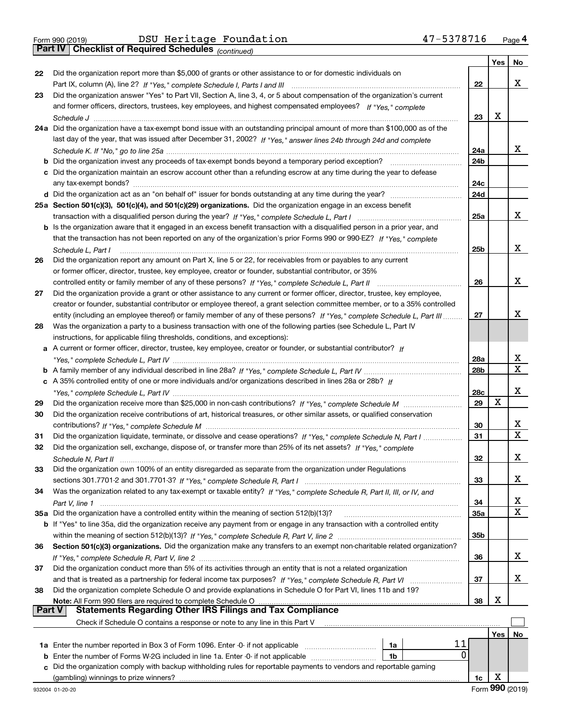*(continued)*

|               |                                                                                                                                                                                                   |                 | Yes | No |
|---------------|---------------------------------------------------------------------------------------------------------------------------------------------------------------------------------------------------|-----------------|-----|----|
| 22            | Did the organization report more than \$5,000 of grants or other assistance to or for domestic individuals on                                                                                     |                 |     |    |
|               |                                                                                                                                                                                                   | 22              |     | x  |
| 23            | Did the organization answer "Yes" to Part VII, Section A, line 3, 4, or 5 about compensation of the organization's current                                                                        |                 |     |    |
|               | and former officers, directors, trustees, key employees, and highest compensated employees? If "Yes," complete                                                                                    |                 |     |    |
|               |                                                                                                                                                                                                   | 23              | х   |    |
|               | 24a Did the organization have a tax-exempt bond issue with an outstanding principal amount of more than \$100,000 as of the                                                                       |                 |     |    |
|               | last day of the year, that was issued after December 31, 2002? If "Yes," answer lines 24b through 24d and complete                                                                                |                 |     |    |
|               |                                                                                                                                                                                                   | 24a             |     | x. |
|               | <b>b</b> Did the organization invest any proceeds of tax-exempt bonds beyond a temporary period exception?                                                                                        | 24b             |     |    |
|               | c Did the organization maintain an escrow account other than a refunding escrow at any time during the year to defease                                                                            | 24c             |     |    |
|               |                                                                                                                                                                                                   | 24d             |     |    |
|               | 25a Section 501(c)(3), 501(c)(4), and 501(c)(29) organizations. Did the organization engage in an excess benefit                                                                                  |                 |     |    |
|               |                                                                                                                                                                                                   | 25a             |     | x. |
|               | b Is the organization aware that it engaged in an excess benefit transaction with a disqualified person in a prior year, and                                                                      |                 |     |    |
|               | that the transaction has not been reported on any of the organization's prior Forms 990 or 990-EZ? If "Yes," complete                                                                             |                 |     |    |
|               | Schedule L. Part I                                                                                                                                                                                | 25 <sub>b</sub> |     | x  |
| 26            | Did the organization report any amount on Part X, line 5 or 22, for receivables from or payables to any current                                                                                   |                 |     |    |
|               | or former officer, director, trustee, key employee, creator or founder, substantial contributor, or 35%                                                                                           |                 |     |    |
|               | controlled entity or family member of any of these persons? If "Yes," complete Schedule L, Part II                                                                                                | 26              |     | х  |
| 27            | Did the organization provide a grant or other assistance to any current or former officer, director, trustee, key employee,                                                                       |                 |     |    |
|               | creator or founder, substantial contributor or employee thereof, a grant selection committee member, or to a 35% controlled                                                                       |                 |     |    |
|               | entity (including an employee thereof) or family member of any of these persons? If "Yes," complete Schedule L, Part III                                                                          | 27              |     | x  |
| 28            | Was the organization a party to a business transaction with one of the following parties (see Schedule L, Part IV<br>instructions, for applicable filing thresholds, conditions, and exceptions): |                 |     |    |
|               | a A current or former officer, director, trustee, key employee, creator or founder, or substantial contributor? If                                                                                |                 |     |    |
|               |                                                                                                                                                                                                   | 28a             |     | х  |
|               |                                                                                                                                                                                                   | 28 <sub>b</sub> |     | х  |
|               | c A 35% controlled entity of one or more individuals and/or organizations described in lines 28a or 28b? If                                                                                       |                 |     |    |
|               |                                                                                                                                                                                                   | 28c             |     | x  |
| 29            |                                                                                                                                                                                                   | 29              | х   |    |
| 30            | Did the organization receive contributions of art, historical treasures, or other similar assets, or qualified conservation                                                                       |                 |     |    |
|               |                                                                                                                                                                                                   | 30              |     | х  |
| 31            | Did the organization liquidate, terminate, or dissolve and cease operations? If "Yes," complete Schedule N, Part I                                                                                | 31              |     | X  |
| 32            | Did the organization sell, exchange, dispose of, or transfer more than 25% of its net assets? If "Yes," complete                                                                                  |                 |     |    |
|               |                                                                                                                                                                                                   | 32              |     | x  |
| 33            | Did the organization own 100% of an entity disregarded as separate from the organization under Regulations                                                                                        |                 |     |    |
|               |                                                                                                                                                                                                   | 33              |     | х  |
| 34            | Was the organization related to any tax-exempt or taxable entity? If "Yes," complete Schedule R, Part II, III, or IV, and                                                                         |                 |     |    |
|               |                                                                                                                                                                                                   | 34              |     | x  |
|               | 35a Did the organization have a controlled entity within the meaning of section 512(b)(13)?                                                                                                       | 35a             |     | x  |
|               | b If "Yes" to line 35a, did the organization receive any payment from or engage in any transaction with a controlled entity                                                                       |                 |     |    |
|               |                                                                                                                                                                                                   | 35b             |     |    |
| 36            | Section 501(c)(3) organizations. Did the organization make any transfers to an exempt non-charitable related organization?                                                                        |                 |     |    |
|               |                                                                                                                                                                                                   | 36              |     | х  |
| 37            | Did the organization conduct more than 5% of its activities through an entity that is not a related organization                                                                                  |                 |     | х  |
|               |                                                                                                                                                                                                   | 37              |     |    |
| 38            | Did the organization complete Schedule O and provide explanations in Schedule O for Part VI, lines 11b and 19?<br>Note: All Form 990 filers are required to complete Schedule O                   | 38              | х   |    |
| <b>Part V</b> | <b>Statements Regarding Other IRS Filings and Tax Compliance</b>                                                                                                                                  |                 |     |    |
|               | Check if Schedule O contains a response or note to any line in this Part V                                                                                                                        |                 |     |    |
|               |                                                                                                                                                                                                   |                 | Yes | No |
|               | 11<br>1a                                                                                                                                                                                          |                 |     |    |
|               | 0<br><b>b</b> Enter the number of Forms W-2G included in line 1a. Enter -0- if not applicable<br>1b                                                                                               |                 |     |    |
|               | c Did the organization comply with backup withholding rules for reportable payments to vendors and reportable gaming                                                                              |                 |     |    |
|               | (gambling) winnings to prize winners?                                                                                                                                                             | 1c              | х   |    |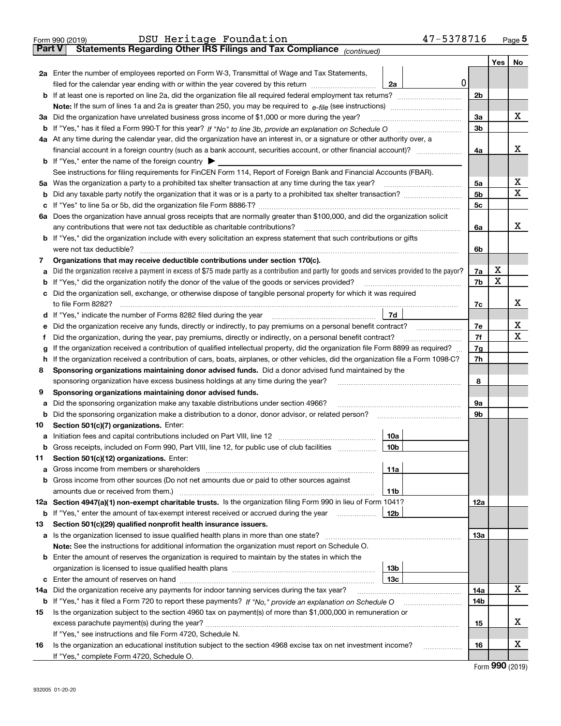|               | 47-5378716<br>DSU Heritage Foundation<br>Form 990 (2019)                                                                                        |                |     | Page $5$ |
|---------------|-------------------------------------------------------------------------------------------------------------------------------------------------|----------------|-----|----------|
| <b>Part V</b> | Statements Regarding Other IRS Filings and Tax Compliance (continued)                                                                           |                |     |          |
|               |                                                                                                                                                 |                | Yes | No       |
|               | 2a Enter the number of employees reported on Form W-3, Transmittal of Wage and Tax Statements,                                                  |                |     |          |
|               | filed for the calendar year ending with or within the year covered by this return<br>2a                                                         | 0              |     |          |
|               |                                                                                                                                                 | 2 <sub>b</sub> |     |          |
|               |                                                                                                                                                 |                |     |          |
|               | 3a Did the organization have unrelated business gross income of \$1,000 or more during the year?                                                | 3a             |     | х        |
|               |                                                                                                                                                 | 3 <sub>b</sub> |     |          |
|               | 4a At any time during the calendar year, did the organization have an interest in, or a signature or other authority over, a                    |                |     |          |
|               | financial account in a foreign country (such as a bank account, securities account, or other financial account)?                                | 4a             |     | х        |
|               | <b>b</b> If "Yes," enter the name of the foreign country $\blacktriangleright$                                                                  |                |     |          |
|               | See instructions for filing requirements for FinCEN Form 114, Report of Foreign Bank and Financial Accounts (FBAR).                             |                |     |          |
| 5а            | Was the organization a party to a prohibited tax shelter transaction at any time during the tax year?                                           | 5а             |     | х        |
| b             |                                                                                                                                                 | 5 <sub>b</sub> |     | х        |
| c             |                                                                                                                                                 | 5c             |     |          |
|               | 6a Does the organization have annual gross receipts that are normally greater than \$100,000, and did the organization solicit                  |                |     |          |
|               |                                                                                                                                                 | 6a             |     | х        |
|               | <b>b</b> If "Yes," did the organization include with every solicitation an express statement that such contributions or gifts                   |                |     |          |
|               | were not tax deductible?                                                                                                                        | 6b             |     |          |
| 7             | Organizations that may receive deductible contributions under section 170(c).                                                                   |                |     |          |
| a             | Did the organization receive a payment in excess of \$75 made partly as a contribution and partly for goods and services provided to the payor? | 7a             | х   |          |
| b             | If "Yes," did the organization notify the donor of the value of the goods or services provided?                                                 | 7b             | х   |          |
| с             | Did the organization sell, exchange, or otherwise dispose of tangible personal property for which it was required                               |                |     |          |
|               |                                                                                                                                                 | 7c             |     | х        |
| d             | 7d<br>If "Yes," indicate the number of Forms 8282 filed during the year [11] [11] Wes," indicate the number of Forms 8282 filed during the year |                |     |          |
| е             |                                                                                                                                                 | 7e             |     | х        |
| f             | Did the organization, during the year, pay premiums, directly or indirectly, on a personal benefit contract?                                    | 7f             |     | x        |
| g             | If the organization received a contribution of qualified intellectual property, did the organization file Form 8899 as required?                | 7g             |     |          |
| h             | If the organization received a contribution of cars, boats, airplanes, or other vehicles, did the organization file a Form 1098-C?              | 7h             |     |          |
| 8             | Sponsoring organizations maintaining donor advised funds. Did a donor advised fund maintained by the                                            |                |     |          |
|               | sponsoring organization have excess business holdings at any time during the year?                                                              | 8              |     |          |
| 9             | Sponsoring organizations maintaining donor advised funds.                                                                                       |                |     |          |
| а             | Did the sponsoring organization make any taxable distributions under section 4966?                                                              | 9а             |     |          |
| b             |                                                                                                                                                 | 9b             |     |          |
| 10            | Section 501(c)(7) organizations. Enter:                                                                                                         |                |     |          |
| а             | 10a                                                                                                                                             |                |     |          |
|               | Gross receipts, included on Form 990, Part VIII, line 12, for public use of club facilities<br>10 <sub>b</sub>                                  |                |     |          |
| 11            | Section 501(c)(12) organizations. Enter:                                                                                                        |                |     |          |
| a             | Gross income from members or shareholders<br>11a                                                                                                |                |     |          |
| b             | Gross income from other sources (Do not net amounts due or paid to other sources against                                                        |                |     |          |
|               | 11 <sub>b</sub>                                                                                                                                 |                |     |          |
|               | 12a Section 4947(a)(1) non-exempt charitable trusts. Is the organization filing Form 990 in lieu of Form 1041?                                  | 12a            |     |          |
|               | 12b<br><b>b</b> If "Yes," enter the amount of tax-exempt interest received or accrued during the year                                           |                |     |          |
| 13            | Section 501(c)(29) qualified nonprofit health insurance issuers.                                                                                |                |     |          |
| a             | Is the organization licensed to issue qualified health plans in more than one state?                                                            | 13а            |     |          |
|               | Note: See the instructions for additional information the organization must report on Schedule O.                                               |                |     |          |
|               | <b>b</b> Enter the amount of reserves the organization is required to maintain by the states in which the                                       |                |     |          |
|               | 13 <sub>b</sub>                                                                                                                                 |                |     |          |
|               | 13с                                                                                                                                             |                |     |          |
| 14a           | Did the organization receive any payments for indoor tanning services during the tax year?                                                      | 14a            |     | x        |
|               | <b>b</b> If "Yes," has it filed a Form 720 to report these payments? If "No," provide an explanation on Schedule O                              | 14b            |     |          |
| 15            | Is the organization subject to the section 4960 tax on payment(s) of more than \$1,000,000 in remuneration or                                   |                |     |          |
|               |                                                                                                                                                 | 15             |     | X        |
|               | If "Yes," see instructions and file Form 4720, Schedule N.                                                                                      |                |     |          |
| 16            | Is the organization an educational institution subject to the section 4968 excise tax on net investment income?                                 | 16             |     | x        |
|               | If "Yes," complete Form 4720, Schedule O.                                                                                                       |                | ההה |          |

Form (2019) **990**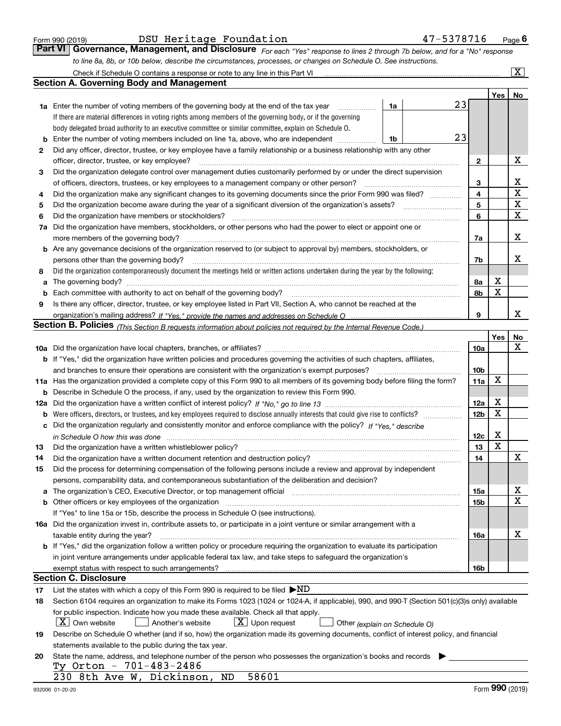|  | Form 990 (2019) |  |
|--|-----------------|--|
|  |                 |  |

| Form 990 (2019) |  | DSU Heritage Foundation | 47-5378716<br>$P_{\text{aqe}}$ 6                                                                                              |  |
|-----------------|--|-------------------------|-------------------------------------------------------------------------------------------------------------------------------|--|
|                 |  |                         | Part VI   Governance, Management, and Disclosure For each "Yes" response to lines 2 through 7b below, and for a "No" response |  |
|                 |  |                         | to line 8a, 8b, or 10b below, describe the circumstances, processes, or changes on Schedule O. See instructions.              |  |

|     | Check if Schedule O contains a response or note to any line in this Part VI                                                                                           |                 |                         | $\overline{\textbf{X}}$ |  |  |  |  |  |  |  |  |
|-----|-----------------------------------------------------------------------------------------------------------------------------------------------------------------------|-----------------|-------------------------|-------------------------|--|--|--|--|--|--|--|--|
|     | <b>Section A. Governing Body and Management</b>                                                                                                                       |                 |                         |                         |  |  |  |  |  |  |  |  |
|     |                                                                                                                                                                       |                 | Yes                     | No                      |  |  |  |  |  |  |  |  |
|     | 23<br>1a<br><b>1a</b> Enter the number of voting members of the governing body at the end of the tax year                                                             |                 |                         |                         |  |  |  |  |  |  |  |  |
|     | If there are material differences in voting rights among members of the governing body, or if the governing                                                           |                 |                         |                         |  |  |  |  |  |  |  |  |
|     | body delegated broad authority to an executive committee or similar committee, explain on Schedule O.                                                                 |                 |                         |                         |  |  |  |  |  |  |  |  |
| b   | 23<br>Enter the number of voting members included on line 1a, above, who are independent<br>1b                                                                        |                 |                         |                         |  |  |  |  |  |  |  |  |
| 2   | Did any officer, director, trustee, or key employee have a family relationship or a business relationship with any other                                              |                 |                         |                         |  |  |  |  |  |  |  |  |
|     | officer, director, trustee, or key employee?                                                                                                                          | $\mathbf{2}$    |                         | х                       |  |  |  |  |  |  |  |  |
| 3   | Did the organization delegate control over management duties customarily performed by or under the direct supervision                                                 |                 |                         |                         |  |  |  |  |  |  |  |  |
|     | of officers, directors, trustees, or key employees to a management company or other person?                                                                           | 3               |                         | х                       |  |  |  |  |  |  |  |  |
| 4   | Did the organization make any significant changes to its governing documents since the prior Form 990 was filed?                                                      | 4               |                         | X                       |  |  |  |  |  |  |  |  |
| 5   | Did the organization become aware during the year of a significant diversion of the organization's assets?                                                            | 5               |                         | $\mathbf X$             |  |  |  |  |  |  |  |  |
| 6   | Did the organization have members or stockholders?                                                                                                                    | 6               |                         | X                       |  |  |  |  |  |  |  |  |
| 7a  | Did the organization have members, stockholders, or other persons who had the power to elect or appoint one or                                                        |                 |                         |                         |  |  |  |  |  |  |  |  |
|     | more members of the governing body?                                                                                                                                   | 7a              |                         | х                       |  |  |  |  |  |  |  |  |
|     | <b>b</b> Are any governance decisions of the organization reserved to (or subject to approval by) members, stockholders, or                                           |                 |                         |                         |  |  |  |  |  |  |  |  |
|     | persons other than the governing body?                                                                                                                                | 7b              |                         | x                       |  |  |  |  |  |  |  |  |
| 8   | Did the organization contemporaneously document the meetings held or written actions undertaken during the year by the following:                                     |                 |                         |                         |  |  |  |  |  |  |  |  |
| a   |                                                                                                                                                                       | 8а              | х                       |                         |  |  |  |  |  |  |  |  |
| b   | Each committee with authority to act on behalf of the governing body?                                                                                                 | 8b              | X                       |                         |  |  |  |  |  |  |  |  |
| 9   | Is there any officer, director, trustee, or key employee listed in Part VII, Section A, who cannot be reached at the                                                  |                 |                         |                         |  |  |  |  |  |  |  |  |
|     |                                                                                                                                                                       | 9               |                         | х                       |  |  |  |  |  |  |  |  |
|     | Section B. Policies <sub>(This Section B requests information about policies not required by the Internal Revenue Code.)</sub>                                        |                 |                         |                         |  |  |  |  |  |  |  |  |
|     |                                                                                                                                                                       |                 | Yes                     | No                      |  |  |  |  |  |  |  |  |
|     |                                                                                                                                                                       | 10a             |                         | $\mathbf X$             |  |  |  |  |  |  |  |  |
|     | <b>b</b> If "Yes," did the organization have written policies and procedures governing the activities of such chapters, affiliates,                                   |                 |                         |                         |  |  |  |  |  |  |  |  |
|     | and branches to ensure their operations are consistent with the organization's exempt purposes?                                                                       | 10 <sub>b</sub> |                         |                         |  |  |  |  |  |  |  |  |
|     | 11a Has the organization provided a complete copy of this Form 990 to all members of its governing body before filing the form?                                       | 11a             | X                       |                         |  |  |  |  |  |  |  |  |
| b   | Describe in Schedule O the process, if any, used by the organization to review this Form 990.                                                                         |                 |                         |                         |  |  |  |  |  |  |  |  |
| 12a |                                                                                                                                                                       | 12a             | х                       |                         |  |  |  |  |  |  |  |  |
| b   | Were officers, directors, or trustees, and key employees required to disclose annually interests that could give rise to conflicts?                                   | 12 <sub>b</sub> | $\mathbf X$             |                         |  |  |  |  |  |  |  |  |
| с   | Did the organization regularly and consistently monitor and enforce compliance with the policy? If "Yes," describe                                                    |                 |                         |                         |  |  |  |  |  |  |  |  |
|     |                                                                                                                                                                       | 12c             | Х                       |                         |  |  |  |  |  |  |  |  |
| 13  | Did the organization have a written whistleblower policy?                                                                                                             | 13              | $\overline{\mathbf{x}}$ |                         |  |  |  |  |  |  |  |  |
| 14  | Did the organization have a written document retention and destruction policy?                                                                                        | 14              |                         | X                       |  |  |  |  |  |  |  |  |
| 15  | Did the process for determining compensation of the following persons include a review and approval by independent                                                    |                 |                         |                         |  |  |  |  |  |  |  |  |
|     | persons, comparability data, and contemporaneous substantiation of the deliberation and decision?                                                                     |                 |                         |                         |  |  |  |  |  |  |  |  |
| a   | The organization's CEO, Executive Director, or top management official manufactured content of the organization's CEO, Executive Director, or top management official | 15a             |                         | X                       |  |  |  |  |  |  |  |  |
|     | <b>b</b> Other officers or key employees of the organization                                                                                                          | 15b             |                         | $\mathbf x$             |  |  |  |  |  |  |  |  |
|     | If "Yes" to line 15a or 15b, describe the process in Schedule O (see instructions).                                                                                   |                 |                         |                         |  |  |  |  |  |  |  |  |
|     | 16a Did the organization invest in, contribute assets to, or participate in a joint venture or similar arrangement with a                                             |                 |                         |                         |  |  |  |  |  |  |  |  |
|     | taxable entity during the year?                                                                                                                                       | 16a             |                         | x                       |  |  |  |  |  |  |  |  |
|     | <b>b</b> If "Yes," did the organization follow a written policy or procedure requiring the organization to evaluate its participation                                 |                 |                         |                         |  |  |  |  |  |  |  |  |
|     | in joint venture arrangements under applicable federal tax law, and take steps to safeguard the organization's                                                        |                 |                         |                         |  |  |  |  |  |  |  |  |
|     | exempt status with respect to such arrangements?                                                                                                                      | 16b             |                         |                         |  |  |  |  |  |  |  |  |
|     | Section C. Disclosure                                                                                                                                                 |                 |                         |                         |  |  |  |  |  |  |  |  |
| 17  | List the states with which a copy of this Form 990 is required to be filed $\blacktriangleright$ ND                                                                   |                 |                         |                         |  |  |  |  |  |  |  |  |
| 18  | Section 6104 requires an organization to make its Forms 1023 (1024 or 1024-A, if applicable), 990, and 990-T (Section 501(c)(3)s only) available                      |                 |                         |                         |  |  |  |  |  |  |  |  |
|     | for public inspection. Indicate how you made these available. Check all that apply.                                                                                   |                 |                         |                         |  |  |  |  |  |  |  |  |
|     | X   Own website<br>$\lfloor x \rfloor$ Upon request<br>Another's website<br>Other (explain on Schedule O)                                                             |                 |                         |                         |  |  |  |  |  |  |  |  |
| 19  | Describe on Schedule O whether (and if so, how) the organization made its governing documents, conflict of interest policy, and financial                             |                 |                         |                         |  |  |  |  |  |  |  |  |
|     | statements available to the public during the tax year.                                                                                                               |                 |                         |                         |  |  |  |  |  |  |  |  |
| 20  | State the name, address, and telephone number of the person who possesses the organization's books and records                                                        |                 |                         |                         |  |  |  |  |  |  |  |  |
|     | Ty Orton - 701-483-2486<br>58601<br>230 8th Ave W, Dickinson, ND                                                                                                      |                 |                         |                         |  |  |  |  |  |  |  |  |
|     |                                                                                                                                                                       |                 |                         |                         |  |  |  |  |  |  |  |  |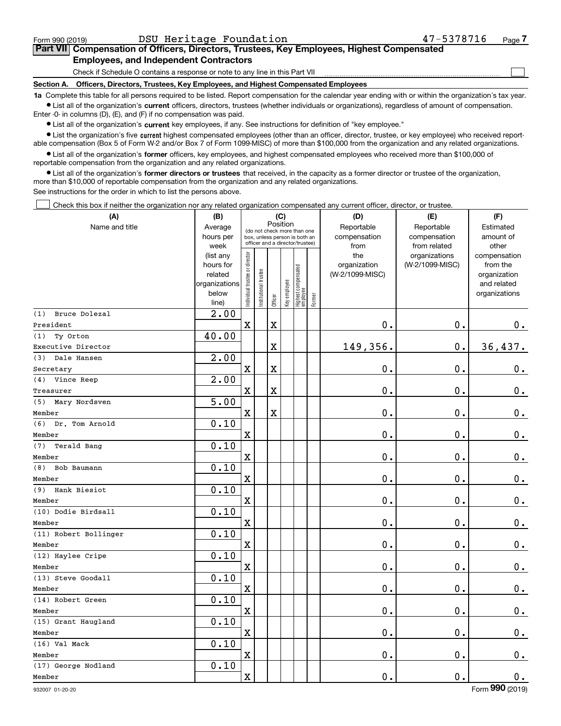$\mathcal{L}^{\text{max}}$ 

| Form 990 (2019) |                                               | DSU Heritage Foundation | 47-5378716                                                                                 | Page 7 |
|-----------------|-----------------------------------------------|-------------------------|--------------------------------------------------------------------------------------------|--------|
|                 |                                               |                         | Part VII Compensation of Officers, Directors, Trustees, Key Employees, Highest Compensated |        |
|                 | <b>Employees, and Independent Contractors</b> |                         |                                                                                            |        |

Check if Schedule O contains a response or note to any line in this Part VII

**Section A. Officers, Directors, Trustees, Key Employees, and Highest Compensated Employees**

**1a**  Complete this table for all persons required to be listed. Report compensation for the calendar year ending with or within the organization's tax year. **•** List all of the organization's current officers, directors, trustees (whether individuals or organizations), regardless of amount of compensation.

Enter -0- in columns (D), (E), and (F) if no compensation was paid.

 $\bullet$  List all of the organization's  $\,$ current key employees, if any. See instructions for definition of "key employee."

**•** List the organization's five current highest compensated employees (other than an officer, director, trustee, or key employee) who received reportable compensation (Box 5 of Form W-2 and/or Box 7 of Form 1099-MISC) of more than \$100,000 from the organization and any related organizations.

**•** List all of the organization's former officers, key employees, and highest compensated employees who received more than \$100,000 of reportable compensation from the organization and any related organizations.

**former directors or trustees**  ¥ List all of the organization's that received, in the capacity as a former director or trustee of the organization, more than \$10,000 of reportable compensation from the organization and any related organizations.

See instructions for the order in which to list the persons above.

Check this box if neither the organization nor any related organization compensated any current officer, director, or trustee.  $\mathcal{L}^{\text{max}}$ 

| (A)                   | (B)                                                                  |                               |                                                                                                             | (C)                     |              |                                  |        | (D)                                    | (E)                                        | (F)                                                                      |
|-----------------------|----------------------------------------------------------------------|-------------------------------|-------------------------------------------------------------------------------------------------------------|-------------------------|--------------|----------------------------------|--------|----------------------------------------|--------------------------------------------|--------------------------------------------------------------------------|
| Name and title        | Average<br>hours per<br>week                                         |                               | Position<br>(do not check more than one<br>box, unless person is both an<br>officer and a director/trustee) |                         |              |                                  |        | Reportable<br>compensation<br>from     | Reportable<br>compensation<br>from related | Estimated<br>amount of<br>other                                          |
|                       | (list any<br>hours for<br>related<br>organizations<br>below<br>line) | ndividual trustee or director | nstitutional trustee                                                                                        | Officer                 | Key employee | Highest compensated<br> employee | Former | the<br>organization<br>(W-2/1099-MISC) | organizations<br>(W-2/1099-MISC)           | compensation<br>from the<br>organization<br>and related<br>organizations |
| Bruce Dolezal<br>(1)  | $\overline{2}$ .00                                                   |                               |                                                                                                             |                         |              |                                  |        |                                        |                                            |                                                                          |
| President             |                                                                      | $\mathbf x$                   |                                                                                                             | $\rm X$                 |              |                                  |        | 0.                                     | $\mathbf 0$ .                              | 0.                                                                       |
| (1)<br>Ty Orton       | 40.00                                                                |                               |                                                                                                             |                         |              |                                  |        |                                        |                                            |                                                                          |
| Executive Director    |                                                                      |                               |                                                                                                             | $\overline{\textbf{X}}$ |              |                                  |        | 149,356.                               | $\mathbf 0$ .                              | 36,437.                                                                  |
| (3)<br>Dale Hansen    | $\overline{2.00}$                                                    |                               |                                                                                                             |                         |              |                                  |        |                                        |                                            |                                                                          |
| Secretary             |                                                                      | $\mathbf X$                   |                                                                                                             | $\overline{\textbf{X}}$ |              |                                  |        | $\mathbf 0$ .                          | $\mathbf 0$ .                              | $\mathbf 0$ .                                                            |
| Vince Reep<br>(4)     | 2.00                                                                 |                               |                                                                                                             |                         |              |                                  |        |                                        |                                            |                                                                          |
| Treasurer             |                                                                      | $\overline{\text{X}}$         |                                                                                                             | $\overline{\textbf{X}}$ |              |                                  |        | $\mathbf 0$ .                          | $\mathbf 0$ .                              | $\mathbf 0$ .                                                            |
| (5)<br>Mary Nordsven  | 5.00                                                                 |                               |                                                                                                             |                         |              |                                  |        |                                        |                                            |                                                                          |
| Member                |                                                                      | $\mathbf X$                   |                                                                                                             | $\overline{\textbf{X}}$ |              |                                  |        | $\mathbf 0$ .                          | $\mathbf 0$ .                              | $\mathbf 0$ .                                                            |
| (6)<br>Dr. Tom Arnold | 0.10                                                                 |                               |                                                                                                             |                         |              |                                  |        |                                        |                                            |                                                                          |
| Member                |                                                                      | $\overline{\textbf{X}}$       |                                                                                                             |                         |              |                                  |        | $\mathbf 0$ .                          | $\mathbf 0$ .                              | $0_{.}$                                                                  |
| Terald Bang<br>(7)    | 0.10                                                                 |                               |                                                                                                             |                         |              |                                  |        |                                        |                                            |                                                                          |
| Member                |                                                                      | $\rm X$                       |                                                                                                             |                         |              |                                  |        | $\mathbf 0$ .                          | $\mathbf 0$ .                              | $\mathbf 0$ .                                                            |
| (8)<br>Bob Baumann    | 0.10                                                                 |                               |                                                                                                             |                         |              |                                  |        |                                        |                                            |                                                                          |
| Member                |                                                                      | $\overline{\textbf{X}}$       |                                                                                                             |                         |              |                                  |        | $\mathbf 0$ .                          | $\mathbf 0$ .                              | $\mathbf 0$ .                                                            |
| Hank Biesiot<br>(9)   | 0.10                                                                 |                               |                                                                                                             |                         |              |                                  |        |                                        |                                            |                                                                          |
| Member                |                                                                      | $\rm X$                       |                                                                                                             |                         |              |                                  |        | $\mathbf 0$ .                          | $\mathbf 0$ .                              | $\mathbf 0$ .                                                            |
| (10) Dodie Birdsall   | 0.10                                                                 |                               |                                                                                                             |                         |              |                                  |        |                                        |                                            |                                                                          |
| Member                |                                                                      | $\overline{\textbf{X}}$       |                                                                                                             |                         |              |                                  |        | $\mathbf 0$ .                          | $\mathbf 0$ .                              | $0_{.}$                                                                  |
| (11) Robert Bollinger | 0.10                                                                 |                               |                                                                                                             |                         |              |                                  |        |                                        |                                            |                                                                          |
| Member                |                                                                      | $\mathbf X$                   |                                                                                                             |                         |              |                                  |        | $\mathbf 0$ .                          | $\mathbf 0$ .                              | $\mathbf 0$ .                                                            |
| (12) Haylee Cripe     | 0.10                                                                 |                               |                                                                                                             |                         |              |                                  |        |                                        |                                            |                                                                          |
| Member                |                                                                      | $\overline{\textbf{X}}$       |                                                                                                             |                         |              |                                  |        | $\mathbf 0$ .                          | $\mathbf 0$ .                              | $\mathbf 0$ .                                                            |
| (13) Steve Goodall    | 0.10                                                                 |                               |                                                                                                             |                         |              |                                  |        |                                        |                                            |                                                                          |
| Member                |                                                                      | $\mathbf X$                   |                                                                                                             |                         |              |                                  |        | 0.                                     | $\mathbf 0$ .                              | $\mathbf 0$ .                                                            |
| (14) Robert Green     | 0.10                                                                 |                               |                                                                                                             |                         |              |                                  |        |                                        |                                            |                                                                          |
| Member                |                                                                      | X                             |                                                                                                             |                         |              |                                  |        | $\mathbf 0$ .                          | $\mathbf 0$ .                              | $0_{.}$                                                                  |
| (15) Grant Haugland   | 0.10                                                                 |                               |                                                                                                             |                         |              |                                  |        |                                        |                                            |                                                                          |
| Member                |                                                                      | $\rm X$                       |                                                                                                             |                         |              |                                  |        | $\mathbf 0$ .                          | $\mathbf 0$ .                              | $\mathbf 0$ .                                                            |
| (16) Val Mack         | 0.10                                                                 |                               |                                                                                                             |                         |              |                                  |        |                                        |                                            |                                                                          |
| Member                |                                                                      | $\overline{\textbf{X}}$       |                                                                                                             |                         |              |                                  |        | $\mathbf 0$ .                          | $\mathbf 0$ .                              | $0_{.}$                                                                  |
| (17) George Nodland   | 0.10                                                                 |                               |                                                                                                             |                         |              |                                  |        |                                        |                                            |                                                                          |
| Member                |                                                                      | $\rm X$                       |                                                                                                             |                         |              |                                  |        | 0.                                     | $\mathbf 0$ .                              | 0.                                                                       |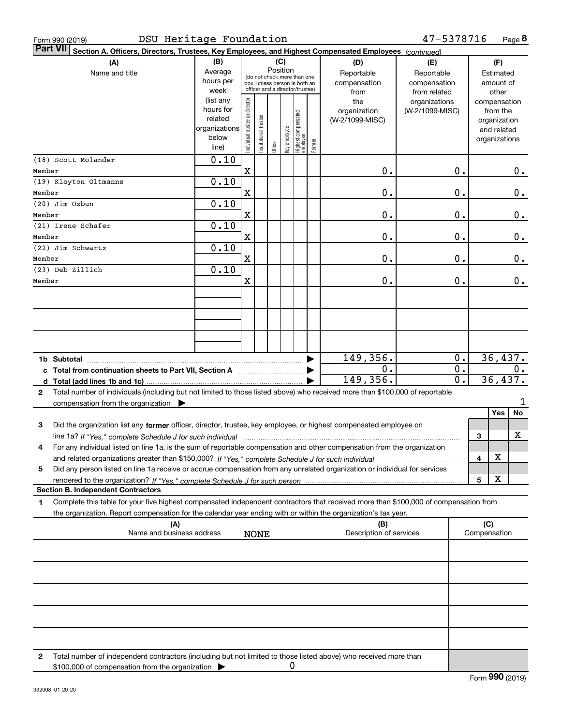| Form 990 (2019)                                                                                                                                                                                                                                                                  | DSU Heritage Foundation                                              |                                |                      |         |                 |                                                                                                 |        |                                           | 47-5378716                                        |                  |              |                                                                          | Page 8  |
|----------------------------------------------------------------------------------------------------------------------------------------------------------------------------------------------------------------------------------------------------------------------------------|----------------------------------------------------------------------|--------------------------------|----------------------|---------|-----------------|-------------------------------------------------------------------------------------------------|--------|-------------------------------------------|---------------------------------------------------|------------------|--------------|--------------------------------------------------------------------------|---------|
| <b>Part VII</b><br>Section A. Officers, Directors, Trustees, Key Employees, and Highest Compensated Employees (continued)                                                                                                                                                        |                                                                      |                                |                      |         |                 |                                                                                                 |        |                                           |                                                   |                  |              |                                                                          |         |
| (A)<br>Name and title                                                                                                                                                                                                                                                            | (B)<br>Average<br>hours per<br>week                                  |                                |                      |         | (C)<br>Position | (do not check more than one<br>box, unless person is both an<br>officer and a director/trustee) |        | (D)<br>Reportable<br>compensation<br>from | (E)<br>Reportable<br>compensation<br>from related |                  |              | (F)<br>Estimated<br>amount of<br>other                                   |         |
|                                                                                                                                                                                                                                                                                  | (list any<br>hours for<br>related<br>organizations<br>below<br>line) | Individual trustee or director | nstitutional trustee | Officer | key employee    | Highest compensated<br>employee                                                                 | Former | the<br>organization<br>(W-2/1099-MISC)    | organizations<br>(W-2/1099-MISC)                  |                  |              | compensation<br>from the<br>organization<br>and related<br>organizations |         |
| (18) Scott Molander                                                                                                                                                                                                                                                              | 0.10                                                                 |                                |                      |         |                 |                                                                                                 |        |                                           |                                                   |                  |              |                                                                          |         |
| Member<br>(19) Klayton Oltmanns                                                                                                                                                                                                                                                  | 0.10                                                                 | $\mathbf X$                    |                      |         |                 |                                                                                                 |        | 0.                                        |                                                   | Ο.               |              |                                                                          | 0.      |
| Member                                                                                                                                                                                                                                                                           |                                                                      | X                              |                      |         |                 |                                                                                                 |        | 0.                                        |                                                   | Ο.               |              |                                                                          | 0.      |
| (20) Jim Ozbun                                                                                                                                                                                                                                                                   | 0.10                                                                 |                                |                      |         |                 |                                                                                                 |        |                                           |                                                   |                  |              |                                                                          |         |
| Member                                                                                                                                                                                                                                                                           |                                                                      | X                              |                      |         |                 |                                                                                                 |        | 0.                                        |                                                   | Ο.               |              |                                                                          | 0.      |
| (21) Irene Schafer                                                                                                                                                                                                                                                               | 0.10                                                                 |                                |                      |         |                 |                                                                                                 |        |                                           |                                                   |                  |              |                                                                          |         |
| Member                                                                                                                                                                                                                                                                           |                                                                      | $\mathbf x$                    |                      |         |                 |                                                                                                 |        | 0.                                        |                                                   | Ο.               |              |                                                                          | 0.      |
| (22) Jim Schwartz                                                                                                                                                                                                                                                                | 0.10                                                                 |                                |                      |         |                 |                                                                                                 |        |                                           |                                                   |                  |              |                                                                          |         |
| Member                                                                                                                                                                                                                                                                           |                                                                      | $\mathbf x$                    |                      |         |                 |                                                                                                 |        | 0.                                        |                                                   | Ο.               |              |                                                                          | 0.      |
| (23) Deb Zillich<br>Member                                                                                                                                                                                                                                                       | 0.10                                                                 | X                              |                      |         |                 |                                                                                                 |        | 0.                                        |                                                   | Ο.               |              |                                                                          | $0$ .   |
|                                                                                                                                                                                                                                                                                  |                                                                      |                                |                      |         |                 |                                                                                                 |        |                                           |                                                   |                  |              |                                                                          |         |
|                                                                                                                                                                                                                                                                                  |                                                                      |                                |                      |         |                 |                                                                                                 |        |                                           |                                                   |                  |              |                                                                          |         |
|                                                                                                                                                                                                                                                                                  |                                                                      |                                |                      |         |                 |                                                                                                 |        |                                           |                                                   |                  |              |                                                                          |         |
|                                                                                                                                                                                                                                                                                  |                                                                      |                                |                      |         |                 |                                                                                                 |        |                                           |                                                   |                  |              |                                                                          |         |
|                                                                                                                                                                                                                                                                                  |                                                                      |                                |                      |         |                 |                                                                                                 |        |                                           |                                                   |                  |              |                                                                          |         |
| 1b Subtotal                                                                                                                                                                                                                                                                      |                                                                      |                                |                      |         |                 |                                                                                                 |        | 149,356.                                  |                                                   | 0.               |              |                                                                          | 36,437. |
| c Total from continuation sheets to Part VII, Section A <b>manual</b> contains the Total from continuum                                                                                                                                                                          |                                                                      |                                |                      |         |                 |                                                                                                 |        | 0.                                        |                                                   | 0.               |              |                                                                          | 0.      |
|                                                                                                                                                                                                                                                                                  |                                                                      |                                |                      |         |                 |                                                                                                 |        | 149,356.                                  |                                                   | $\overline{0}$ . |              |                                                                          | 36,437. |
| Total number of individuals (including but not limited to those listed above) who received more than \$100,000 of reportable<br>2                                                                                                                                                |                                                                      |                                |                      |         |                 |                                                                                                 |        |                                           |                                                   |                  |              |                                                                          |         |
| compensation from the organization $\blacktriangleright$                                                                                                                                                                                                                         |                                                                      |                                |                      |         |                 |                                                                                                 |        |                                           |                                                   |                  |              |                                                                          |         |
|                                                                                                                                                                                                                                                                                  |                                                                      |                                |                      |         |                 |                                                                                                 |        |                                           |                                                   |                  |              | Yes                                                                      | No      |
| 3<br>Did the organization list any former officer, director, trustee, key employee, or highest compensated employee on                                                                                                                                                           |                                                                      |                                |                      |         |                 |                                                                                                 |        |                                           |                                                   |                  |              |                                                                          | х       |
| line 1a? If "Yes," complete Schedule J for such individual manufactured contained and the 1a? If "Yes," complete Schedule J for such individual<br>For any individual listed on line 1a, is the sum of reportable compensation and other compensation from the organization<br>4 |                                                                      |                                |                      |         |                 |                                                                                                 |        |                                           |                                                   |                  | 3            |                                                                          |         |
|                                                                                                                                                                                                                                                                                  |                                                                      |                                |                      |         |                 |                                                                                                 |        |                                           |                                                   |                  | 4            | X                                                                        |         |
| Did any person listed on line 1a receive or accrue compensation from any unrelated organization or individual for services<br>5                                                                                                                                                  |                                                                      |                                |                      |         |                 |                                                                                                 |        |                                           |                                                   |                  |              |                                                                          |         |
|                                                                                                                                                                                                                                                                                  |                                                                      |                                |                      |         |                 |                                                                                                 |        |                                           |                                                   |                  | 5            | X                                                                        |         |
| <b>Section B. Independent Contractors</b>                                                                                                                                                                                                                                        |                                                                      |                                |                      |         |                 |                                                                                                 |        |                                           |                                                   |                  |              |                                                                          |         |
| Complete this table for your five highest compensated independent contractors that received more than \$100,000 of compensation from<br>1.<br>the organization. Report compensation for the calendar year ending with or within the organization's tax year.                     |                                                                      |                                |                      |         |                 |                                                                                                 |        |                                           |                                                   |                  |              |                                                                          |         |
| (A)                                                                                                                                                                                                                                                                              |                                                                      |                                |                      |         |                 |                                                                                                 |        | (B)                                       |                                                   |                  | (C)          |                                                                          |         |
| Name and business address                                                                                                                                                                                                                                                        |                                                                      |                                | <b>NONE</b>          |         |                 |                                                                                                 |        | Description of services                   |                                                   |                  | Compensation |                                                                          |         |
|                                                                                                                                                                                                                                                                                  |                                                                      |                                |                      |         |                 |                                                                                                 |        |                                           |                                                   |                  |              |                                                                          |         |
|                                                                                                                                                                                                                                                                                  |                                                                      |                                |                      |         |                 |                                                                                                 |        |                                           |                                                   |                  |              |                                                                          |         |
|                                                                                                                                                                                                                                                                                  |                                                                      |                                |                      |         |                 |                                                                                                 |        |                                           |                                                   |                  |              |                                                                          |         |
|                                                                                                                                                                                                                                                                                  |                                                                      |                                |                      |         |                 |                                                                                                 |        |                                           |                                                   |                  |              |                                                                          |         |
|                                                                                                                                                                                                                                                                                  |                                                                      |                                |                      |         |                 |                                                                                                 |        |                                           |                                                   |                  |              |                                                                          |         |
|                                                                                                                                                                                                                                                                                  |                                                                      |                                |                      |         |                 |                                                                                                 |        |                                           |                                                   |                  |              |                                                                          |         |
|                                                                                                                                                                                                                                                                                  |                                                                      |                                |                      |         |                 |                                                                                                 |        |                                           |                                                   |                  |              |                                                                          |         |
| Total number of independent contractors (including but not limited to those listed above) who received more than<br>2<br>\$100,000 of compensation from the organization                                                                                                         |                                                                      |                                |                      |         | 0               |                                                                                                 |        |                                           |                                                   |                  |              |                                                                          |         |

Form (2019) **990**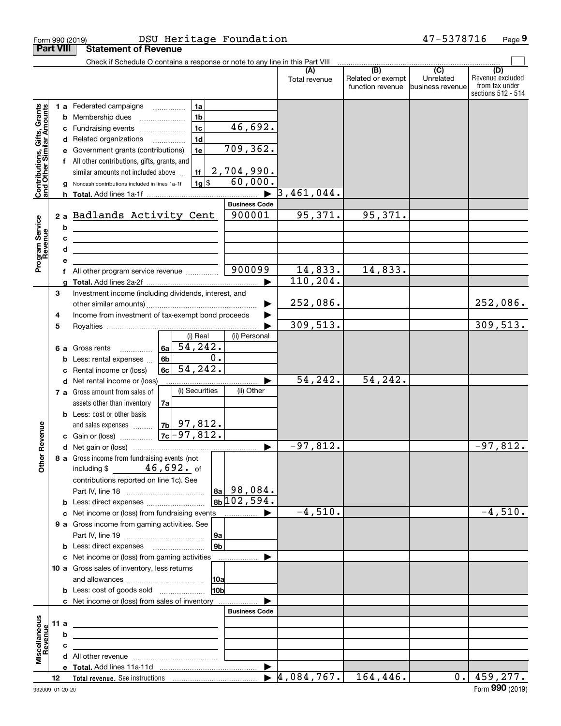|                                                           | Form 990 (2019)  | DSU Heritage Foundation                                                                                                                                                                                                                                                                                                                                                                                        |                                                                            |                                       | 47-5378716                                                                           | Page 9                                                          |
|-----------------------------------------------------------|------------------|----------------------------------------------------------------------------------------------------------------------------------------------------------------------------------------------------------------------------------------------------------------------------------------------------------------------------------------------------------------------------------------------------------------|----------------------------------------------------------------------------|---------------------------------------|--------------------------------------------------------------------------------------|-----------------------------------------------------------------|
|                                                           | <b>Part VIII</b> | <b>Statement of Revenue</b>                                                                                                                                                                                                                                                                                                                                                                                    |                                                                            |                                       |                                                                                      |                                                                 |
|                                                           |                  | Check if Schedule O contains a response or note to any line in this Part VIII                                                                                                                                                                                                                                                                                                                                  | (A)<br>Total revenue                                                       | Related or exempt<br>function revenue | $\overline{(\mathsf{B})}$ $\overline{(\mathsf{C})}$<br>Unrelated<br>business revenue | (D)<br>Revenue excluded<br>from tax under<br>sections 512 - 514 |
| Contributions, Gifts, Grants<br>and Other Similar Amounts | е<br>g           | 1 a Federated campaigns<br>1a<br>1 <sub>b</sub><br><b>b</b> Membership dues<br>$\ldots \ldots \ldots \ldots \ldots$<br>1 <sub>c</sub><br>c Fundraising events<br>1d<br>d Related organizations<br>Government grants (contributions)<br>1e<br>All other contributions, gifts, grants, and<br>2,704,990.<br>1f<br>similar amounts not included above<br>$1g$ \$<br>Noncash contributions included in lines 1a-1f | 46,692.<br>709, 362.<br>60,000.<br>3,461,044.<br>▶<br><b>Business Code</b> |                                       |                                                                                      |                                                                 |
| Program Service<br>Revenue                                | b<br>c<br>d<br>е | 2 a Badlands Activity Cent<br><u> 1989 - Johann Stoff, Amerikaansk politiker (</u><br><u> 2000 - John Stone, Amerikaans en Stone (</u><br><u> 1989 - Johann Barbara, martin amerikan basal da</u>                                                                                                                                                                                                              | 95,371.<br>900001                                                          | 95,371.                               |                                                                                      |                                                                 |
|                                                           | a                | All other program service revenue                                                                                                                                                                                                                                                                                                                                                                              | 900099<br>14,833.<br>110, 204.<br>▶                                        | 14,833.                               |                                                                                      |                                                                 |
|                                                           | 3                | Investment income (including dividends, interest, and                                                                                                                                                                                                                                                                                                                                                          | 252,086.<br>▶                                                              |                                       |                                                                                      | 252,086.                                                        |
|                                                           | 4<br>5           | Income from investment of tax-exempt bond proceeds<br>(i) Real                                                                                                                                                                                                                                                                                                                                                 | 309, 513.<br>(ii) Personal                                                 |                                       |                                                                                      | 309,513.                                                        |
|                                                           | c                | $\sqrt{54}$ , 242.<br>6a<br><b>6 a</b> Gross rents<br>0.<br>6b<br><b>b</b> Less: rental expenses<br>54, 242.<br>Rental income or (loss)<br>6c l                                                                                                                                                                                                                                                                |                                                                            |                                       |                                                                                      |                                                                 |
|                                                           |                  | d Net rental income or (loss)                                                                                                                                                                                                                                                                                                                                                                                  | 54, 242.                                                                   | 54,242.                               |                                                                                      |                                                                 |
| evenue<br>œ<br>Other                                      |                  | (i) Securities<br>7 a Gross amount from sales of<br>assets other than inventory<br>7a<br><b>b</b> Less: cost or other basis<br>$7b$ 97,812.<br>and sales expenses<br>$7c - 97,812.$<br>c Gain or (loss)                                                                                                                                                                                                        | (ii) Other                                                                 |                                       |                                                                                      |                                                                 |
|                                                           |                  | 8 a Gross income from fundraising events (not<br>including $$46,692.$ of<br>contributions reported on line 1c). See<br>$ a_{a} $ 98,084.<br> 8b 102,594.<br><b>b</b> Less: direct expenses <b>constants b</b>                                                                                                                                                                                                  | $-97,812.$                                                                 |                                       |                                                                                      | $\overline{-97,812}$ .                                          |
|                                                           |                  | 9 a Gross income from gaming activities. See<br>  9a<br>9 <sub>b</sub><br><b>b</b> Less: direct expenses <b>manually</b>                                                                                                                                                                                                                                                                                       | $-4,510.$                                                                  |                                       |                                                                                      | $-4,510.$                                                       |
|                                                           |                  | c Net income or (loss) from gaming activities<br>.<br>10 a Gross sales of inventory, less returns<br> 10a<br>10 <sub>b</sub><br><b>b</b> Less: cost of goods sold                                                                                                                                                                                                                                              | ▶                                                                          |                                       |                                                                                      |                                                                 |
| Miscellaneous<br>Revenue                                  | 11 a<br>b<br>с   | c Net income or (loss) from sales of inventory<br><u> 1989 - Johann Barbara, martin amerikan basar dan berasal dalam basa dalam basar dalam basar dalam basar dalam</u><br>the control of the control of the control of the control of the control of the control of<br><u> 1989 - Johann Stein, mars an deus Amerikaansk kommunister (</u>                                                                    | <b>Business Code</b>                                                       |                                       |                                                                                      |                                                                 |
|                                                           | 12               |                                                                                                                                                                                                                                                                                                                                                                                                                | $\blacktriangleright$<br>$\blacktriangleright$ 4,084,767.                  | 164, 446.                             |                                                                                      | $0.$   459,277.                                                 |
|                                                           |                  |                                                                                                                                                                                                                                                                                                                                                                                                                |                                                                            |                                       |                                                                                      |                                                                 |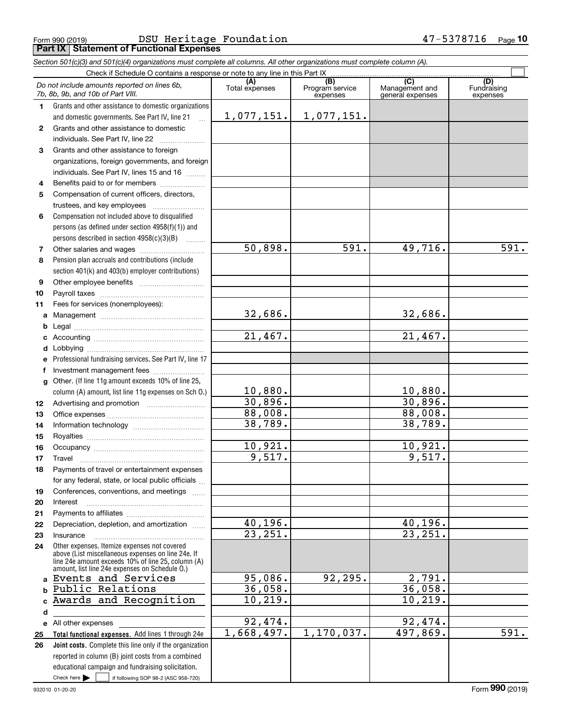### Form 990 (2019) DSU Heritage Foundation 47-5378716 <sub>Page</sub> **Part IX Statement of Functional Expenses**

|                                                                                                                            | Part IX   Statement of Functional Expenses                                                                                                                 |                         |                                    |                                           |                                |  |  |  |  |  |
|----------------------------------------------------------------------------------------------------------------------------|------------------------------------------------------------------------------------------------------------------------------------------------------------|-------------------------|------------------------------------|-------------------------------------------|--------------------------------|--|--|--|--|--|
| Section 501(c)(3) and 501(c)(4) organizations must complete all columns. All other organizations must complete column (A). |                                                                                                                                                            |                         |                                    |                                           |                                |  |  |  |  |  |
| Check if Schedule O contains a response or note to any line in this Part IX                                                |                                                                                                                                                            |                         |                                    |                                           |                                |  |  |  |  |  |
|                                                                                                                            | Do not include amounts reported on lines 6b,<br>7b, 8b, 9b, and 10b of Part VIII.                                                                          | (A)<br>Total expenses   | (B)<br>Program service<br>expenses | (C)<br>Management and<br>general expenses | (D)<br>Fundraising<br>expenses |  |  |  |  |  |
| 1.                                                                                                                         | Grants and other assistance to domestic organizations                                                                                                      |                         |                                    |                                           |                                |  |  |  |  |  |
|                                                                                                                            | and domestic governments. See Part IV, line 21<br>$\mathbb{R}$                                                                                             | <u>1,077,151.</u>       | 1,077,151.                         |                                           |                                |  |  |  |  |  |
| $\mathbf{2}$                                                                                                               | Grants and other assistance to domestic                                                                                                                    |                         |                                    |                                           |                                |  |  |  |  |  |
|                                                                                                                            | individuals. See Part IV, line 22                                                                                                                          |                         |                                    |                                           |                                |  |  |  |  |  |
| 3                                                                                                                          | Grants and other assistance to foreign                                                                                                                     |                         |                                    |                                           |                                |  |  |  |  |  |
|                                                                                                                            | organizations, foreign governments, and foreign                                                                                                            |                         |                                    |                                           |                                |  |  |  |  |  |
|                                                                                                                            | individuals. See Part IV, lines 15 and 16                                                                                                                  |                         |                                    |                                           |                                |  |  |  |  |  |
| 4                                                                                                                          | Benefits paid to or for members                                                                                                                            |                         |                                    |                                           |                                |  |  |  |  |  |
| 5                                                                                                                          | Compensation of current officers, directors,                                                                                                               |                         |                                    |                                           |                                |  |  |  |  |  |
|                                                                                                                            | trustees, and key employees                                                                                                                                |                         |                                    |                                           |                                |  |  |  |  |  |
| 6                                                                                                                          | Compensation not included above to disqualified                                                                                                            |                         |                                    |                                           |                                |  |  |  |  |  |
|                                                                                                                            | persons (as defined under section $4958(f)(1)$ ) and                                                                                                       |                         |                                    |                                           |                                |  |  |  |  |  |
|                                                                                                                            | persons described in section 4958(c)(3)(B)                                                                                                                 |                         |                                    |                                           |                                |  |  |  |  |  |
| 7                                                                                                                          |                                                                                                                                                            | $\overline{50,898}$ .   | 591.                               | 49,716.                                   | 591.                           |  |  |  |  |  |
| 8                                                                                                                          | Pension plan accruals and contributions (include                                                                                                           |                         |                                    |                                           |                                |  |  |  |  |  |
|                                                                                                                            | section 401(k) and 403(b) employer contributions)                                                                                                          |                         |                                    |                                           |                                |  |  |  |  |  |
| 9                                                                                                                          |                                                                                                                                                            |                         |                                    |                                           |                                |  |  |  |  |  |
| 10                                                                                                                         |                                                                                                                                                            |                         |                                    |                                           |                                |  |  |  |  |  |
| 11                                                                                                                         | Fees for services (nonemployees):                                                                                                                          |                         |                                    |                                           |                                |  |  |  |  |  |
| a                                                                                                                          |                                                                                                                                                            | 32,686.                 |                                    | 32,686.                                   |                                |  |  |  |  |  |
| b                                                                                                                          |                                                                                                                                                            |                         |                                    |                                           |                                |  |  |  |  |  |
| c                                                                                                                          |                                                                                                                                                            | $\overline{21,467}$ .   |                                    | 21,467.                                   |                                |  |  |  |  |  |
| d                                                                                                                          |                                                                                                                                                            |                         |                                    |                                           |                                |  |  |  |  |  |
| е                                                                                                                          | Professional fundraising services. See Part IV, line 17                                                                                                    |                         |                                    |                                           |                                |  |  |  |  |  |
| f                                                                                                                          | Investment management fees                                                                                                                                 |                         |                                    |                                           |                                |  |  |  |  |  |
| g                                                                                                                          | Other. (If line 11g amount exceeds 10% of line 25,                                                                                                         |                         |                                    |                                           |                                |  |  |  |  |  |
|                                                                                                                            | column (A) amount, list line 11g expenses on Sch 0.)                                                                                                       |                         |                                    |                                           |                                |  |  |  |  |  |
| 12                                                                                                                         |                                                                                                                                                            | $\frac{10,880}{30,896}$ |                                    | $\frac{10,880.}{30,896.}$                 |                                |  |  |  |  |  |
| 13                                                                                                                         |                                                                                                                                                            | 88,008.                 |                                    | 88,008.                                   |                                |  |  |  |  |  |
| 14                                                                                                                         |                                                                                                                                                            | 38,789.                 |                                    | 38,789.                                   |                                |  |  |  |  |  |
| 15                                                                                                                         |                                                                                                                                                            |                         |                                    |                                           |                                |  |  |  |  |  |
| 16                                                                                                                         |                                                                                                                                                            | 10,921.                 |                                    | 10,921.                                   |                                |  |  |  |  |  |
| 17                                                                                                                         | Travel                                                                                                                                                     | 9,517.                  |                                    | 9,517.                                    |                                |  |  |  |  |  |
| 18                                                                                                                         | Payments of travel or entertainment expenses                                                                                                               |                         |                                    |                                           |                                |  |  |  |  |  |
|                                                                                                                            | for any federal, state, or local public officials                                                                                                          |                         |                                    |                                           |                                |  |  |  |  |  |
| 19                                                                                                                         | Conferences, conventions, and meetings                                                                                                                     |                         |                                    |                                           |                                |  |  |  |  |  |
| 20                                                                                                                         | Interest                                                                                                                                                   |                         |                                    |                                           |                                |  |  |  |  |  |
| 21                                                                                                                         |                                                                                                                                                            |                         |                                    |                                           |                                |  |  |  |  |  |
| 22                                                                                                                         | Depreciation, depletion, and amortization                                                                                                                  | 40,196.                 |                                    | 40,196.                                   |                                |  |  |  |  |  |
| 23                                                                                                                         | Insurance                                                                                                                                                  | $\overline{23,251}$ .   |                                    | 23, 251.                                  |                                |  |  |  |  |  |
| 24                                                                                                                         | Other expenses. Itemize expenses not covered                                                                                                               |                         |                                    |                                           |                                |  |  |  |  |  |
|                                                                                                                            | above (List miscellaneous expenses on line 24e. If<br>line 24e amount exceeds 10% of line 25, column (A)<br>amount, list line 24e expenses on Schedule O.) |                         |                                    |                                           |                                |  |  |  |  |  |
|                                                                                                                            | a Events and Services                                                                                                                                      | 95,086.                 | 92,295.                            | 2,791.                                    |                                |  |  |  |  |  |
| b                                                                                                                          | Public Relations                                                                                                                                           | 36,058.                 |                                    | 36,058.                                   |                                |  |  |  |  |  |
|                                                                                                                            | Awards and Recognition                                                                                                                                     | 10, 219.                |                                    | 10, 219.                                  |                                |  |  |  |  |  |
| d                                                                                                                          |                                                                                                                                                            |                         |                                    |                                           |                                |  |  |  |  |  |
|                                                                                                                            | e All other expenses                                                                                                                                       | 92,474.                 |                                    | 92,474.                                   |                                |  |  |  |  |  |
| 25                                                                                                                         | Total functional expenses. Add lines 1 through 24e                                                                                                         | 1,668,497.              | 1, 170, 037.                       | 497,869.                                  | 591.                           |  |  |  |  |  |
| 26                                                                                                                         | <b>Joint costs.</b> Complete this line only if the organization                                                                                            |                         |                                    |                                           |                                |  |  |  |  |  |

932010 01-20-20

Check here  $\begin{array}{|c|c|c|c|c|}\hline \text{ } & \text{ if following SOP 98-2 (ASC 958-720)} \hline \end{array}$ 

reported in column (B) joint costs from a combined educational campaign and fundraising solicitation.

Form (2019) **990**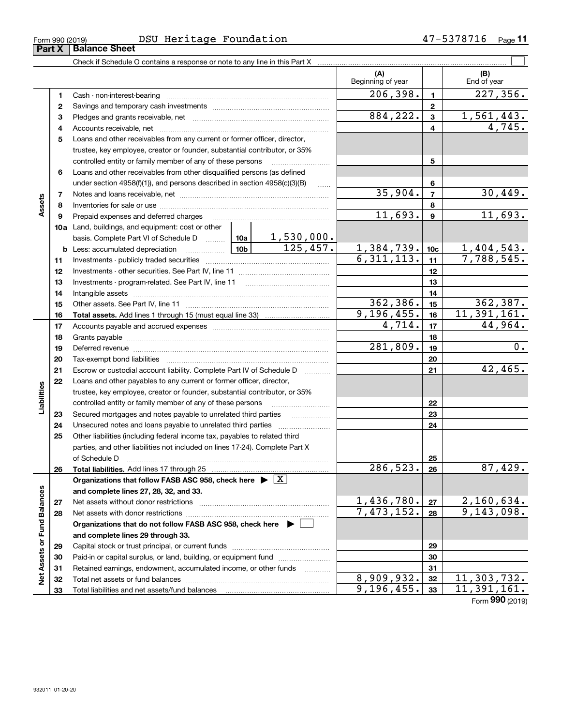**32 33**

Total liabilities and net assets/fund balances

**Net Assets or Fund Balances**

Net Assets or Fund Balances

| Form 990 (2019) | DSU | Heritage<br>Foundation | $\cdot$ | Page |
|-----------------|-----|------------------------|---------|------|
|                 |     |                        |         |      |

Check if Schedule O contains a response or note to any line in this Part X

|          |                                                                                                                                                            |                 |                             | (A)<br>Beginning of year        |                         | (B)<br>End of year       |
|----------|------------------------------------------------------------------------------------------------------------------------------------------------------------|-----------------|-----------------------------|---------------------------------|-------------------------|--------------------------|
| 1        |                                                                                                                                                            |                 |                             | 206, 398.                       | $\mathbf{1}$            | 227,356.                 |
| 2        |                                                                                                                                                            |                 |                             |                                 | $\overline{\mathbf{2}}$ |                          |
| 3        |                                                                                                                                                            |                 |                             | 884, 222.                       | $\overline{\mathbf{3}}$ | 1,561,443.               |
| 4        |                                                                                                                                                            |                 |                             |                                 | 4                       | 4,745.                   |
| 5        | Loans and other receivables from any current or former officer, director,                                                                                  |                 |                             |                                 |                         |                          |
|          | trustee, key employee, creator or founder, substantial contributor, or 35%                                                                                 |                 |                             |                                 |                         |                          |
|          | controlled entity or family member of any of these persons                                                                                                 |                 |                             |                                 | 5                       |                          |
| 6        | Loans and other receivables from other disqualified persons (as defined                                                                                    |                 |                             |                                 |                         |                          |
|          | under section $4958(f)(1)$ , and persons described in section $4958(c)(3)(B)$                                                                              |                 |                             |                                 | 6                       |                          |
| 7        |                                                                                                                                                            |                 |                             | 35,904.                         | $\overline{7}$          | 30,449.                  |
| 8        |                                                                                                                                                            |                 |                             |                                 | 8                       |                          |
| 9        | Prepaid expenses and deferred charges                                                                                                                      |                 |                             | 11,693.                         | $\mathbf{9}$            | 11,693.                  |
|          | <b>10a</b> Land, buildings, and equipment: cost or other                                                                                                   |                 |                             |                                 |                         |                          |
|          | basis. Complete Part VI of Schedule D  10a                                                                                                                 |                 | $\frac{1,530,000}{125,457}$ |                                 |                         |                          |
|          | <b>b</b> Less: accumulated depreciation<br>.                                                                                                               | 10 <sub>b</sub> |                             | $\frac{1,384,739.}{6,311,113.}$ | 10 <sub>c</sub>         | 1,404,543.<br>7,788,545. |
| 11       |                                                                                                                                                            |                 |                             |                                 | 11                      |                          |
| 12       |                                                                                                                                                            |                 |                             |                                 | 12                      |                          |
| 13       |                                                                                                                                                            |                 |                             |                                 | 13                      |                          |
| 14       |                                                                                                                                                            |                 |                             |                                 | 14                      |                          |
| 15       |                                                                                                                                                            |                 |                             | 362,386.                        | 15                      | 362,387.                 |
| 16       |                                                                                                                                                            |                 |                             | 9, 196, 455.                    | 16                      | 11,391,161.              |
| 17       |                                                                                                                                                            |                 |                             | 4,714.                          | 17                      | 44,964.                  |
| 18       |                                                                                                                                                            |                 |                             |                                 | 18                      |                          |
| 19       |                                                                                                                                                            |                 |                             | 281,809.                        | 19                      | 0.                       |
| 20       |                                                                                                                                                            |                 |                             |                                 | 20                      |                          |
| 21       | Escrow or custodial account liability. Complete Part IV of Schedule D                                                                                      |                 | .                           |                                 | 21                      | 42,465.                  |
| 22       | Loans and other payables to any current or former officer, director,                                                                                       |                 |                             |                                 |                         |                          |
|          | trustee, key employee, creator or founder, substantial contributor, or 35%                                                                                 |                 |                             |                                 |                         |                          |
|          | controlled entity or family member of any of these persons                                                                                                 |                 |                             |                                 | 22<br>23                |                          |
| 23       | Secured mortgages and notes payable to unrelated third parties                                                                                             |                 |                             |                                 | 24                      |                          |
| 24<br>25 | Unsecured notes and loans payable to unrelated third parties                                                                                               |                 |                             |                                 |                         |                          |
|          | Other liabilities (including federal income tax, payables to related third<br>parties, and other liabilities not included on lines 17-24). Complete Part X |                 |                             |                                 |                         |                          |
|          | of Schedule D                                                                                                                                              |                 |                             |                                 | 25                      |                          |
| 26       |                                                                                                                                                            |                 |                             | 286,523.                        | 26                      | 87,429.                  |
|          | Organizations that follow FASB ASC 958, check here $\blacktriangleright \boxed{\text{X}}$                                                                  |                 |                             |                                 |                         |                          |
|          | and complete lines 27, 28, 32, and 33.                                                                                                                     |                 |                             |                                 |                         |                          |
| 27       | Net assets without donor restrictions                                                                                                                      |                 |                             | 1,436,780.                      | 27                      | <u>2,160,634.</u>        |
| 28       |                                                                                                                                                            |                 |                             | 7,473,152.                      | 28                      | 9,143,098.               |
|          | Organizations that do not follow FASB ASC 958, check here $\blacktriangleright \lfloor$                                                                    |                 |                             |                                 |                         |                          |
|          | and complete lines 29 through 33.                                                                                                                          |                 |                             |                                 |                         |                          |
| 29       |                                                                                                                                                            |                 |                             |                                 | 29                      |                          |
| 30       | Paid-in or capital surplus, or land, building, or equipment fund                                                                                           |                 |                             |                                 | 30                      |                          |
| 31       | Retained earnings, endowment, accumulated income, or other funds                                                                                           |                 |                             |                                 | 31                      |                          |
| 32       |                                                                                                                                                            |                 |                             | 8,909,932.                      | 32                      | 11,303,732.              |

 $\mathcal{L}^{\text{max}}$ 

Form (2019) **990**

**33**

 $9,196,455.$   $33$  11,391,161.

| Form 990 (2019) |                             |  |
|-----------------|-----------------------------|--|
|                 | <b>Part X Balance Sheet</b> |  |

**Assets**

**Liabilities**

Liabilities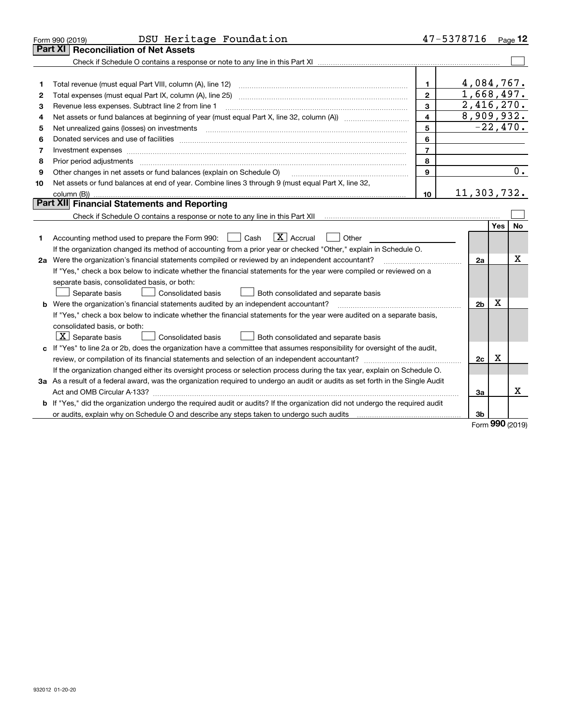|    | DSU Heritage Foundation<br>Form 990 (2019)                                                                                                                          |                         | 47-5378716     |            | Page $12$ |
|----|---------------------------------------------------------------------------------------------------------------------------------------------------------------------|-------------------------|----------------|------------|-----------|
|    | <b>Part XI</b><br><b>Reconciliation of Net Assets</b>                                                                                                               |                         |                |            |           |
|    |                                                                                                                                                                     |                         |                |            |           |
|    |                                                                                                                                                                     |                         |                |            |           |
| 1  | Total revenue (must equal Part VIII, column (A), line 12)                                                                                                           | $\mathbf{1}$            | 4,084,767.     |            |           |
| 2  |                                                                                                                                                                     | $\overline{2}$          | 1,668,497.     |            |           |
| з  | Revenue less expenses. Subtract line 2 from line 1                                                                                                                  | 3                       | 2,416,270.     |            |           |
| 4  |                                                                                                                                                                     | $\overline{\mathbf{4}}$ | 8,909,932.     |            |           |
| 5  |                                                                                                                                                                     | 5                       | $-22,470.$     |            |           |
| 6  |                                                                                                                                                                     | 6                       |                |            |           |
| 7  | Investment expenses www.communication.com/www.communication.com/www.communication.com/www.com                                                                       | $\overline{7}$          |                |            |           |
| 8  | Prior period adjustments                                                                                                                                            | 8                       |                |            |           |
| 9  | Other changes in net assets or fund balances (explain on Schedule O)                                                                                                | 9                       |                |            | 0.        |
| 10 | Net assets or fund balances at end of year. Combine lines 3 through 9 (must equal Part X, line 32,                                                                  |                         |                |            |           |
|    |                                                                                                                                                                     | 10                      | 11,303,732.    |            |           |
|    | Part XII Financial Statements and Reporting                                                                                                                         |                         |                |            |           |
|    | Check if Schedule O contains a response or note to any line in this Part XII [11] [12] Check if Schedule O contains a response or note to any line in this Part XII |                         |                |            |           |
|    |                                                                                                                                                                     |                         |                | <b>Yes</b> | <b>No</b> |
| 1  | $\boxed{\mathbf{X}}$ Accrual<br>Accounting method used to prepare the Form 990: <u>June</u> Cash<br>Other                                                           |                         |                |            |           |
|    | If the organization changed its method of accounting from a prior year or checked "Other," explain in Schedule O.                                                   |                         |                |            |           |
|    | 2a Were the organization's financial statements compiled or reviewed by an independent accountant?                                                                  |                         | 2a             |            | x         |
|    | If "Yes," check a box below to indicate whether the financial statements for the year were compiled or reviewed on a                                                |                         |                |            |           |
|    | separate basis, consolidated basis, or both:                                                                                                                        |                         |                |            |           |
|    | Separate basis<br>Consolidated basis<br>Both consolidated and separate basis                                                                                        |                         |                |            |           |
|    | <b>b</b> Were the organization's financial statements audited by an independent accountant?                                                                         |                         | 2 <sub>b</sub> | х          |           |
|    | If "Yes," check a box below to indicate whether the financial statements for the year were audited on a separate basis,                                             |                         |                |            |           |
|    | consolidated basis, or both:                                                                                                                                        |                         |                |            |           |
|    | $ \mathbf{X} $ Separate basis<br><b>Consolidated basis</b><br>Both consolidated and separate basis                                                                  |                         |                |            |           |
|    | c If "Yes" to line 2a or 2b, does the organization have a committee that assumes responsibility for oversight of the audit,                                         |                         |                |            |           |
|    | review, or compilation of its financial statements and selection of an independent accountant?                                                                      |                         | 2c             | х          |           |
|    | If the organization changed either its oversight process or selection process during the tax year, explain on Schedule O.                                           |                         |                |            |           |
|    | 3a As a result of a federal award, was the organization required to undergo an audit or audits as set forth in the Single Audit                                     |                         |                |            |           |
|    |                                                                                                                                                                     |                         | За             |            | x         |
|    | b If "Yes," did the organization undergo the required audit or audits? If the organization did not undergo the required audit                                       |                         |                |            |           |
|    |                                                                                                                                                                     |                         | 3 <sub>b</sub> |            |           |

Form (2019) **990**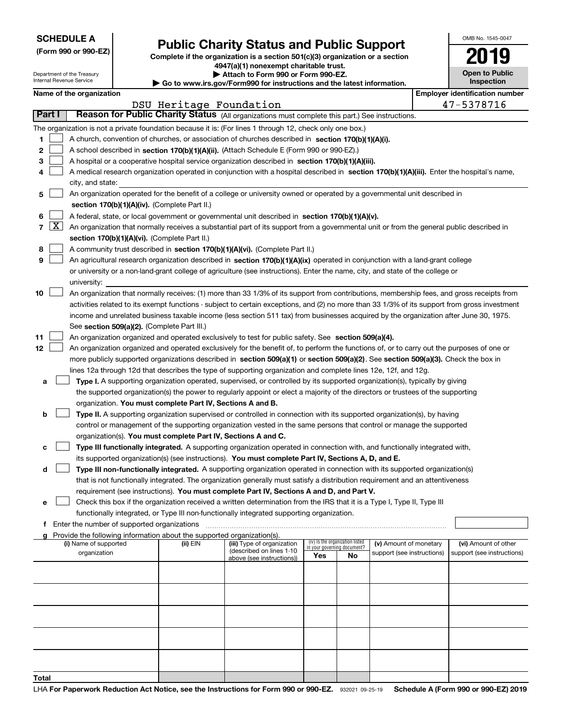|  | <b>SCHEDULE A</b> |
|--|-------------------|
|--|-------------------|

Department of the Treasury

|  | (Form 990 or 990-EZ) |
|--|----------------------|
|  |                      |

## **Public Charity Status and Public Support**

**Complete if the organization is a section 501(c)(3) organization or a section 4947(a)(1) nonexempt charitable trust.**

**| Attach to Form 990 or Form 990-EZ.** 

| OMB No. 1545-0047          |
|----------------------------|
| 2019                       |
| <b>Open to Public</b><br>. |

| Internal Revenue Service |       |                                       |                                               |                                                                        | $\blacktriangleright$ Go to www.irs.gov/Form990 for instructions and the latest information.                                                  |     |                                 |                                                      |  | <b>Inspection</b>                                  |
|--------------------------|-------|---------------------------------------|-----------------------------------------------|------------------------------------------------------------------------|-----------------------------------------------------------------------------------------------------------------------------------------------|-----|---------------------------------|------------------------------------------------------|--|----------------------------------------------------|
| Name of the organization |       |                                       |                                               |                                                                        |                                                                                                                                               |     |                                 |                                                      |  | <b>Employer identification number</b>              |
| Part I                   |       |                                       |                                               | DSU Heritage Foundation                                                |                                                                                                                                               |     |                                 |                                                      |  | 47-5378716                                         |
|                          |       |                                       |                                               |                                                                        | Reason for Public Charity Status (All organizations must complete this part.) See instructions.                                               |     |                                 |                                                      |  |                                                    |
|                          |       |                                       |                                               |                                                                        | The organization is not a private foundation because it is: (For lines 1 through 12, check only one box.)                                     |     |                                 |                                                      |  |                                                    |
| 1.                       |       |                                       |                                               |                                                                        | A church, convention of churches, or association of churches described in section 170(b)(1)(A)(i).                                            |     |                                 |                                                      |  |                                                    |
| 2                        |       |                                       |                                               |                                                                        | A school described in section 170(b)(1)(A)(ii). (Attach Schedule E (Form 990 or 990-EZ).)                                                     |     |                                 |                                                      |  |                                                    |
| 3                        |       |                                       |                                               |                                                                        | A hospital or a cooperative hospital service organization described in section 170(b)(1)(A)(iii).                                             |     |                                 |                                                      |  |                                                    |
| 4                        |       |                                       |                                               |                                                                        | A medical research organization operated in conjunction with a hospital described in section 170(b)(1)(A)(iii). Enter the hospital's name,    |     |                                 |                                                      |  |                                                    |
|                          |       | city, and state:                      |                                               |                                                                        |                                                                                                                                               |     |                                 |                                                      |  |                                                    |
| 5                        |       |                                       |                                               |                                                                        | An organization operated for the benefit of a college or university owned or operated by a governmental unit described in                     |     |                                 |                                                      |  |                                                    |
|                          |       |                                       |                                               | section 170(b)(1)(A)(iv). (Complete Part II.)                          |                                                                                                                                               |     |                                 |                                                      |  |                                                    |
| 6                        |       |                                       |                                               |                                                                        | A federal, state, or local government or governmental unit described in section 170(b)(1)(A)(v).                                              |     |                                 |                                                      |  |                                                    |
|                          | 7   X |                                       |                                               |                                                                        | An organization that normally receives a substantial part of its support from a governmental unit or from the general public described in     |     |                                 |                                                      |  |                                                    |
|                          |       |                                       |                                               | section 170(b)(1)(A)(vi). (Complete Part II.)                          |                                                                                                                                               |     |                                 |                                                      |  |                                                    |
| 8<br>9                   |       |                                       |                                               |                                                                        | A community trust described in section 170(b)(1)(A)(vi). (Complete Part II.)                                                                  |     |                                 |                                                      |  |                                                    |
|                          |       |                                       |                                               |                                                                        | An agricultural research organization described in section 170(b)(1)(A)(ix) operated in conjunction with a land-grant college                 |     |                                 |                                                      |  |                                                    |
|                          |       |                                       |                                               |                                                                        | or university or a non-land-grant college of agriculture (see instructions). Enter the name, city, and state of the college or                |     |                                 |                                                      |  |                                                    |
| 10                       |       | university:                           |                                               |                                                                        | An organization that normally receives: (1) more than 33 1/3% of its support from contributions, membership fees, and gross receipts from     |     |                                 |                                                      |  |                                                    |
|                          |       |                                       |                                               |                                                                        | activities related to its exempt functions - subject to certain exceptions, and (2) no more than 33 1/3% of its support from gross investment |     |                                 |                                                      |  |                                                    |
|                          |       |                                       |                                               |                                                                        | income and unrelated business taxable income (less section 511 tax) from businesses acquired by the organization after June 30, 1975.         |     |                                 |                                                      |  |                                                    |
|                          |       |                                       |                                               | See section 509(a)(2). (Complete Part III.)                            |                                                                                                                                               |     |                                 |                                                      |  |                                                    |
| 11                       |       |                                       |                                               |                                                                        | An organization organized and operated exclusively to test for public safety. See section 509(a)(4).                                          |     |                                 |                                                      |  |                                                    |
| 12                       |       |                                       |                                               |                                                                        | An organization organized and operated exclusively for the benefit of, to perform the functions of, or to carry out the purposes of one or    |     |                                 |                                                      |  |                                                    |
|                          |       |                                       |                                               |                                                                        | more publicly supported organizations described in section 509(a)(1) or section 509(a)(2). See section 509(a)(3). Check the box in            |     |                                 |                                                      |  |                                                    |
|                          |       |                                       |                                               |                                                                        | lines 12a through 12d that describes the type of supporting organization and complete lines 12e, 12f, and 12g.                                |     |                                 |                                                      |  |                                                    |
| a                        |       |                                       |                                               |                                                                        | Type I. A supporting organization operated, supervised, or controlled by its supported organization(s), typically by giving                   |     |                                 |                                                      |  |                                                    |
|                          |       |                                       |                                               |                                                                        | the supported organization(s) the power to regularly appoint or elect a majority of the directors or trustees of the supporting               |     |                                 |                                                      |  |                                                    |
|                          |       |                                       |                                               | organization. You must complete Part IV, Sections A and B.             |                                                                                                                                               |     |                                 |                                                      |  |                                                    |
| b                        |       |                                       |                                               |                                                                        | Type II. A supporting organization supervised or controlled in connection with its supported organization(s), by having                       |     |                                 |                                                      |  |                                                    |
|                          |       |                                       |                                               |                                                                        | control or management of the supporting organization vested in the same persons that control or manage the supported                          |     |                                 |                                                      |  |                                                    |
|                          |       |                                       |                                               | organization(s). You must complete Part IV, Sections A and C.          |                                                                                                                                               |     |                                 |                                                      |  |                                                    |
| c                        |       |                                       |                                               |                                                                        | Type III functionally integrated. A supporting organization operated in connection with, and functionally integrated with,                    |     |                                 |                                                      |  |                                                    |
|                          |       |                                       |                                               |                                                                        | its supported organization(s) (see instructions). You must complete Part IV, Sections A, D, and E.                                            |     |                                 |                                                      |  |                                                    |
| d                        |       |                                       |                                               |                                                                        | Type III non-functionally integrated. A supporting organization operated in connection with its supported organization(s)                     |     |                                 |                                                      |  |                                                    |
|                          |       |                                       |                                               |                                                                        | that is not functionally integrated. The organization generally must satisfy a distribution requirement and an attentiveness                  |     |                                 |                                                      |  |                                                    |
|                          |       |                                       |                                               |                                                                        | requirement (see instructions). You must complete Part IV, Sections A and D, and Part V.                                                      |     |                                 |                                                      |  |                                                    |
| е                        |       |                                       |                                               |                                                                        | Check this box if the organization received a written determination from the IRS that it is a Type I, Type II, Type III                       |     |                                 |                                                      |  |                                                    |
|                          |       |                                       |                                               |                                                                        | functionally integrated, or Type III non-functionally integrated supporting organization.                                                     |     |                                 |                                                      |  |                                                    |
|                          |       |                                       | f Enter the number of supported organizations |                                                                        |                                                                                                                                               |     |                                 |                                                      |  |                                                    |
|                          |       |                                       |                                               | Provide the following information about the supported organization(s). |                                                                                                                                               |     | (iv) Is the organization listed |                                                      |  |                                                    |
|                          |       | (i) Name of supported<br>organization |                                               | (ii) EIN                                                               | (iii) Type of organization<br>(described on lines 1-10                                                                                        |     | in your governing document?     | (v) Amount of monetary<br>support (see instructions) |  | (vi) Amount of other<br>support (see instructions) |
|                          |       |                                       |                                               |                                                                        | above (see instructions))                                                                                                                     | Yes | No                              |                                                      |  |                                                    |
|                          |       |                                       |                                               |                                                                        |                                                                                                                                               |     |                                 |                                                      |  |                                                    |
|                          |       |                                       |                                               |                                                                        |                                                                                                                                               |     |                                 |                                                      |  |                                                    |
|                          |       |                                       |                                               |                                                                        |                                                                                                                                               |     |                                 |                                                      |  |                                                    |
|                          |       |                                       |                                               |                                                                        |                                                                                                                                               |     |                                 |                                                      |  |                                                    |
|                          |       |                                       |                                               |                                                                        |                                                                                                                                               |     |                                 |                                                      |  |                                                    |
|                          |       |                                       |                                               |                                                                        |                                                                                                                                               |     |                                 |                                                      |  |                                                    |
|                          |       |                                       |                                               |                                                                        |                                                                                                                                               |     |                                 |                                                      |  |                                                    |
|                          |       |                                       |                                               |                                                                        |                                                                                                                                               |     |                                 |                                                      |  |                                                    |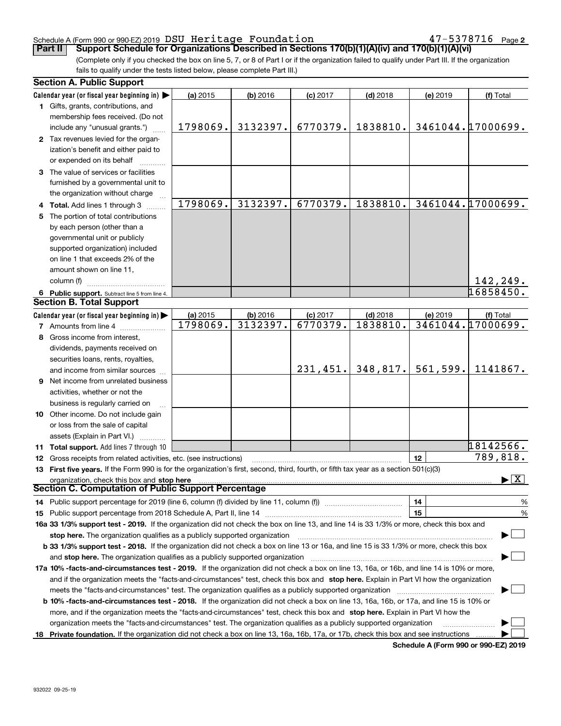#### Schedule A (Form 990 or 990-EZ) 2019  $\, {\rm DSU} \,$  He ${\rm r}$ itage  $\, {\rm F}$ oun ${\rm dation} \qquad \qquad \qquad 47-5378716 \,$  Page

**2**

(Complete only if you checked the box on line 5, 7, or 8 of Part I or if the organization failed to qualify under Part III. If the organization fails to qualify under the tests listed below, please complete Part III.) **Part II Support Schedule for Organizations Described in Sections 170(b)(1)(A)(iv) and 170(b)(1)(A)(vi)** 

|    | <b>Section A. Public Support</b>                                                                                                               |                      |                      |                        |                        |          |                                          |
|----|------------------------------------------------------------------------------------------------------------------------------------------------|----------------------|----------------------|------------------------|------------------------|----------|------------------------------------------|
|    | Calendar year (or fiscal year beginning in)                                                                                                    | (a) 2015             | (b) 2016             | $(c)$ 2017             | $(d)$ 2018             | (e) 2019 | (f) Total                                |
|    | 1 Gifts, grants, contributions, and                                                                                                            |                      |                      |                        |                        |          |                                          |
|    | membership fees received. (Do not                                                                                                              |                      |                      |                        |                        |          |                                          |
|    | include any "unusual grants.")                                                                                                                 | 1798069.             | 3132397.             | 6770379.               | 1838810.               |          | 3461044.17000699.                        |
|    | 2 Tax revenues levied for the organ-                                                                                                           |                      |                      |                        |                        |          |                                          |
|    | ization's benefit and either paid to                                                                                                           |                      |                      |                        |                        |          |                                          |
|    | or expended on its behalf                                                                                                                      |                      |                      |                        |                        |          |                                          |
|    | 3 The value of services or facilities                                                                                                          |                      |                      |                        |                        |          |                                          |
|    | furnished by a governmental unit to                                                                                                            |                      |                      |                        |                        |          |                                          |
|    | the organization without charge                                                                                                                |                      |                      |                        |                        |          |                                          |
|    | 4 Total. Add lines 1 through 3                                                                                                                 | 1798069.             | 3132397.             | 6770379.               | 1838810.               |          | 3461044.17000699.                        |
| 5. | The portion of total contributions                                                                                                             |                      |                      |                        |                        |          |                                          |
|    | by each person (other than a                                                                                                                   |                      |                      |                        |                        |          |                                          |
|    | governmental unit or publicly                                                                                                                  |                      |                      |                        |                        |          |                                          |
|    | supported organization) included                                                                                                               |                      |                      |                        |                        |          |                                          |
|    | on line 1 that exceeds 2% of the                                                                                                               |                      |                      |                        |                        |          |                                          |
|    | amount shown on line 11,                                                                                                                       |                      |                      |                        |                        |          |                                          |
|    | column (f)                                                                                                                                     |                      |                      |                        |                        |          |                                          |
|    |                                                                                                                                                |                      |                      |                        |                        |          | 142,249.<br>16858450.                    |
|    | 6 Public support. Subtract line 5 from line 4.<br><b>Section B. Total Support</b>                                                              |                      |                      |                        |                        |          |                                          |
|    |                                                                                                                                                |                      |                      |                        |                        |          |                                          |
|    | Calendar year (or fiscal year beginning in)                                                                                                    | (a) 2015<br>1798069. | (b) 2016<br>3132397. | $(c)$ 2017<br>6770379. | $(d)$ 2018<br>1838810. | (e) 2019 | (f) Total<br>3461044.17000699.           |
|    | <b>7</b> Amounts from line 4                                                                                                                   |                      |                      |                        |                        |          |                                          |
|    | 8 Gross income from interest,                                                                                                                  |                      |                      |                        |                        |          |                                          |
|    | dividends, payments received on                                                                                                                |                      |                      |                        |                        |          |                                          |
|    | securities loans, rents, royalties,                                                                                                            |                      |                      |                        |                        |          |                                          |
|    | and income from similar sources                                                                                                                |                      |                      | 231,451.               | 348,817.               | 561,599. | 1141867.                                 |
|    | <b>9</b> Net income from unrelated business                                                                                                    |                      |                      |                        |                        |          |                                          |
|    | activities, whether or not the                                                                                                                 |                      |                      |                        |                        |          |                                          |
|    | business is regularly carried on                                                                                                               |                      |                      |                        |                        |          |                                          |
|    | 10 Other income. Do not include gain                                                                                                           |                      |                      |                        |                        |          |                                          |
|    | or loss from the sale of capital                                                                                                               |                      |                      |                        |                        |          |                                          |
|    | assets (Explain in Part VI.)                                                                                                                   |                      |                      |                        |                        |          |                                          |
|    | <b>11 Total support.</b> Add lines 7 through 10                                                                                                |                      |                      |                        |                        |          | 18142566.                                |
|    | 12 Gross receipts from related activities, etc. (see instructions)                                                                             |                      |                      |                        |                        | 12       | 789,818.                                 |
|    | 13 First five years. If the Form 990 is for the organization's first, second, third, fourth, or fifth tax year as a section 501(c)(3)          |                      |                      |                        |                        |          |                                          |
|    | organization, check this box and stop here                                                                                                     |                      |                      |                        |                        |          | $\blacktriangleright$ $\boxed{\text{X}}$ |
|    | Section C. Computation of Public Support Percentage                                                                                            |                      |                      |                        |                        |          |                                          |
|    | 14 Public support percentage for 2019 (line 6, column (f) divided by line 11, column (f) <i>manumeronominimi</i> ng                            |                      |                      |                        |                        | 14       | $\frac{9}{6}$                            |
|    |                                                                                                                                                |                      | 15                   | %                      |                        |          |                                          |
|    | 16a 33 1/3% support test - 2019. If the organization did not check the box on line 13, and line 14 is 33 1/3% or more, check this box and      |                      |                      |                        |                        |          |                                          |
|    | stop here. The organization qualifies as a publicly supported organization                                                                     |                      |                      |                        |                        |          |                                          |
|    | b 33 1/3% support test - 2018. If the organization did not check a box on line 13 or 16a, and line 15 is 33 1/3% or more, check this box       |                      |                      |                        |                        |          |                                          |
|    | and stop here. The organization qualifies as a publicly supported organization                                                                 |                      |                      |                        |                        |          |                                          |
|    | 17a 10% -facts-and-circumstances test - 2019. If the organization did not check a box on line 13, 16a, or 16b, and line 14 is 10% or more,     |                      |                      |                        |                        |          |                                          |
|    | and if the organization meets the "facts-and-circumstances" test, check this box and stop here. Explain in Part VI how the organization        |                      |                      |                        |                        |          |                                          |
|    | meets the "facts-and-circumstances" test. The organization qualifies as a publicly supported organization                                      |                      |                      |                        |                        |          |                                          |
|    | <b>b 10% -facts-and-circumstances test - 2018.</b> If the organization did not check a box on line 13, 16a, 16b, or 17a, and line 15 is 10% or |                      |                      |                        |                        |          |                                          |
|    | more, and if the organization meets the "facts-and-circumstances" test, check this box and stop here. Explain in Part VI how the               |                      |                      |                        |                        |          |                                          |
|    | organization meets the "facts-and-circumstances" test. The organization qualifies as a publicly supported organization                         |                      |                      |                        |                        |          |                                          |
|    |                                                                                                                                                |                      |                      |                        |                        |          |                                          |
|    | 18 Private foundation. If the organization did not check a box on line 13, 16a, 16b, 17a, or 17b, check this box and see instructions          |                      |                      |                        |                        |          |                                          |

**Schedule A (Form 990 or 990-EZ) 2019**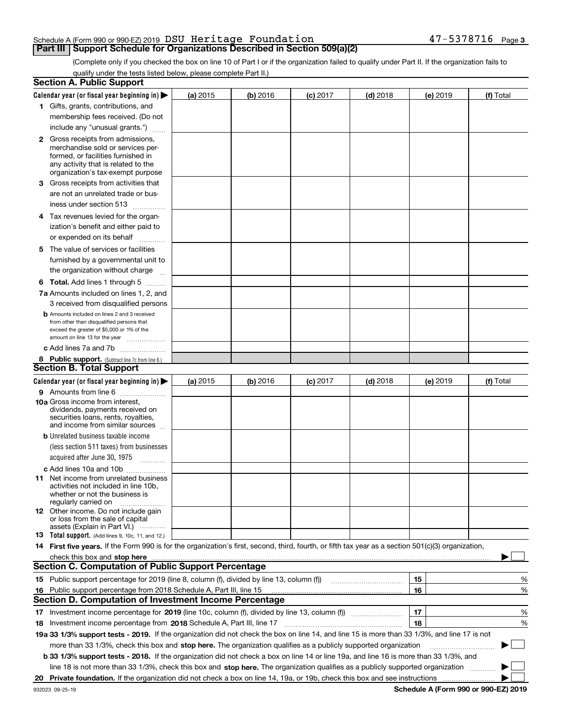### Schedule A (Form 990 or 990-EZ) 2019  $\, {\rm DSU} \,$  He ${\rm r}$ itage  $\, {\rm F}$ oun ${\rm dation} \qquad \qquad \qquad 47-5378716 \,$  Page

## **Part III** Support Schedule for Organizations Described in Section 509(a)(2)

(Complete only if you checked the box on line 10 of Part I or if the organization failed to qualify under Part II. If the organization fails to qualify under the tests listed below, please complete Part II.)

|    | <b>Section A. Public Support</b>                                                                                                                    |            |          |            |            |          |             |
|----|-----------------------------------------------------------------------------------------------------------------------------------------------------|------------|----------|------------|------------|----------|-------------|
|    | Calendar year (or fiscal year beginning in) $\blacktriangleright$                                                                                   | (a) 2015   | (b) 2016 | $(c)$ 2017 | $(d)$ 2018 | (e) 2019 | (f) Total   |
|    | 1 Gifts, grants, contributions, and                                                                                                                 |            |          |            |            |          |             |
|    | membership fees received. (Do not                                                                                                                   |            |          |            |            |          |             |
|    | include any "unusual grants.")                                                                                                                      |            |          |            |            |          |             |
|    | <b>2</b> Gross receipts from admissions,                                                                                                            |            |          |            |            |          |             |
|    | merchandise sold or services per-                                                                                                                   |            |          |            |            |          |             |
|    | formed, or facilities furnished in                                                                                                                  |            |          |            |            |          |             |
|    | any activity that is related to the<br>organization's tax-exempt purpose                                                                            |            |          |            |            |          |             |
|    | 3 Gross receipts from activities that                                                                                                               |            |          |            |            |          |             |
|    | are not an unrelated trade or bus-                                                                                                                  |            |          |            |            |          |             |
|    | iness under section 513                                                                                                                             |            |          |            |            |          |             |
|    | 4 Tax revenues levied for the organ-                                                                                                                |            |          |            |            |          |             |
|    | ization's benefit and either paid to                                                                                                                |            |          |            |            |          |             |
|    | or expended on its behalf                                                                                                                           |            |          |            |            |          |             |
|    | .                                                                                                                                                   |            |          |            |            |          |             |
|    | 5 The value of services or facilities                                                                                                               |            |          |            |            |          |             |
|    | furnished by a governmental unit to                                                                                                                 |            |          |            |            |          |             |
|    | the organization without charge                                                                                                                     |            |          |            |            |          |             |
|    | <b>6 Total.</b> Add lines 1 through 5                                                                                                               |            |          |            |            |          |             |
|    | 7a Amounts included on lines 1, 2, and                                                                                                              |            |          |            |            |          |             |
|    | 3 received from disqualified persons                                                                                                                |            |          |            |            |          |             |
|    | <b>b</b> Amounts included on lines 2 and 3 received<br>from other than disqualified persons that                                                    |            |          |            |            |          |             |
|    | exceed the greater of \$5,000 or 1% of the                                                                                                          |            |          |            |            |          |             |
|    | amount on line 13 for the year                                                                                                                      |            |          |            |            |          |             |
|    | c Add lines 7a and 7b                                                                                                                               |            |          |            |            |          |             |
|    | 8 Public support. (Subtract line 7c from line 6.)                                                                                                   |            |          |            |            |          |             |
|    | <b>Section B. Total Support</b>                                                                                                                     |            |          |            |            |          |             |
|    | Calendar year (or fiscal year beginning in) $\blacktriangleright$                                                                                   | (a) $2015$ | (b) 2016 | $(c)$ 2017 | $(d)$ 2018 | (e) 2019 | (f) Total   |
|    | 9 Amounts from line 6                                                                                                                               |            |          |            |            |          |             |
|    | <b>10a</b> Gross income from interest,<br>dividends, payments received on                                                                           |            |          |            |            |          |             |
|    | securities loans, rents, royalties,                                                                                                                 |            |          |            |            |          |             |
|    | and income from similar sources                                                                                                                     |            |          |            |            |          |             |
|    | <b>b</b> Unrelated business taxable income                                                                                                          |            |          |            |            |          |             |
|    | (less section 511 taxes) from businesses                                                                                                            |            |          |            |            |          |             |
|    | acquired after June 30, 1975                                                                                                                        |            |          |            |            |          |             |
|    | c Add lines 10a and 10b                                                                                                                             |            |          |            |            |          |             |
|    | 11 Net income from unrelated business                                                                                                               |            |          |            |            |          |             |
|    | activities not included in line 10b,<br>whether or not the business is                                                                              |            |          |            |            |          |             |
|    | regularly carried on                                                                                                                                |            |          |            |            |          |             |
|    | <b>12</b> Other income. Do not include gain                                                                                                         |            |          |            |            |          |             |
|    | or loss from the sale of capital<br>assets (Explain in Part VI.)                                                                                    |            |          |            |            |          |             |
|    | 13 Total support. (Add lines 9, 10c, 11, and 12.)                                                                                                   |            |          |            |            |          |             |
|    | 14 First five years. If the Form 990 is for the organization's first, second, third, fourth, or fifth tax year as a section 501(c)(3) organization, |            |          |            |            |          |             |
|    | check this box and stop here <i>macuum macuum macuum macuum macuum macuum macuum macuum macuum</i>                                                  |            |          |            |            |          |             |
|    | <b>Section C. Computation of Public Support Percentage</b>                                                                                          |            |          |            |            |          |             |
|    | 15 Public support percentage for 2019 (line 8, column (f), divided by line 13, column (f))                                                          |            |          |            |            | 15       | %           |
| 16 | Public support percentage from 2018 Schedule A, Part III, line 15                                                                                   |            |          |            |            | 16       | %           |
|    | <b>Section D. Computation of Investment Income Percentage</b>                                                                                       |            |          |            |            |          |             |
|    | 17 Investment income percentage for 2019 (line 10c, column (f), divided by line 13, column (f))                                                     |            |          |            |            | 17       | %           |
|    | 18 Investment income percentage from 2018 Schedule A, Part III, line 17                                                                             |            |          |            |            | 18       | %           |
|    | 19a 33 1/3% support tests - 2019. If the organization did not check the box on line 14, and line 15 is more than 33 1/3%, and line 17 is not        |            |          |            |            |          |             |
|    | more than 33 1/3%, check this box and stop here. The organization qualifies as a publicly supported organization                                    |            |          |            |            |          | $\sim$<br>▶ |
|    | b 33 1/3% support tests - 2018. If the organization did not check a box on line 14 or line 19a, and line 16 is more than 33 1/3%, and               |            |          |            |            |          |             |
|    | line 18 is not more than 33 1/3%, check this box and stop here. The organization qualifies as a publicly supported organization                     |            |          |            |            |          |             |
|    |                                                                                                                                                     |            |          |            |            |          |             |
| 20 |                                                                                                                                                     |            |          |            |            |          |             |

**Schedule A (Form 990 or 990-EZ) 2019**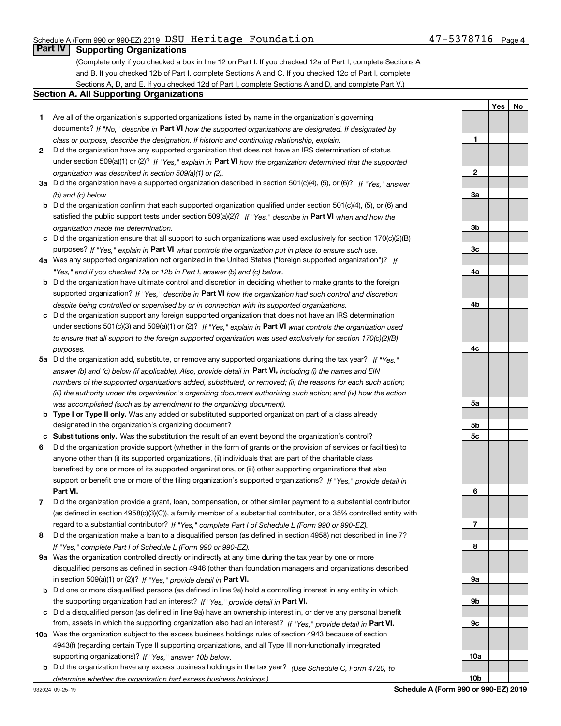#### Schedule A (Form 990 or 990-EZ) 2019  $\, {\rm DSU} \,$  He ${\rm r}$ itage  $\, {\rm F}$ oun ${\rm dation} \qquad \qquad \qquad 47-5378716 \,$  Page

**1**

**2**

**3a**

**3b**

**3c**

**4a**

**4b**

**4c**

**5a**

**5b5c**

**6**

**7**

**8**

**9a**

**9b**

**9c**

**10a**

**10b**

**YesNo**

## **Part IV Supporting Organizations**

(Complete only if you checked a box in line 12 on Part I. If you checked 12a of Part I, complete Sections A and B. If you checked 12b of Part I, complete Sections A and C. If you checked 12c of Part I, complete Sections A, D, and E. If you checked 12d of Part I, complete Sections A and D, and complete Part V.)

#### **Section A. All Supporting Organizations**

- **1** Are all of the organization's supported organizations listed by name in the organization's governing documents? If "No," describe in **Part VI** how the supported organizations are designated. If designated by *class or purpose, describe the designation. If historic and continuing relationship, explain.*
- **2** Did the organization have any supported organization that does not have an IRS determination of status under section 509(a)(1) or (2)? If "Yes," explain in Part VI how the organization determined that the supported *organization was described in section 509(a)(1) or (2).*
- **3a** Did the organization have a supported organization described in section 501(c)(4), (5), or (6)? If "Yes," answer *(b) and (c) below.*
- **b** Did the organization confirm that each supported organization qualified under section 501(c)(4), (5), or (6) and satisfied the public support tests under section 509(a)(2)? If "Yes," describe in **Part VI** when and how the *organization made the determination.*
- **c**Did the organization ensure that all support to such organizations was used exclusively for section 170(c)(2)(B) purposes? If "Yes," explain in **Part VI** what controls the organization put in place to ensure such use.
- **4a***If* Was any supported organization not organized in the United States ("foreign supported organization")? *"Yes," and if you checked 12a or 12b in Part I, answer (b) and (c) below.*
- **b** Did the organization have ultimate control and discretion in deciding whether to make grants to the foreign supported organization? If "Yes," describe in **Part VI** how the organization had such control and discretion *despite being controlled or supervised by or in connection with its supported organizations.*
- **c** Did the organization support any foreign supported organization that does not have an IRS determination under sections 501(c)(3) and 509(a)(1) or (2)? If "Yes," explain in **Part VI** what controls the organization used *to ensure that all support to the foreign supported organization was used exclusively for section 170(c)(2)(B) purposes.*
- **5a***If "Yes,"* Did the organization add, substitute, or remove any supported organizations during the tax year? answer (b) and (c) below (if applicable). Also, provide detail in **Part VI,** including (i) the names and EIN *numbers of the supported organizations added, substituted, or removed; (ii) the reasons for each such action; (iii) the authority under the organization's organizing document authorizing such action; and (iv) how the action was accomplished (such as by amendment to the organizing document).*
- **b** Type I or Type II only. Was any added or substituted supported organization part of a class already designated in the organization's organizing document?
- **cSubstitutions only.**  Was the substitution the result of an event beyond the organization's control?
- **6** Did the organization provide support (whether in the form of grants or the provision of services or facilities) to **Part VI.** *If "Yes," provide detail in* support or benefit one or more of the filing organization's supported organizations? anyone other than (i) its supported organizations, (ii) individuals that are part of the charitable class benefited by one or more of its supported organizations, or (iii) other supporting organizations that also
- **7**Did the organization provide a grant, loan, compensation, or other similar payment to a substantial contributor *If "Yes," complete Part I of Schedule L (Form 990 or 990-EZ).* regard to a substantial contributor? (as defined in section 4958(c)(3)(C)), a family member of a substantial contributor, or a 35% controlled entity with
- **8** Did the organization make a loan to a disqualified person (as defined in section 4958) not described in line 7? *If "Yes," complete Part I of Schedule L (Form 990 or 990-EZ).*
- **9a** Was the organization controlled directly or indirectly at any time during the tax year by one or more in section 509(a)(1) or (2))? If "Yes," *provide detail in* <code>Part VI.</code> disqualified persons as defined in section 4946 (other than foundation managers and organizations described
- **b** Did one or more disqualified persons (as defined in line 9a) hold a controlling interest in any entity in which the supporting organization had an interest? If "Yes," provide detail in P**art VI**.
- **c**Did a disqualified person (as defined in line 9a) have an ownership interest in, or derive any personal benefit from, assets in which the supporting organization also had an interest? If "Yes," provide detail in P**art VI.**
- **10a** Was the organization subject to the excess business holdings rules of section 4943 because of section supporting organizations)? If "Yes," answer 10b below. 4943(f) (regarding certain Type II supporting organizations, and all Type III non-functionally integrated
- **b** Did the organization have any excess business holdings in the tax year? (Use Schedule C, Form 4720, to *determine whether the organization had excess business holdings.)*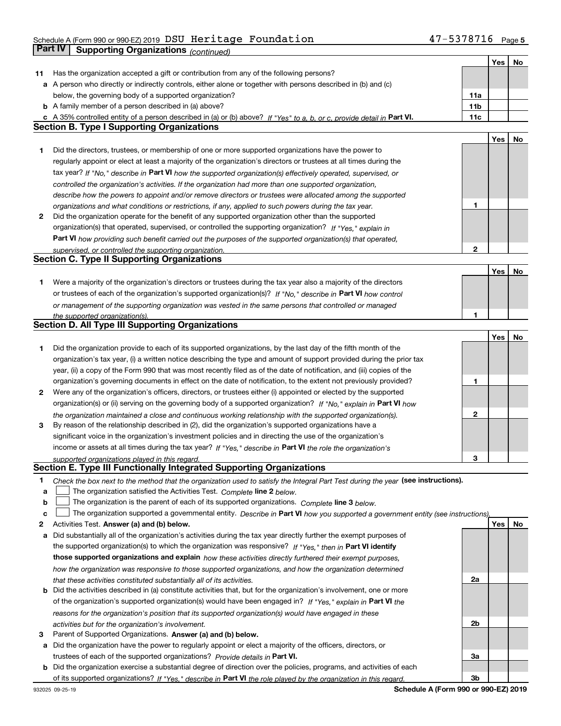## Schedule A (Form 990 or 990-EZ) 2019  $\, {\rm DSU} \,$  He ${\rm r}$ itage  $\, {\rm F}$ oun ${\rm dation} \qquad \qquad \qquad 47-5378716 \,$  Page **Part IV** Supporting Organizations *(continued)*

|    |                                                                                                                                   |                 | Yes | No  |
|----|-----------------------------------------------------------------------------------------------------------------------------------|-----------------|-----|-----|
| 11 | Has the organization accepted a gift or contribution from any of the following persons?                                           |                 |     |     |
|    | a A person who directly or indirectly controls, either alone or together with persons described in (b) and (c)                    |                 |     |     |
|    | below, the governing body of a supported organization?                                                                            | 11a             |     |     |
|    | <b>b</b> A family member of a person described in (a) above?                                                                      | 11 <sub>b</sub> |     |     |
|    | c A 35% controlled entity of a person described in (a) or (b) above? If "Yes" to a, b, or c, provide detail in Part VI.           | 11c             |     |     |
|    | <b>Section B. Type I Supporting Organizations</b>                                                                                 |                 |     |     |
|    |                                                                                                                                   |                 | Yes | No  |
| 1  | Did the directors, trustees, or membership of one or more supported organizations have the power to                               |                 |     |     |
|    | regularly appoint or elect at least a majority of the organization's directors or trustees at all times during the                |                 |     |     |
|    |                                                                                                                                   |                 |     |     |
|    | tax year? If "No," describe in Part VI how the supported organization(s) effectively operated, supervised, or                     |                 |     |     |
|    | controlled the organization's activities. If the organization had more than one supported organization,                           |                 |     |     |
|    | describe how the powers to appoint and/or remove directors or trustees were allocated among the supported                         |                 |     |     |
|    | organizations and what conditions or restrictions, if any, applied to such powers during the tax year.                            | 1               |     |     |
| 2  | Did the organization operate for the benefit of any supported organization other than the supported                               |                 |     |     |
|    | organization(s) that operated, supervised, or controlled the supporting organization? If "Yes," explain in                        |                 |     |     |
|    | Part VI how providing such benefit carried out the purposes of the supported organization(s) that operated,                       |                 |     |     |
|    | supervised, or controlled the supporting organization.                                                                            | $\mathbf{2}$    |     |     |
|    | <b>Section C. Type II Supporting Organizations</b>                                                                                |                 |     |     |
|    |                                                                                                                                   |                 | Yes | No  |
| 1  | Were a majority of the organization's directors or trustees during the tax year also a majority of the directors                  |                 |     |     |
|    | or trustees of each of the organization's supported organization(s)? If "No," describe in Part VI how control                     |                 |     |     |
|    | or management of the supporting organization was vested in the same persons that controlled or managed                            |                 |     |     |
|    | the supported organization(s).                                                                                                    | 1.              |     |     |
|    | <b>Section D. All Type III Supporting Organizations</b>                                                                           |                 |     |     |
|    |                                                                                                                                   |                 | Yes | No  |
| 1  | Did the organization provide to each of its supported organizations, by the last day of the fifth month of the                    |                 |     |     |
|    | organization's tax year, (i) a written notice describing the type and amount of support provided during the prior tax             |                 |     |     |
|    | year, (ii) a copy of the Form 990 that was most recently filed as of the date of notification, and (iii) copies of the            |                 |     |     |
|    | organization's governing documents in effect on the date of notification, to the extent not previously provided?                  | 1               |     |     |
| 2  | Were any of the organization's officers, directors, or trustees either (i) appointed or elected by the supported                  |                 |     |     |
|    | organization(s) or (ii) serving on the governing body of a supported organization? If "No," explain in Part VI how                |                 |     |     |
|    | the organization maintained a close and continuous working relationship with the supported organization(s).                       | 2               |     |     |
| 3  | By reason of the relationship described in (2), did the organization's supported organizations have a                             |                 |     |     |
|    | significant voice in the organization's investment policies and in directing the use of the organization's                        |                 |     |     |
|    |                                                                                                                                   |                 |     |     |
|    | income or assets at all times during the tax year? If "Yes," describe in Part VI the role the organization's                      |                 |     |     |
|    | supported organizations played in this regard.<br>Section E. Type III Functionally Integrated Supporting Organizations            | 3               |     |     |
|    |                                                                                                                                   |                 |     |     |
| 1. | Check the box next to the method that the organization used to satisfy the Integral Part Test during the year (see instructions). |                 |     |     |
| a  | The organization satisfied the Activities Test. Complete line 2 below.                                                            |                 |     |     |
| b  | The organization is the parent of each of its supported organizations. Complete line 3 below.                                     |                 |     |     |
| c  | The organization supported a governmental entity. Describe in Part VI how you supported a government entity (see instructions),   |                 |     |     |
| 2  | Activities Test. Answer (a) and (b) below.                                                                                        |                 | Yes | No. |
| a  | Did substantially all of the organization's activities during the tax year directly further the exempt purposes of                |                 |     |     |
|    | the supported organization(s) to which the organization was responsive? If "Yes," then in Part VI identify                        |                 |     |     |
|    | those supported organizations and explain how these activities directly furthered their exempt purposes,                          |                 |     |     |
|    | how the organization was responsive to those supported organizations, and how the organization determined                         |                 |     |     |
|    | that these activities constituted substantially all of its activities.                                                            | 2a              |     |     |
|    | <b>b</b> Did the activities described in (a) constitute activities that, but for the organization's involvement, one or more      |                 |     |     |
|    | of the organization's supported organization(s) would have been engaged in? If "Yes," explain in Part VI the                      |                 |     |     |
|    | reasons for the organization's position that its supported organization(s) would have engaged in these                            |                 |     |     |
|    | activities but for the organization's involvement.                                                                                | 2b              |     |     |
| з  | Parent of Supported Organizations. Answer (a) and (b) below.                                                                      |                 |     |     |
|    | a Did the organization have the power to regularly appoint or elect a majority of the officers, directors, or                     |                 |     |     |
|    | trustees of each of the supported organizations? Provide details in Part VI.                                                      | За              |     |     |
|    | <b>b</b> Did the organization exercise a substantial degree of direction over the policies, programs, and activities of each      |                 |     |     |
|    |                                                                                                                                   |                 |     |     |
|    | of its supported organizations? If "Yes," describe in Part VI the role played by the organization in this regard.                 | 3b              |     |     |

**Schedule A (Form 990 or 990-EZ) 2019**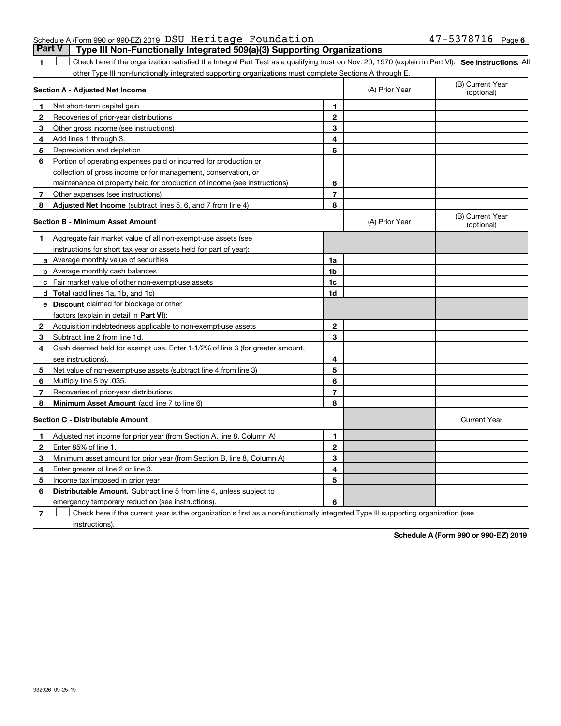| Schedule A (Form 990 or 990-EZ) 2019 DSU Heritage Foundation |                                                                                         | $47 - 5378716$ Page 6 |  |
|--------------------------------------------------------------|-----------------------------------------------------------------------------------------|-----------------------|--|
|                                                              | <b>Part V</b>   Type III Non-Functionally Integrated 509(a)(3) Supporting Organizations |                       |  |

1 Check here if the organization satisfied the Integral Part Test as a qualifying trust on Nov. 20, 1970 (explain in Part VI). See instructions. All other Type III non-functionally integrated supporting organizations must complete Sections A through E.

| Section A - Adjusted Net Income |                                                                              |                | (A) Prior Year | (B) Current Year<br>(optional) |
|---------------------------------|------------------------------------------------------------------------------|----------------|----------------|--------------------------------|
| 1.                              | Net short-term capital gain                                                  | 1              |                |                                |
| 2                               | Recoveries of prior-year distributions                                       | $\overline{2}$ |                |                                |
| 3                               | Other gross income (see instructions)                                        | 3              |                |                                |
| 4                               | Add lines 1 through 3.                                                       | 4              |                |                                |
| 5                               | Depreciation and depletion                                                   | 5              |                |                                |
| 6                               | Portion of operating expenses paid or incurred for production or             |                |                |                                |
|                                 | collection of gross income or for management, conservation, or               |                |                |                                |
|                                 | maintenance of property held for production of income (see instructions)     | 6              |                |                                |
| 7                               | Other expenses (see instructions)                                            | $\overline{7}$ |                |                                |
| 8                               | <b>Adjusted Net Income</b> (subtract lines 5, 6, and 7 from line 4)          | 8              |                |                                |
|                                 | <b>Section B - Minimum Asset Amount</b>                                      |                | (A) Prior Year | (B) Current Year<br>(optional) |
| 1.                              | Aggregate fair market value of all non-exempt-use assets (see                |                |                |                                |
|                                 | instructions for short tax year or assets held for part of year):            |                |                |                                |
|                                 | a Average monthly value of securities                                        | 1a             |                |                                |
|                                 | <b>b</b> Average monthly cash balances                                       | 1 <sub>b</sub> |                |                                |
|                                 | c Fair market value of other non-exempt-use assets                           | 1c             |                |                                |
|                                 | d Total (add lines 1a, 1b, and 1c)                                           | 1d             |                |                                |
|                                 | <b>e</b> Discount claimed for blockage or other                              |                |                |                                |
|                                 | factors (explain in detail in Part VI):                                      |                |                |                                |
| 2                               | Acquisition indebtedness applicable to non-exempt-use assets                 | $\mathbf{2}$   |                |                                |
| 3                               | Subtract line 2 from line 1d.                                                | 3              |                |                                |
| 4                               | Cash deemed held for exempt use. Enter 1-1/2% of line 3 (for greater amount, |                |                |                                |
|                                 | see instructions).                                                           | 4              |                |                                |
| 5                               | Net value of non-exempt-use assets (subtract line 4 from line 3)             | 5              |                |                                |
| 6                               | Multiply line 5 by .035.                                                     | 6              |                |                                |
| 7                               | Recoveries of prior-year distributions                                       | $\overline{7}$ |                |                                |
| 8                               | Minimum Asset Amount (add line 7 to line 6)                                  | 8              |                |                                |
|                                 | <b>Section C - Distributable Amount</b>                                      |                |                | <b>Current Year</b>            |
| 1                               | Adjusted net income for prior year (from Section A, line 8, Column A)        | 1              |                |                                |
| $\mathbf{2}$                    | Enter 85% of line 1                                                          | $\mathbf{2}$   |                |                                |
| 3                               | Minimum asset amount for prior year (from Section B, line 8, Column A)       | 3              |                |                                |
| 4                               | Enter greater of line 2 or line 3.                                           | 4              |                |                                |
| 5                               | Income tax imposed in prior year                                             | 5              |                |                                |
| 6                               | <b>Distributable Amount.</b> Subtract line 5 from line 4, unless subject to  |                |                |                                |
|                                 | emergency temporary reduction (see instructions).                            | 6              |                |                                |

**7**Check here if the current year is the organization's first as a non-functionally integrated Type III supporting organization (see instructions).

**Schedule A (Form 990 or 990-EZ) 2019**

**1**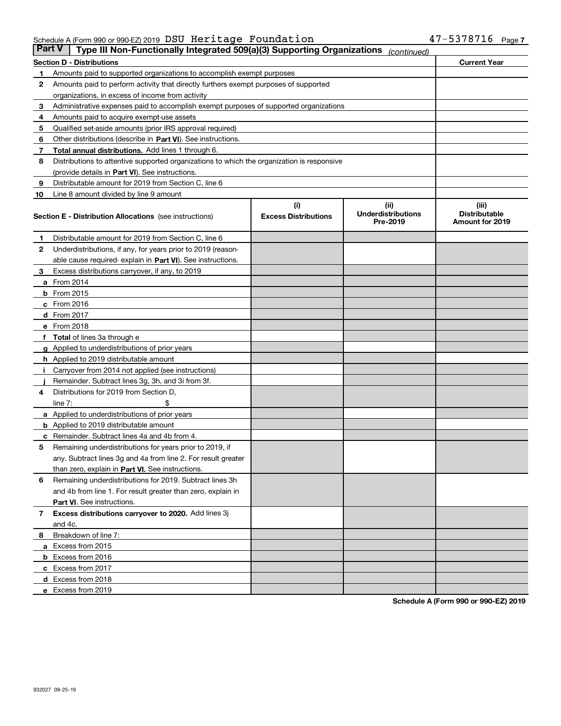| <b>Part V</b> | Type III Non-Functionally Integrated 509(a)(3) Supporting Organizations                    |                             | (continued)                           |                                         |  |
|---------------|--------------------------------------------------------------------------------------------|-----------------------------|---------------------------------------|-----------------------------------------|--|
|               | <b>Current Year</b><br><b>Section D - Distributions</b>                                    |                             |                                       |                                         |  |
| 1             | Amounts paid to supported organizations to accomplish exempt purposes                      |                             |                                       |                                         |  |
| 2             | Amounts paid to perform activity that directly furthers exempt purposes of supported       |                             |                                       |                                         |  |
|               | organizations, in excess of income from activity                                           |                             |                                       |                                         |  |
| 3             | Administrative expenses paid to accomplish exempt purposes of supported organizations      |                             |                                       |                                         |  |
| 4             | Amounts paid to acquire exempt-use assets                                                  |                             |                                       |                                         |  |
| 5             | Qualified set-aside amounts (prior IRS approval required)                                  |                             |                                       |                                         |  |
| 6             | Other distributions (describe in Part VI). See instructions.                               |                             |                                       |                                         |  |
| 7             | <b>Total annual distributions.</b> Add lines 1 through 6.                                  |                             |                                       |                                         |  |
| 8             | Distributions to attentive supported organizations to which the organization is responsive |                             |                                       |                                         |  |
|               | (provide details in Part VI). See instructions.                                            |                             |                                       |                                         |  |
| 9             | Distributable amount for 2019 from Section C, line 6                                       |                             |                                       |                                         |  |
| 10            | Line 8 amount divided by line 9 amount                                                     |                             |                                       |                                         |  |
|               |                                                                                            | (i)                         | (iii)                                 | (iii)                                   |  |
|               | <b>Section E - Distribution Allocations</b> (see instructions)                             | <b>Excess Distributions</b> | <b>Underdistributions</b><br>Pre-2019 | <b>Distributable</b><br>Amount for 2019 |  |
| 1             | Distributable amount for 2019 from Section C, line 6                                       |                             |                                       |                                         |  |
| 2             | Underdistributions, if any, for years prior to 2019 (reason-                               |                             |                                       |                                         |  |
|               | able cause required- explain in Part VI). See instructions.                                |                             |                                       |                                         |  |
| З             | Excess distributions carryover, if any, to 2019                                            |                             |                                       |                                         |  |
|               | <b>a</b> From 2014                                                                         |                             |                                       |                                         |  |
|               | <b>b</b> From 2015                                                                         |                             |                                       |                                         |  |
|               | $c$ From 2016                                                                              |                             |                                       |                                         |  |
|               | d From 2017                                                                                |                             |                                       |                                         |  |
|               | e From 2018                                                                                |                             |                                       |                                         |  |
|               | Total of lines 3a through e                                                                |                             |                                       |                                         |  |
| g             | Applied to underdistributions of prior years                                               |                             |                                       |                                         |  |
|               | <b>h</b> Applied to 2019 distributable amount                                              |                             |                                       |                                         |  |
|               | Carryover from 2014 not applied (see instructions)                                         |                             |                                       |                                         |  |
|               | Remainder. Subtract lines 3g, 3h, and 3i from 3f.                                          |                             |                                       |                                         |  |
| 4             | Distributions for 2019 from Section D,                                                     |                             |                                       |                                         |  |
|               | line $7:$                                                                                  |                             |                                       |                                         |  |
|               | <b>a</b> Applied to underdistributions of prior years                                      |                             |                                       |                                         |  |
|               | <b>b</b> Applied to 2019 distributable amount                                              |                             |                                       |                                         |  |
|               | c Remainder. Subtract lines 4a and 4b from 4.                                              |                             |                                       |                                         |  |
| 5             | Remaining underdistributions for years prior to 2019, if                                   |                             |                                       |                                         |  |
|               | any. Subtract lines 3g and 4a from line 2. For result greater                              |                             |                                       |                                         |  |
|               | than zero, explain in Part VI. See instructions.                                           |                             |                                       |                                         |  |
| 6             | Remaining underdistributions for 2019. Subtract lines 3h                                   |                             |                                       |                                         |  |
|               | and 4b from line 1. For result greater than zero, explain in                               |                             |                                       |                                         |  |
|               | Part VI. See instructions.                                                                 |                             |                                       |                                         |  |
| 7             | Excess distributions carryover to 2020. Add lines 3j                                       |                             |                                       |                                         |  |
|               | and 4c.                                                                                    |                             |                                       |                                         |  |
| 8             | Breakdown of line 7:                                                                       |                             |                                       |                                         |  |
|               | a Excess from 2015                                                                         |                             |                                       |                                         |  |
|               | <b>b</b> Excess from 2016                                                                  |                             |                                       |                                         |  |
|               | c Excess from 2017                                                                         |                             |                                       |                                         |  |
|               | d Excess from 2018                                                                         |                             |                                       |                                         |  |
|               | e Excess from 2019                                                                         |                             |                                       |                                         |  |
|               |                                                                                            |                             |                                       |                                         |  |

**Schedule A (Form 990 or 990-EZ) 2019**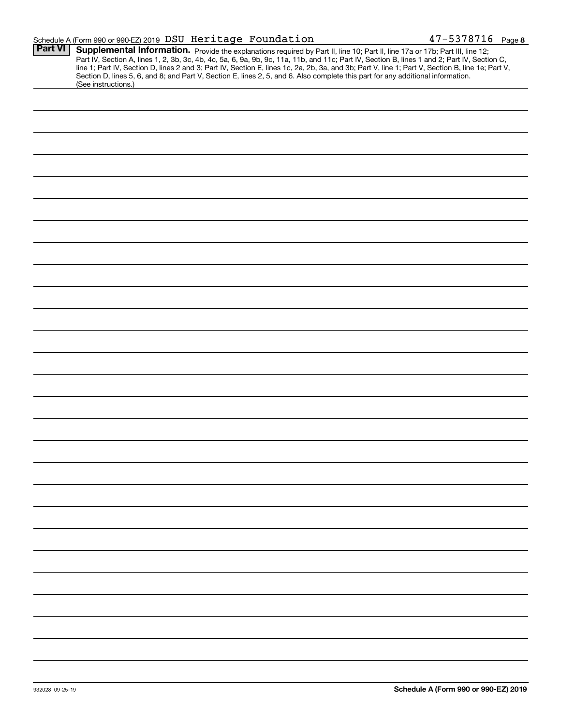|                | Schedule A (Form 990 or 990-EZ) 2019 DSU Heritage Foundation |                                                                                                                                                                                                                                                                                                                                                                                                                                                                                                                                                                      | $47 - 5378716$ Page 8 |
|----------------|--------------------------------------------------------------|----------------------------------------------------------------------------------------------------------------------------------------------------------------------------------------------------------------------------------------------------------------------------------------------------------------------------------------------------------------------------------------------------------------------------------------------------------------------------------------------------------------------------------------------------------------------|-----------------------|
| <b>Part VI</b> |                                                              | Supplemental Information. Provide the explanations required by Part II, line 10; Part II, line 17a or 17b; Part III, line 12;<br>Part IV, Section A, lines 1, 2, 3b, 3c, 4b, 4c, 5a, 6, 9a, 9b, 9c, 11a, 11b, and 11c; Part IV, Section B, lines 1 and 2; Part IV, Section C,<br>line 1; Part IV, Section D, lines 2 and 3; Part IV, Section E, lines 1c, 2a, 2b, 3a, and 3b; Part V, line 1; Part V, Section B, line 1e; Part V,<br>Section D, lines 5, 6, and 8; and Part V, Section E, lines 2, 5, and 6. Also complete this part for any additional information. |                       |
|                | (See instructions.)                                          |                                                                                                                                                                                                                                                                                                                                                                                                                                                                                                                                                                      |                       |
|                |                                                              |                                                                                                                                                                                                                                                                                                                                                                                                                                                                                                                                                                      |                       |
|                |                                                              |                                                                                                                                                                                                                                                                                                                                                                                                                                                                                                                                                                      |                       |
|                |                                                              |                                                                                                                                                                                                                                                                                                                                                                                                                                                                                                                                                                      |                       |
|                |                                                              |                                                                                                                                                                                                                                                                                                                                                                                                                                                                                                                                                                      |                       |
|                |                                                              |                                                                                                                                                                                                                                                                                                                                                                                                                                                                                                                                                                      |                       |
|                |                                                              |                                                                                                                                                                                                                                                                                                                                                                                                                                                                                                                                                                      |                       |
|                |                                                              |                                                                                                                                                                                                                                                                                                                                                                                                                                                                                                                                                                      |                       |
|                |                                                              |                                                                                                                                                                                                                                                                                                                                                                                                                                                                                                                                                                      |                       |
|                |                                                              |                                                                                                                                                                                                                                                                                                                                                                                                                                                                                                                                                                      |                       |
|                |                                                              |                                                                                                                                                                                                                                                                                                                                                                                                                                                                                                                                                                      |                       |
|                |                                                              |                                                                                                                                                                                                                                                                                                                                                                                                                                                                                                                                                                      |                       |
|                |                                                              |                                                                                                                                                                                                                                                                                                                                                                                                                                                                                                                                                                      |                       |
|                |                                                              |                                                                                                                                                                                                                                                                                                                                                                                                                                                                                                                                                                      |                       |
|                |                                                              |                                                                                                                                                                                                                                                                                                                                                                                                                                                                                                                                                                      |                       |
|                |                                                              |                                                                                                                                                                                                                                                                                                                                                                                                                                                                                                                                                                      |                       |
|                |                                                              |                                                                                                                                                                                                                                                                                                                                                                                                                                                                                                                                                                      |                       |
|                |                                                              |                                                                                                                                                                                                                                                                                                                                                                                                                                                                                                                                                                      |                       |
|                |                                                              |                                                                                                                                                                                                                                                                                                                                                                                                                                                                                                                                                                      |                       |
|                |                                                              |                                                                                                                                                                                                                                                                                                                                                                                                                                                                                                                                                                      |                       |
|                |                                                              |                                                                                                                                                                                                                                                                                                                                                                                                                                                                                                                                                                      |                       |
|                |                                                              |                                                                                                                                                                                                                                                                                                                                                                                                                                                                                                                                                                      |                       |
|                |                                                              |                                                                                                                                                                                                                                                                                                                                                                                                                                                                                                                                                                      |                       |
|                |                                                              |                                                                                                                                                                                                                                                                                                                                                                                                                                                                                                                                                                      |                       |
|                |                                                              |                                                                                                                                                                                                                                                                                                                                                                                                                                                                                                                                                                      |                       |
|                |                                                              |                                                                                                                                                                                                                                                                                                                                                                                                                                                                                                                                                                      |                       |
|                |                                                              |                                                                                                                                                                                                                                                                                                                                                                                                                                                                                                                                                                      |                       |
|                |                                                              |                                                                                                                                                                                                                                                                                                                                                                                                                                                                                                                                                                      |                       |
|                |                                                              |                                                                                                                                                                                                                                                                                                                                                                                                                                                                                                                                                                      |                       |
|                |                                                              |                                                                                                                                                                                                                                                                                                                                                                                                                                                                                                                                                                      |                       |
|                |                                                              |                                                                                                                                                                                                                                                                                                                                                                                                                                                                                                                                                                      |                       |
|                |                                                              |                                                                                                                                                                                                                                                                                                                                                                                                                                                                                                                                                                      |                       |
|                |                                                              |                                                                                                                                                                                                                                                                                                                                                                                                                                                                                                                                                                      |                       |
|                |                                                              |                                                                                                                                                                                                                                                                                                                                                                                                                                                                                                                                                                      |                       |
|                |                                                              |                                                                                                                                                                                                                                                                                                                                                                                                                                                                                                                                                                      |                       |
|                |                                                              |                                                                                                                                                                                                                                                                                                                                                                                                                                                                                                                                                                      |                       |
|                |                                                              |                                                                                                                                                                                                                                                                                                                                                                                                                                                                                                                                                                      |                       |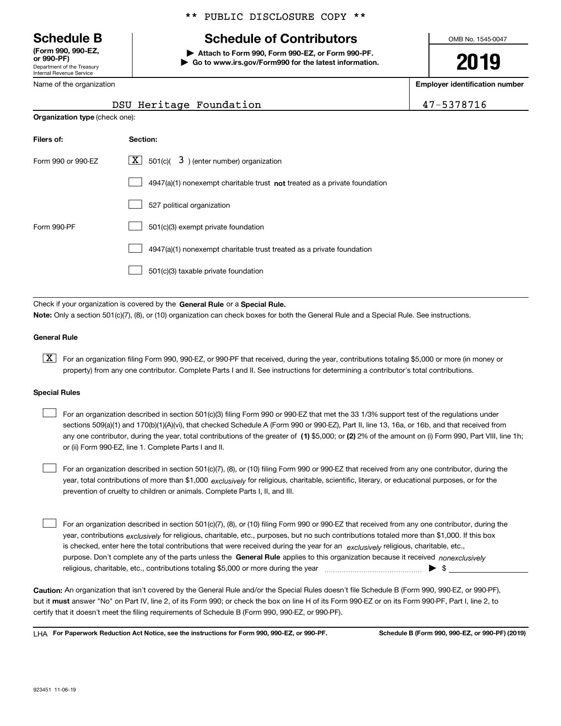Department of the Treasury Internal Revenue Service **(Form 990, 990-EZ, or 990-PF)**

\*\* PUBLIC DISCLOSURE COPY \*\*

# **Schedule B Schedule of Contributors**

**| Attach to Form 990, Form 990-EZ, or Form 990-PF. | Go to www.irs.gov/Form990 for the latest information.** OMB No. 1545-0047

**2019**

**Employer identification number**

| 5378716 |  |
|---------|--|
|---------|--|

| Department of the Treasury |  |  |  |  |
|----------------------------|--|--|--|--|
| Internal Revenue Service   |  |  |  |  |
| Name of the organization   |  |  |  |  |

**Organization type** (check one):

# DSU Heritage Foundation 14

| Filers of:         | Section:                                                                    |
|--------------------|-----------------------------------------------------------------------------|
| Form 990 or 990-FZ | $\lfloor x \rfloor$ 501(c)( 3) (enter number) organization                  |
|                    | $4947(a)(1)$ nonexempt charitable trust not treated as a private foundation |
|                    | 527 political organization                                                  |
| Form 990-PF        | 501(c)(3) exempt private foundation                                         |
|                    | 4947(a)(1) nonexempt charitable trust treated as a private foundation       |
|                    | 501(c)(3) taxable private foundation                                        |

Check if your organization is covered by the **General Rule** or a **Special Rule. Note:**  Only a section 501(c)(7), (8), or (10) organization can check boxes for both the General Rule and a Special Rule. See instructions.

#### **General Rule**

 $\boxed{\textbf{X}}$  For an organization filing Form 990, 990-EZ, or 990-PF that received, during the year, contributions totaling \$5,000 or more (in money or property) from any one contributor. Complete Parts I and II. See instructions for determining a contributor's total contributions.

#### **Special Rules**

any one contributor, during the year, total contributions of the greater of  $\,$  (1) \$5,000; or **(2)** 2% of the amount on (i) Form 990, Part VIII, line 1h; For an organization described in section 501(c)(3) filing Form 990 or 990-EZ that met the 33 1/3% support test of the regulations under sections 509(a)(1) and 170(b)(1)(A)(vi), that checked Schedule A (Form 990 or 990-EZ), Part II, line 13, 16a, or 16b, and that received from or (ii) Form 990-EZ, line 1. Complete Parts I and II.  $\mathcal{L}^{\text{max}}$ 

year, total contributions of more than \$1,000 *exclusively* for religious, charitable, scientific, literary, or educational purposes, or for the For an organization described in section 501(c)(7), (8), or (10) filing Form 990 or 990-EZ that received from any one contributor, during the prevention of cruelty to children or animals. Complete Parts I, II, and III.  $\mathcal{L}^{\text{max}}$ 

purpose. Don't complete any of the parts unless the **General Rule** applies to this organization because it received *nonexclusively* year, contributions <sub>exclusively</sub> for religious, charitable, etc., purposes, but no such contributions totaled more than \$1,000. If this box is checked, enter here the total contributions that were received during the year for an  $\;$ exclusively religious, charitable, etc., For an organization described in section 501(c)(7), (8), or (10) filing Form 990 or 990-EZ that received from any one contributor, during the religious, charitable, etc., contributions totaling \$5,000 or more during the year  $\Box$ — $\Box$   $\Box$  $\mathcal{L}^{\text{max}}$ 

**Caution:**  An organization that isn't covered by the General Rule and/or the Special Rules doesn't file Schedule B (Form 990, 990-EZ, or 990-PF),  **must** but it answer "No" on Part IV, line 2, of its Form 990; or check the box on line H of its Form 990-EZ or on its Form 990-PF, Part I, line 2, to certify that it doesn't meet the filing requirements of Schedule B (Form 990, 990-EZ, or 990-PF).

**For Paperwork Reduction Act Notice, see the instructions for Form 990, 990-EZ, or 990-PF. Schedule B (Form 990, 990-EZ, or 990-PF) (2019)** LHA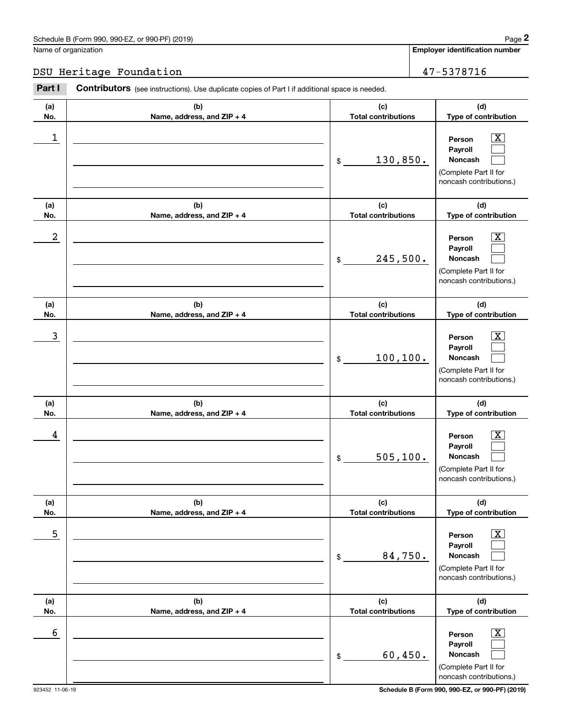## DSU Heritage Foundation 47-5378716

|            | Schedule B (Form 990, 990-EZ, or 990-PF) (2019)                                                       |                                   | Page 2                                                                                                      |
|------------|-------------------------------------------------------------------------------------------------------|-----------------------------------|-------------------------------------------------------------------------------------------------------------|
|            | Name of organization                                                                                  |                                   | Employer identification number                                                                              |
|            | DSU Heritage Foundation                                                                               |                                   | 47-5378716                                                                                                  |
| Part I     | <b>Contributors</b> (see instructions). Use duplicate copies of Part I if additional space is needed. |                                   |                                                                                                             |
| (a)<br>No. | (b)<br>Name, address, and ZIP + 4                                                                     | (c)<br><b>Total contributions</b> | (d)<br>Type of contribution                                                                                 |
| 1          |                                                                                                       | 130,850.<br>\$                    | $\overline{\mathbf{X}}$<br>Person<br>Payroll<br>Noncash<br>(Complete Part II for<br>noncash contributions.) |
| (a)<br>No. | (b)<br>Name, address, and ZIP + 4                                                                     | (c)<br><b>Total contributions</b> | (d)<br>Type of contribution                                                                                 |
| 2          |                                                                                                       | 245,500.<br>\$                    | $\overline{\mathbf{X}}$<br>Person<br>Payroll<br>Noncash<br>(Complete Part II for<br>noncash contributions.) |
| (a)<br>No. | (b)<br>Name, address, and ZIP + 4                                                                     | (c)<br><b>Total contributions</b> | (d)<br>Type of contribution                                                                                 |
| 3          |                                                                                                       | 100, 100.<br>\$                   | $\overline{\mathbf{X}}$<br>Person<br>Payroll<br>Noncash<br>(Complete Part II for<br>noncash contributions.) |
| (a)<br>No. | (b)<br>Name, address, and ZIP + 4                                                                     | (c)<br><b>Total contributions</b> | (d)<br>Type of contribution                                                                                 |
| 4          |                                                                                                       | 505, 100.<br>\$                   | $\mathbf{X}$<br>Person<br>Payroll<br>Noncash<br>(Complete Part II for<br>noncash contributions.)            |
| (a)<br>No. | (b)<br>Name, address, and ZIP + 4                                                                     | (c)<br><b>Total contributions</b> | (d)<br>Type of contribution                                                                                 |
| 5          |                                                                                                       | 84,750.<br>\$                     | $\overline{\text{X}}$<br>Person<br>Payroll<br>Noncash<br>(Complete Part II for<br>noncash contributions.)   |
| (a)<br>No. | (b)<br>Name, address, and ZIP + 4                                                                     | (c)<br><b>Total contributions</b> | (d)<br>Type of contribution                                                                                 |
| 6          |                                                                                                       | 60,450.<br>\$                     | $\overline{\text{X}}$<br>Person<br>Payroll<br>Noncash<br>(Complete Part II for<br>noncash contributions.)   |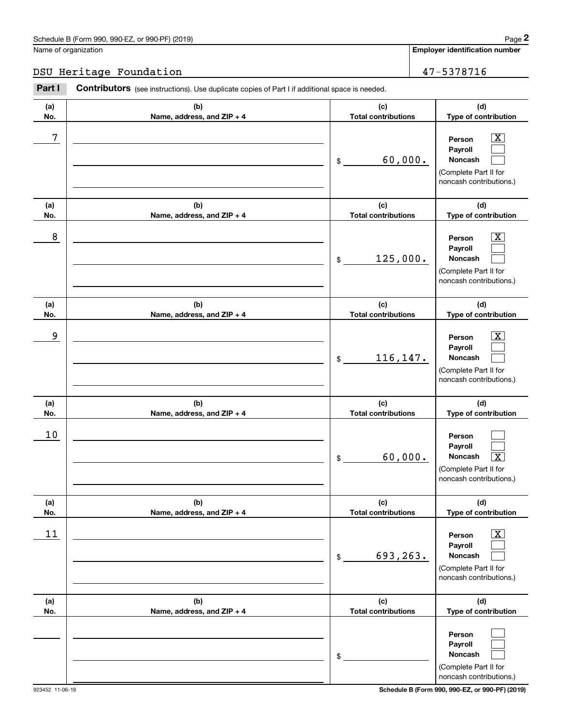## DSU Heritage Foundation 1997 16

|            | Schedule B (Form 990, 990-EZ, or 990-PF) (2019)                                                       |                                   | Page 2                                                                                                      |
|------------|-------------------------------------------------------------------------------------------------------|-----------------------------------|-------------------------------------------------------------------------------------------------------------|
|            | Name of organization                                                                                  |                                   | <b>Employer identification number</b>                                                                       |
|            | DSU Heritage Foundation                                                                               |                                   | 47-5378716                                                                                                  |
| Part I     | <b>Contributors</b> (see instructions). Use duplicate copies of Part I if additional space is needed. |                                   |                                                                                                             |
| (a)<br>No. | (b)<br>Name, address, and ZIP + 4                                                                     | (c)<br><b>Total contributions</b> | (d)<br>Type of contribution                                                                                 |
| 7          |                                                                                                       | 60,000.<br>\$                     | $\overline{\mathbf{X}}$<br>Person<br>Payroll<br>Noncash<br>(Complete Part II for<br>noncash contributions.) |
| (a)<br>No. | (b)<br>Name, address, and ZIP + 4                                                                     | (c)<br><b>Total contributions</b> | (d)<br>Type of contribution                                                                                 |
| 8          |                                                                                                       | 125,000.<br>\$                    | $\overline{\mathbf{X}}$<br>Person<br>Payroll<br>Noncash<br>(Complete Part II for<br>noncash contributions.) |
| (a)<br>No. | (b)<br>Name, address, and ZIP + 4                                                                     | (c)<br><b>Total contributions</b> | (d)<br>Type of contribution                                                                                 |
| 9          |                                                                                                       | 116,147.<br>\$                    | $\overline{\mathbf{X}}$<br>Person<br>Payroll<br>Noncash<br>(Complete Part II for<br>noncash contributions.) |
| (a)<br>No. | (b)<br>Name, address, and ZIP + 4                                                                     | (c)<br><b>Total contributions</b> | (d)<br>Type of contribution                                                                                 |
| 10         |                                                                                                       | 60,000.<br>\$                     | Person<br>Payroll<br>Noncash<br>$\overline{\texttt{X}}$<br>(Complete Part II for<br>noncash contributions.) |
| (a)<br>No. | (b)<br>Name, address, and ZIP + 4                                                                     | (c)<br><b>Total contributions</b> | (d)<br>Type of contribution                                                                                 |
| 11         |                                                                                                       | 693,263.<br>\$                    | $\overline{\text{X}}$<br>Person<br>Payroll<br>Noncash<br>(Complete Part II for<br>noncash contributions.)   |
| (a)<br>No. | (b)<br>Name, address, and ZIP + 4                                                                     | (c)<br><b>Total contributions</b> | (d)<br>Type of contribution                                                                                 |
|            |                                                                                                       | \$                                | Person<br>Payroll<br>Noncash<br>(Complete Part II for<br>noncash contributions.)                            |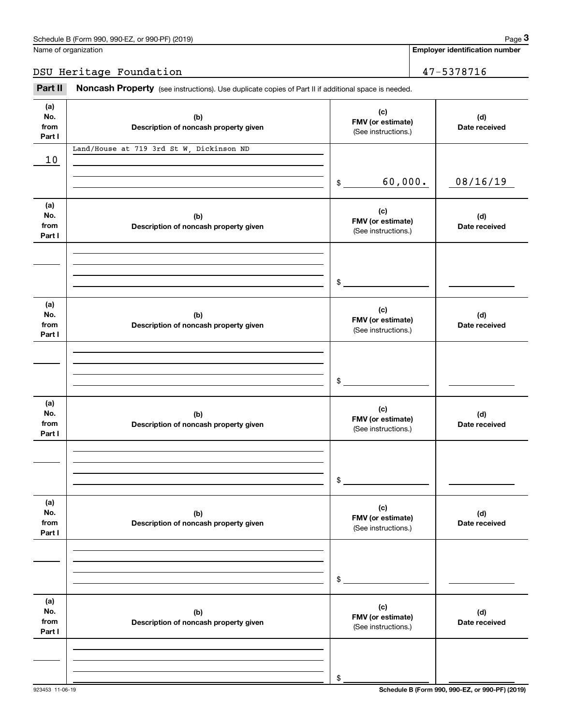**Employer identification number**

DSU Heritage Foundation 47-5378716

Fage 3 Employer identification pumber<br>
Jame of organization<br> **3Part II Noncash Property** (see instructions). Use duplicate copies of Part II if additional space is needed.<br> **2Part II Noncash Property** (see instructions

| (a)<br>No.<br>from<br>Part I | (b)<br>Description of noncash property given | (c)<br>FMV (or estimate)<br>(See instructions.) | (d)<br>Date received |
|------------------------------|----------------------------------------------|-------------------------------------------------|----------------------|
| 10                           | Land/House at 719 3rd St W, Dickinson ND     |                                                 |                      |
|                              |                                              | 60,000.<br>\$                                   | 08/16/19             |
| (a)<br>No.<br>from<br>Part I | (b)<br>Description of noncash property given | (c)<br>FMV (or estimate)<br>(See instructions.) | (d)<br>Date received |
|                              |                                              | \$                                              |                      |
| (a)<br>No.<br>from<br>Part I | (b)<br>Description of noncash property given | (c)<br>FMV (or estimate)<br>(See instructions.) | (d)<br>Date received |
|                              |                                              | \$                                              |                      |
| (a)<br>No.<br>from<br>Part I | (b)<br>Description of noncash property given | (c)<br>FMV (or estimate)<br>(See instructions.) | (d)<br>Date received |
|                              |                                              | \$                                              |                      |
| (a)<br>No.<br>from<br>Part I | (b)<br>Description of noncash property given | (c)<br>FMV (or estimate)<br>(See instructions.) | (d)<br>Date received |
|                              |                                              | \$                                              |                      |
| (a)<br>No.<br>from<br>Part I | (b)<br>Description of noncash property given | (c)<br>FMV (or estimate)<br>(See instructions.) | (d)<br>Date received |
|                              |                                              |                                                 |                      |
|                              |                                              | \$                                              |                      |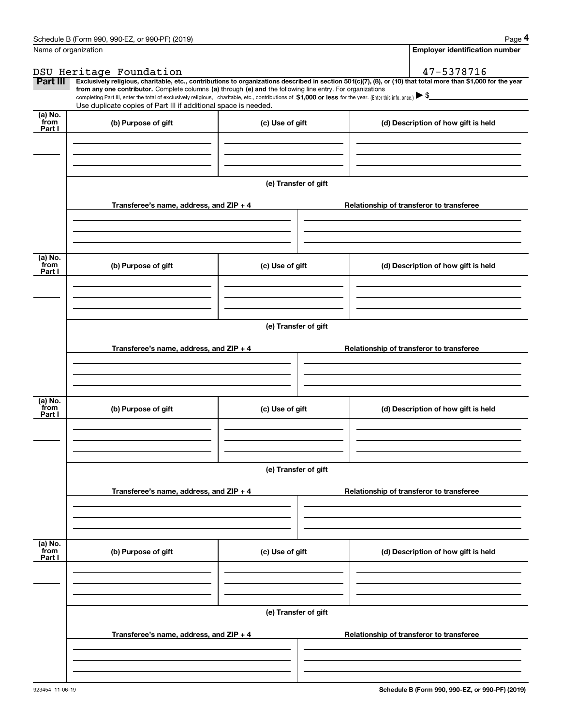|                 | Schedule B (Form 990, 990-EZ, or 990-PF) (2019)                                                                                                                                                                                                                                                 |                      | Page 4                                                                                                                                                         |  |  |
|-----------------|-------------------------------------------------------------------------------------------------------------------------------------------------------------------------------------------------------------------------------------------------------------------------------------------------|----------------------|----------------------------------------------------------------------------------------------------------------------------------------------------------------|--|--|
|                 | Name of organization                                                                                                                                                                                                                                                                            |                      | <b>Employer identification number</b>                                                                                                                          |  |  |
|                 | DSU Heritage Foundation                                                                                                                                                                                                                                                                         |                      | 47-5378716                                                                                                                                                     |  |  |
| Part III        |                                                                                                                                                                                                                                                                                                 |                      | Exclusively religious, charitable, etc., contributions to organizations described in section 501(c)(7), (8), or (10) that total more than \$1,000 for the year |  |  |
|                 | from any one contributor. Complete columns (a) through (e) and the following line entry. For organizations<br>completing Part III, enter the total of exclusively religious, charitable, etc., contributions of \$1,000 or less for the year. (Enter this info. once.) $\blacktriangleright$ \$ |                      |                                                                                                                                                                |  |  |
|                 | Use duplicate copies of Part III if additional space is needed.                                                                                                                                                                                                                                 |                      |                                                                                                                                                                |  |  |
| (a) No.<br>from |                                                                                                                                                                                                                                                                                                 |                      |                                                                                                                                                                |  |  |
| Part I          | (b) Purpose of gift                                                                                                                                                                                                                                                                             | (c) Use of gift      | (d) Description of how gift is held                                                                                                                            |  |  |
|                 |                                                                                                                                                                                                                                                                                                 |                      |                                                                                                                                                                |  |  |
|                 |                                                                                                                                                                                                                                                                                                 |                      |                                                                                                                                                                |  |  |
|                 |                                                                                                                                                                                                                                                                                                 |                      |                                                                                                                                                                |  |  |
|                 |                                                                                                                                                                                                                                                                                                 | (e) Transfer of gift |                                                                                                                                                                |  |  |
|                 |                                                                                                                                                                                                                                                                                                 |                      |                                                                                                                                                                |  |  |
|                 | Transferee's name, address, and ZIP + 4                                                                                                                                                                                                                                                         |                      | Relationship of transferor to transferee                                                                                                                       |  |  |
|                 |                                                                                                                                                                                                                                                                                                 |                      |                                                                                                                                                                |  |  |
|                 |                                                                                                                                                                                                                                                                                                 |                      |                                                                                                                                                                |  |  |
|                 |                                                                                                                                                                                                                                                                                                 |                      |                                                                                                                                                                |  |  |
| (a) No.         |                                                                                                                                                                                                                                                                                                 |                      |                                                                                                                                                                |  |  |
| from<br>Part I  | (b) Purpose of gift                                                                                                                                                                                                                                                                             | (c) Use of gift      | (d) Description of how gift is held                                                                                                                            |  |  |
|                 |                                                                                                                                                                                                                                                                                                 |                      |                                                                                                                                                                |  |  |
|                 |                                                                                                                                                                                                                                                                                                 |                      |                                                                                                                                                                |  |  |
|                 |                                                                                                                                                                                                                                                                                                 |                      |                                                                                                                                                                |  |  |
|                 |                                                                                                                                                                                                                                                                                                 | (e) Transfer of gift |                                                                                                                                                                |  |  |
|                 |                                                                                                                                                                                                                                                                                                 |                      |                                                                                                                                                                |  |  |
|                 | Transferee's name, address, and ZIP + 4                                                                                                                                                                                                                                                         |                      | Relationship of transferor to transferee                                                                                                                       |  |  |
|                 |                                                                                                                                                                                                                                                                                                 |                      |                                                                                                                                                                |  |  |
|                 |                                                                                                                                                                                                                                                                                                 |                      |                                                                                                                                                                |  |  |
|                 |                                                                                                                                                                                                                                                                                                 |                      |                                                                                                                                                                |  |  |
| (a) No.         |                                                                                                                                                                                                                                                                                                 |                      |                                                                                                                                                                |  |  |
| from<br>Part I  | (b) Purpose of gift                                                                                                                                                                                                                                                                             | (c) Use of gift      | (d) Description of how gift is held                                                                                                                            |  |  |
|                 |                                                                                                                                                                                                                                                                                                 |                      |                                                                                                                                                                |  |  |
|                 |                                                                                                                                                                                                                                                                                                 |                      |                                                                                                                                                                |  |  |
|                 |                                                                                                                                                                                                                                                                                                 |                      |                                                                                                                                                                |  |  |
|                 | (e) Transfer of gift                                                                                                                                                                                                                                                                            |                      |                                                                                                                                                                |  |  |
|                 |                                                                                                                                                                                                                                                                                                 |                      |                                                                                                                                                                |  |  |
|                 | Transferee's name, address, and $ZIP + 4$                                                                                                                                                                                                                                                       |                      | Relationship of transferor to transferee                                                                                                                       |  |  |
|                 |                                                                                                                                                                                                                                                                                                 |                      |                                                                                                                                                                |  |  |
|                 |                                                                                                                                                                                                                                                                                                 |                      |                                                                                                                                                                |  |  |
|                 |                                                                                                                                                                                                                                                                                                 |                      |                                                                                                                                                                |  |  |
| (a) No.<br>from |                                                                                                                                                                                                                                                                                                 |                      |                                                                                                                                                                |  |  |
| Part I          | (b) Purpose of gift                                                                                                                                                                                                                                                                             | (c) Use of gift      | (d) Description of how gift is held                                                                                                                            |  |  |
|                 |                                                                                                                                                                                                                                                                                                 |                      |                                                                                                                                                                |  |  |
|                 |                                                                                                                                                                                                                                                                                                 |                      |                                                                                                                                                                |  |  |
|                 |                                                                                                                                                                                                                                                                                                 |                      |                                                                                                                                                                |  |  |
|                 |                                                                                                                                                                                                                                                                                                 | (e) Transfer of gift |                                                                                                                                                                |  |  |
|                 |                                                                                                                                                                                                                                                                                                 |                      |                                                                                                                                                                |  |  |
|                 | Transferee's name, address, and $ZIP + 4$                                                                                                                                                                                                                                                       |                      | Relationship of transferor to transferee                                                                                                                       |  |  |
|                 |                                                                                                                                                                                                                                                                                                 |                      |                                                                                                                                                                |  |  |
|                 |                                                                                                                                                                                                                                                                                                 |                      |                                                                                                                                                                |  |  |
|                 |                                                                                                                                                                                                                                                                                                 |                      |                                                                                                                                                                |  |  |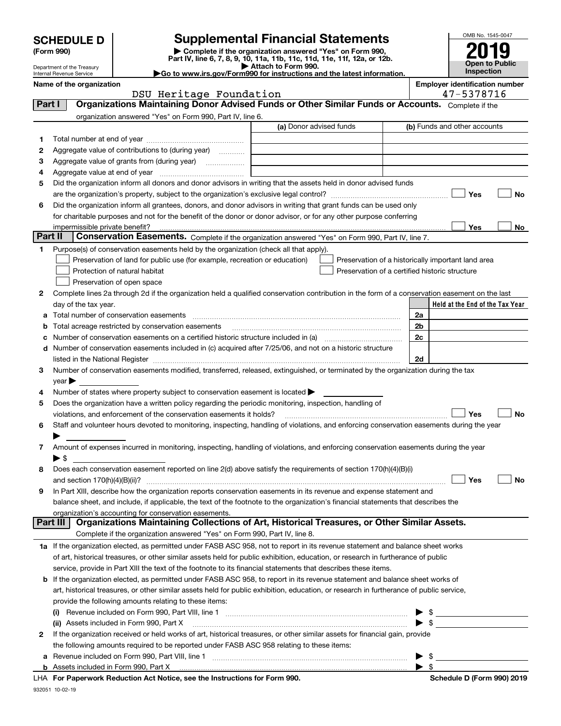| (Form 990) |  |
|------------|--|
|------------|--|

## **SCHEDULE D Supplemental Financial Statements**

(Form 990)<br>
Pepartment of the Treasury<br>
Department of the Treasury<br>
Department of the Treasury<br>
Department of the Treasury<br> **Co to www.irs.gov/Form990 for instructions and the latest information.**<br> **Co to www.irs.gov/Form9** 



Department of the Treasury Internal Revenue Service

|                          | <b>P</b> as a municipally and a construction of the angle of the and the second interest in |                                       |
|--------------------------|---------------------------------------------------------------------------------------------|---------------------------------------|
| Name of the organization |                                                                                             | <b>Emplover identification number</b> |
|                          | DSU Heritage Foundation                                                                     | 47-537871                             |

**Schedule D (Form 990) 2019** 

|         | DSU Heritage Foundation                                                                                                                                                                                                       |                         | 47-5378716                                         |
|---------|-------------------------------------------------------------------------------------------------------------------------------------------------------------------------------------------------------------------------------|-------------------------|----------------------------------------------------|
| Part I  | Organizations Maintaining Donor Advised Funds or Other Similar Funds or Accounts. Complete if the                                                                                                                             |                         |                                                    |
|         | organization answered "Yes" on Form 990, Part IV, line 6.                                                                                                                                                                     |                         |                                                    |
|         |                                                                                                                                                                                                                               | (a) Donor advised funds | (b) Funds and other accounts                       |
| 1       |                                                                                                                                                                                                                               |                         |                                                    |
| 2       | Aggregate value of contributions to (during year)                                                                                                                                                                             |                         |                                                    |
| з       | Aggregate value of grants from (during year)                                                                                                                                                                                  |                         |                                                    |
| 4       |                                                                                                                                                                                                                               |                         |                                                    |
| 5       | Did the organization inform all donors and donor advisors in writing that the assets held in donor advised funds                                                                                                              |                         |                                                    |
|         |                                                                                                                                                                                                                               |                         | Yes<br>No                                          |
| 6       | Did the organization inform all grantees, donors, and donor advisors in writing that grant funds can be used only                                                                                                             |                         |                                                    |
|         | for charitable purposes and not for the benefit of the donor or donor advisor, or for any other purpose conferring                                                                                                            |                         |                                                    |
|         | impermissible private benefit?                                                                                                                                                                                                |                         | Yes<br>No                                          |
| Part II | Conservation Easements. Complete if the organization answered "Yes" on Form 990, Part IV, line 7.                                                                                                                             |                         |                                                    |
| 1.      | Purpose(s) of conservation easements held by the organization (check all that apply).                                                                                                                                         |                         |                                                    |
|         | Preservation of land for public use (for example, recreation or education)                                                                                                                                                    |                         | Preservation of a historically important land area |
|         | Protection of natural habitat                                                                                                                                                                                                 |                         | Preservation of a certified historic structure     |
|         | Preservation of open space                                                                                                                                                                                                    |                         |                                                    |
| 2       | Complete lines 2a through 2d if the organization held a qualified conservation contribution in the form of a conservation easement on the last                                                                                |                         |                                                    |
|         | day of the tax year.                                                                                                                                                                                                          |                         | Held at the End of the Tax Year                    |
| а       |                                                                                                                                                                                                                               |                         | 2a                                                 |
| b       | Total acreage restricted by conservation easements                                                                                                                                                                            |                         | 2b                                                 |
| c       |                                                                                                                                                                                                                               |                         | 2c                                                 |
|         | d Number of conservation easements included in (c) acquired after 7/25/06, and not on a historic structure                                                                                                                    |                         |                                                    |
|         | listed in the National Register [111] Marshall Register [11] Marshall Register [11] Marshall Register [11] Marshall Register [11] Marshall Register [11] Marshall Register [11] Marshall Register [11] Marshall Register [11] |                         | 2d                                                 |
| з       | Number of conservation easements modified, transferred, released, extinguished, or terminated by the organization during the tax                                                                                              |                         |                                                    |
|         | $year \blacktriangleright$                                                                                                                                                                                                    |                         |                                                    |
| 4       | Number of states where property subject to conservation easement is located >                                                                                                                                                 |                         |                                                    |
| 5       | Does the organization have a written policy regarding the periodic monitoring, inspection, handling of                                                                                                                        |                         |                                                    |
|         | violations, and enforcement of the conservation easements it holds?                                                                                                                                                           |                         | Yes<br>No                                          |
| 6       | Staff and volunteer hours devoted to monitoring, inspecting, handling of violations, and enforcing conservation easements during the year                                                                                     |                         |                                                    |
|         |                                                                                                                                                                                                                               |                         |                                                    |
| 7       | Amount of expenses incurred in monitoring, inspecting, handling of violations, and enforcing conservation easements during the year                                                                                           |                         |                                                    |
|         | $\blacktriangleright$ \$<br>Does each conservation easement reported on line 2(d) above satisfy the requirements of section 170(h)(4)(B)(i)                                                                                   |                         |                                                    |
| 8       | and section $170(h)(4)(B)(ii)?$                                                                                                                                                                                               |                         | Yes<br>No                                          |
| 9       | In Part XIII, describe how the organization reports conservation easements in its revenue and expense statement and                                                                                                           |                         |                                                    |
|         | balance sheet, and include, if applicable, the text of the footnote to the organization's financial statements that describes the                                                                                             |                         |                                                    |
|         | organization's accounting for conservation easements.                                                                                                                                                                         |                         |                                                    |
|         | Organizations Maintaining Collections of Art, Historical Treasures, or Other Similar Assets.<br>Part III                                                                                                                      |                         |                                                    |
|         | Complete if the organization answered "Yes" on Form 990, Part IV, line 8.                                                                                                                                                     |                         |                                                    |
|         | 1a If the organization elected, as permitted under FASB ASC 958, not to report in its revenue statement and balance sheet works                                                                                               |                         |                                                    |
|         | of art, historical treasures, or other similar assets held for public exhibition, education, or research in furtherance of public                                                                                             |                         |                                                    |
|         | service, provide in Part XIII the text of the footnote to its financial statements that describes these items.                                                                                                                |                         |                                                    |
|         | <b>b</b> If the organization elected, as permitted under FASB ASC 958, to report in its revenue statement and balance sheet works of                                                                                          |                         |                                                    |
|         | art, historical treasures, or other similar assets held for public exhibition, education, or research in furtherance of public service,                                                                                       |                         |                                                    |
|         | provide the following amounts relating to these items:                                                                                                                                                                        |                         |                                                    |
|         | (i)                                                                                                                                                                                                                           |                         | \$                                                 |
|         | (ii) Assets included in Form 990, Part X                                                                                                                                                                                      |                         | $\blacktriangleright$ s                            |
| 2       | If the organization received or held works of art, historical treasures, or other similar assets for financial gain, provide                                                                                                  |                         |                                                    |
|         | the following amounts required to be reported under FASB ASC 958 relating to these items:                                                                                                                                     |                         |                                                    |
| а       |                                                                                                                                                                                                                               |                         | \$                                                 |
|         |                                                                                                                                                                                                                               |                         | $\blacktriangleright$ s                            |

|  | LHA For Paperwork Reduction Act Notice, see the Instructions for Form 990. |  |  |  |  |
|--|----------------------------------------------------------------------------|--|--|--|--|
|--|----------------------------------------------------------------------------|--|--|--|--|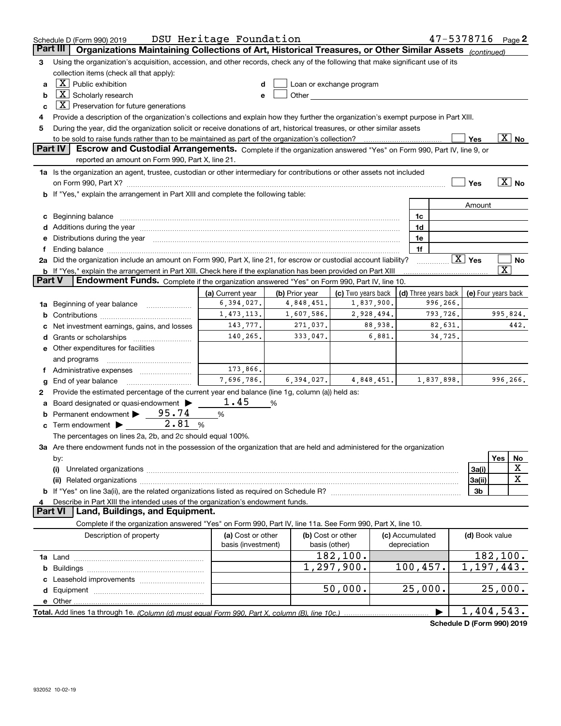|               | Schedule D (Form 990) 2019                                                                                                                                                                                                     | DSU Heritage Foundation                 |                |                                                                                                                                                                                                                                |                                 |          | $47 - 5378716$ Page 2      |                         |                          |
|---------------|--------------------------------------------------------------------------------------------------------------------------------------------------------------------------------------------------------------------------------|-----------------------------------------|----------------|--------------------------------------------------------------------------------------------------------------------------------------------------------------------------------------------------------------------------------|---------------------------------|----------|----------------------------|-------------------------|--------------------------|
|               | Part III<br>Organizations Maintaining Collections of Art, Historical Treasures, or Other Similar Assets (continued)                                                                                                            |                                         |                |                                                                                                                                                                                                                                |                                 |          |                            |                         |                          |
| з             | Using the organization's acquisition, accession, and other records, check any of the following that make significant use of its                                                                                                |                                         |                |                                                                                                                                                                                                                                |                                 |          |                            |                         |                          |
|               | collection items (check all that apply):                                                                                                                                                                                       |                                         |                |                                                                                                                                                                                                                                |                                 |          |                            |                         |                          |
| a             | $X$ Public exhibition                                                                                                                                                                                                          | d                                       |                | Loan or exchange program                                                                                                                                                                                                       |                                 |          |                            |                         |                          |
| b             | $X$ Scholarly research                                                                                                                                                                                                         | e                                       |                | Other the contract of the contract of the contract of the contract of the contract of the contract of the contract of the contract of the contract of the contract of the contract of the contract of the contract of the cont |                                 |          |                            |                         |                          |
| c             | $X$ Preservation for future generations                                                                                                                                                                                        |                                         |                |                                                                                                                                                                                                                                |                                 |          |                            |                         |                          |
| 4             | Provide a description of the organization's collections and explain how they further the organization's exempt purpose in Part XIII.                                                                                           |                                         |                |                                                                                                                                                                                                                                |                                 |          |                            |                         |                          |
| 5             | During the year, did the organization solicit or receive donations of art, historical treasures, or other similar assets                                                                                                       |                                         |                |                                                                                                                                                                                                                                |                                 |          |                            |                         |                          |
|               |                                                                                                                                                                                                                                |                                         |                |                                                                                                                                                                                                                                |                                 |          | Yes                        |                         | $\overline{\text{X}}$ No |
|               | Part IV<br>Escrow and Custodial Arrangements. Complete if the organization answered "Yes" on Form 990, Part IV, line 9, or<br>reported an amount on Form 990, Part X, line 21.                                                 |                                         |                |                                                                                                                                                                                                                                |                                 |          |                            |                         |                          |
|               | 1a Is the organization an agent, trustee, custodian or other intermediary for contributions or other assets not included                                                                                                       |                                         |                |                                                                                                                                                                                                                                |                                 |          |                            |                         |                          |
|               |                                                                                                                                                                                                                                |                                         |                |                                                                                                                                                                                                                                |                                 |          | Yes                        |                         | $\boxed{\text{X}}$ No    |
|               | b If "Yes," explain the arrangement in Part XIII and complete the following table:                                                                                                                                             |                                         |                |                                                                                                                                                                                                                                |                                 |          |                            |                         |                          |
|               |                                                                                                                                                                                                                                |                                         |                |                                                                                                                                                                                                                                |                                 |          | Amount                     |                         |                          |
|               | c Beginning balance measurements and the contract of the contract of the contract of the contract of the contract of the contract of the contract of the contract of the contract of the contract of the contract of the contr |                                         |                |                                                                                                                                                                                                                                | 1c                              |          |                            |                         |                          |
| d             | Additions during the year manufactured and an account of the year manufactured and account of the year manufactured and account of the year manufactured and account of the year manufactured and account of the year manufact |                                         |                |                                                                                                                                                                                                                                | 1d                              |          |                            |                         |                          |
|               | Distributions during the year manufactured and an account of the year manufactured and the year manufactured and the year manufactured and the year manufactured and the year manufactured and the year manufactured and the y |                                         |                |                                                                                                                                                                                                                                | 1e                              |          |                            |                         |                          |
|               |                                                                                                                                                                                                                                |                                         |                |                                                                                                                                                                                                                                | 1f                              |          |                            |                         |                          |
| 2a            | Did the organization include an amount on Form 990, Part X, line 21, for escrow or custodial account liability?                                                                                                                |                                         |                |                                                                                                                                                                                                                                |                                 |          | $\boxed{\text{X}}$ Yes     |                         | No                       |
|               | b If "Yes," explain the arrangement in Part XIII. Check here if the explanation has been provided on Part XIII                                                                                                                 |                                         |                |                                                                                                                                                                                                                                |                                 |          |                            | $\overline{\mathbf{X}}$ |                          |
| <b>Part V</b> | <b>Endowment Funds.</b> Complete if the organization answered "Yes" on Form 990, Part IV, line 10.                                                                                                                             |                                         |                |                                                                                                                                                                                                                                |                                 |          |                            |                         |                          |
|               |                                                                                                                                                                                                                                | (a) Current year                        | (b) Prior year | (c) Two years back                                                                                                                                                                                                             | (d) Three years back            |          | (e) Four years back        |                         |                          |
| 1a            | Beginning of year balance                                                                                                                                                                                                      | 6,394,027.                              | 4,848,451.     | 1,837,900.                                                                                                                                                                                                                     |                                 | 996,266. |                            |                         |                          |
| b             |                                                                                                                                                                                                                                | 1,473,113.                              | 1,607,586.     | 2,928,494.                                                                                                                                                                                                                     |                                 | 793,726. |                            | 995,824.                |                          |
|               | Net investment earnings, gains, and losses                                                                                                                                                                                     | 143,777.                                | 271,037.       | 88,938.                                                                                                                                                                                                                        |                                 | 82,631.  |                            |                         | 442.                     |
| d             |                                                                                                                                                                                                                                | 140,265.                                | 333,047.       | 6,881.                                                                                                                                                                                                                         |                                 | 34,725.  |                            |                         |                          |
|               | e Other expenditures for facilities                                                                                                                                                                                            |                                         |                |                                                                                                                                                                                                                                |                                 |          |                            |                         |                          |
|               | and programs                                                                                                                                                                                                                   |                                         |                |                                                                                                                                                                                                                                |                                 |          |                            |                         |                          |
|               | Administrative expenses                                                                                                                                                                                                        | 173,866.<br>7,696,786.                  | 6,394,027.     |                                                                                                                                                                                                                                |                                 |          |                            |                         |                          |
| g             | End of year balance                                                                                                                                                                                                            |                                         |                | 4,848,451.                                                                                                                                                                                                                     | 1,837,898.                      |          |                            | 996,266.                |                          |
| 2             | Provide the estimated percentage of the current year end balance (line 1g, column (a)) held as:                                                                                                                                | 1.45                                    |                |                                                                                                                                                                                                                                |                                 |          |                            |                         |                          |
| а             | Board designated or quasi-endowment ><br>Permanent endowment > 95.74                                                                                                                                                           |                                         | %              |                                                                                                                                                                                                                                |                                 |          |                            |                         |                          |
|               | 2.81                                                                                                                                                                                                                           | %<br>%                                  |                |                                                                                                                                                                                                                                |                                 |          |                            |                         |                          |
|               | <b>c</b> Term endowment $\blacktriangleright$                                                                                                                                                                                  |                                         |                |                                                                                                                                                                                                                                |                                 |          |                            |                         |                          |
|               | The percentages on lines 2a, 2b, and 2c should equal 100%.<br>3a Are there endowment funds not in the possession of the organization that are held and administered for the organization                                       |                                         |                |                                                                                                                                                                                                                                |                                 |          |                            |                         |                          |
|               | by:                                                                                                                                                                                                                            |                                         |                |                                                                                                                                                                                                                                |                                 |          |                            | Yes                     | No                       |
|               | (i)                                                                                                                                                                                                                            |                                         |                |                                                                                                                                                                                                                                |                                 |          | 3a(i)                      |                         | х                        |
|               | (ii)                                                                                                                                                                                                                           |                                         |                |                                                                                                                                                                                                                                |                                 |          | 3a(ii)                     |                         | X                        |
|               |                                                                                                                                                                                                                                |                                         |                |                                                                                                                                                                                                                                |                                 |          | 3 <sub>b</sub>             |                         |                          |
|               | Describe in Part XIII the intended uses of the organization's endowment funds.                                                                                                                                                 |                                         |                |                                                                                                                                                                                                                                |                                 |          |                            |                         |                          |
|               | <b>Part VI</b><br>Land, Buildings, and Equipment.                                                                                                                                                                              |                                         |                |                                                                                                                                                                                                                                |                                 |          |                            |                         |                          |
|               | Complete if the organization answered "Yes" on Form 990, Part IV, line 11a. See Form 990, Part X, line 10.                                                                                                                     |                                         |                |                                                                                                                                                                                                                                |                                 |          |                            |                         |                          |
|               | Description of property                                                                                                                                                                                                        | (a) Cost or other<br>basis (investment) |                | (b) Cost or other<br>basis (other)                                                                                                                                                                                             | (c) Accumulated<br>depreciation |          | (d) Book value             |                         |                          |
|               |                                                                                                                                                                                                                                |                                         |                | 182,100.                                                                                                                                                                                                                       |                                 |          |                            | 182,100.                |                          |
|               |                                                                                                                                                                                                                                |                                         |                | 1,297,900.                                                                                                                                                                                                                     | 100, 457.                       |          | 1,197,443.                 |                         |                          |
|               |                                                                                                                                                                                                                                |                                         |                |                                                                                                                                                                                                                                |                                 |          |                            |                         |                          |
|               |                                                                                                                                                                                                                                |                                         |                | 50,000.                                                                                                                                                                                                                        | 25,000.                         |          |                            | 25,000.                 |                          |
|               |                                                                                                                                                                                                                                |                                         |                |                                                                                                                                                                                                                                |                                 |          |                            |                         |                          |
|               |                                                                                                                                                                                                                                |                                         |                |                                                                                                                                                                                                                                |                                 |          | 1,404,543.                 |                         |                          |
|               |                                                                                                                                                                                                                                |                                         |                |                                                                                                                                                                                                                                |                                 |          | Cahadule D (Faum 000) 0040 |                         |                          |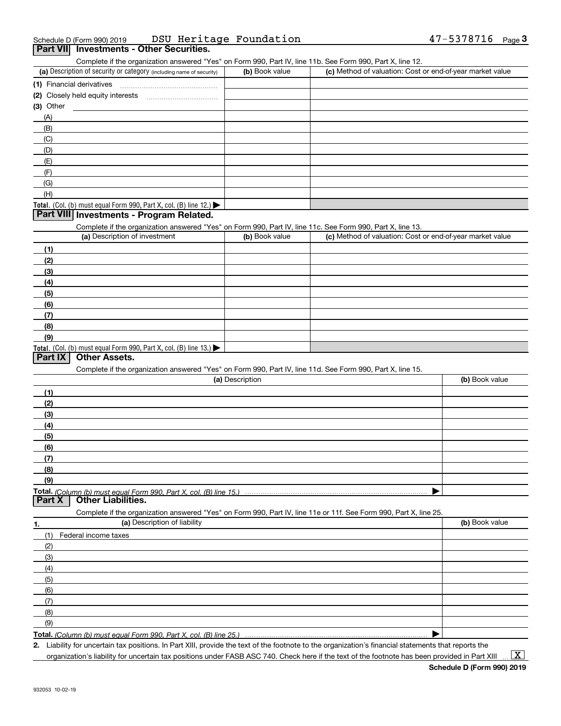| Schedule D (Form 990) 2019 | DSU Heritage Foundation                  | $47 - 5378716$ Page |  |
|----------------------------|------------------------------------------|---------------------|--|
|                            | Part VII Investments - Other Securities. |                     |  |

| Complete if the organization answered "Yes" on Form 990, Part IV, line 11b. See Form 990, Part X, line 12. |                |                                                           |
|------------------------------------------------------------------------------------------------------------|----------------|-----------------------------------------------------------|
| (a) Description of security or category (including name of security)                                       | (b) Book value | (c) Method of valuation: Cost or end-of-year market value |
| (1) Financial derivatives                                                                                  |                |                                                           |
| (2) Closely held equity interests                                                                          |                |                                                           |
| $(3)$ Other                                                                                                |                |                                                           |
| (A)                                                                                                        |                |                                                           |
| (B)                                                                                                        |                |                                                           |
| (C)                                                                                                        |                |                                                           |
| (D)                                                                                                        |                |                                                           |
| (E)                                                                                                        |                |                                                           |
| (F)                                                                                                        |                |                                                           |
| (G)                                                                                                        |                |                                                           |
| (H)                                                                                                        |                |                                                           |
| <b>Total.</b> (Col. (b) must equal Form 990, Part X, col. (B) line 12.) $\blacktriangleright$              |                |                                                           |
| Part VIII Investments - Program Related.                                                                   |                |                                                           |

#### **Part VIII Investments - Program Related.**

Complete if the organization answered "Yes" on Form 990, Part IV, line 11c. See Form 990, Part X, line 13.

| (a) Description of investment                                       | (b) Book value | (c) Method of valuation: Cost or end-of-year market value |
|---------------------------------------------------------------------|----------------|-----------------------------------------------------------|
| (1)                                                                 |                |                                                           |
| (2)                                                                 |                |                                                           |
| $\frac{1}{2}$                                                       |                |                                                           |
| (4)                                                                 |                |                                                           |
| (5)                                                                 |                |                                                           |
| (6)                                                                 |                |                                                           |
| (7)                                                                 |                |                                                           |
| (8)                                                                 |                |                                                           |
| (9)                                                                 |                |                                                           |
| Total. (Col. (b) must equal Form 990, Part X, col. (B) line $13.$ ) |                |                                                           |

#### **Part IX Other Assets.**

Complete if the organization answered "Yes" on Form 990, Part IV, line 11d. See Form 990, Part X, line 15.

|        | (a) Description                                                                                                   | (b) Book value |
|--------|-------------------------------------------------------------------------------------------------------------------|----------------|
| (1)    |                                                                                                                   |                |
| (2)    |                                                                                                                   |                |
| (3)    |                                                                                                                   |                |
| (4)    |                                                                                                                   |                |
| (5)    |                                                                                                                   |                |
| (6)    |                                                                                                                   |                |
| (7)    |                                                                                                                   |                |
| (8)    |                                                                                                                   |                |
| (9)    |                                                                                                                   |                |
|        |                                                                                                                   |                |
| Part X | Other Liabilities.                                                                                                |                |
|        | Complete if the organization answered "Yes" on Form 990, Part IV, line 11e or 11f. See Form 990, Part X, line 25. |                |
|        | (a) Description of liability                                                                                      | (b) Book value |
| (1)    | Federal income taxes                                                                                              |                |
| (2)    |                                                                                                                   |                |
| (3)    |                                                                                                                   |                |
| (4)    |                                                                                                                   |                |

| Total.<br>I Form 990. Part X<br>ົດຂ<br>col<br>ı (b) must equal .<br>(Column<br>lıne<br>$\sim$ |  |
|-----------------------------------------------------------------------------------------------|--|

**2.**Liability for uncertain tax positions. In Part XIII, provide the text of the footnote to the organization's financial statements that reports the organization's liability for uncertain tax positions under FASB ASC 740. Check here if the text of the footnote has been provided in Part XIII

 $\vert$  X  $\vert$ 

 $\blacktriangleright$ 

(5) (6)(7)(8)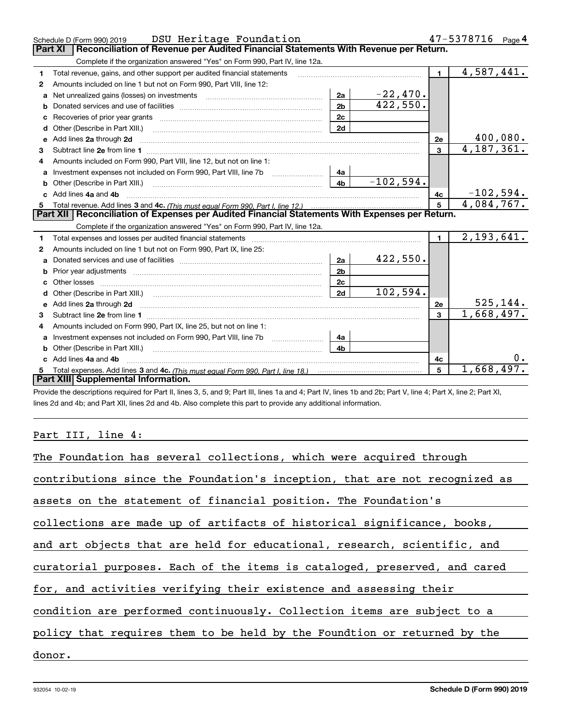|    | Schedule D (Form 990) 2019 DSU Heritage Foundation                                                    |                |             |                         | 47-5378716<br>Page 4     |
|----|-------------------------------------------------------------------------------------------------------|----------------|-------------|-------------------------|--------------------------|
|    | Reconciliation of Revenue per Audited Financial Statements With Revenue per Return.<br><b>Part XI</b> |                |             |                         |                          |
|    | Complete if the organization answered "Yes" on Form 990, Part IV, line 12a.                           |                |             |                         |                          |
| 1  | Total revenue, gains, and other support per audited financial statements                              |                |             | $\blacksquare$          | $\overline{4,587,441.}$  |
| 2  | Amounts included on line 1 but not on Form 990, Part VIII, line 12:                                   |                |             |                         |                          |
| a  |                                                                                                       | 2a             | $-22,470.$  |                         |                          |
|    |                                                                                                       | 2 <sub>b</sub> | 422,550.    |                         |                          |
| c  |                                                                                                       | 2c             |             |                         |                          |
| d  |                                                                                                       | 2d             |             |                         |                          |
| е  | Add lines 2a through 2d                                                                               |                |             | 2e                      | 400,080.                 |
| 3  |                                                                                                       |                |             | $\mathbf{3}$            | $\overline{4,}187,361.$  |
| 4  | Amounts included on Form 990, Part VIII, line 12, but not on line 1:                                  |                |             |                         |                          |
|    | Investment expenses not included on Form 990, Part VIII, line 7b [11, 111, 111, 121, 131, 148]        |                |             |                         |                          |
| b  |                                                                                                       | 4 <sub>b</sub> | $-102,594.$ |                         |                          |
|    | c Add lines 4a and 4b                                                                                 |                |             | 4c                      | $-102,594.$              |
|    |                                                                                                       |                |             | 5                       | 4,084,767.               |
|    |                                                                                                       |                |             |                         |                          |
|    | Part XII   Reconciliation of Expenses per Audited Financial Statements With Expenses per Return.      |                |             |                         |                          |
|    | Complete if the organization answered "Yes" on Form 990, Part IV, line 12a.                           |                |             |                         |                          |
| 1. |                                                                                                       |                |             | $\blacksquare$          | 2,193,641.               |
| 2  | Amounts included on line 1 but not on Form 990, Part IX, line 25:                                     |                |             |                         |                          |
| a  |                                                                                                       | 2a             | 422,550.    |                         |                          |
|    | Prior year adjustments <i>www.www.www.www.www.www.www.www.www.</i> ww.                                | 2 <sub>b</sub> |             |                         |                          |
| C. |                                                                                                       | 2 <sub>c</sub> |             |                         |                          |
| d  |                                                                                                       | 2d             | 102,594.    |                         |                          |
|    |                                                                                                       |                |             | 2e                      | 525, 144.                |
| З. |                                                                                                       |                |             | $\overline{\mathbf{3}}$ | 1,668,497.               |
| 4  | Amounts included on Form 990, Part IX, line 25, but not on line 1:                                    |                |             |                         |                          |
| a  | Investment expenses not included on Form 990, Part VIII, line 7b [1000000000000000000000000000000000  | 4a             |             |                         |                          |
| b  |                                                                                                       | 4 <sub>b</sub> |             |                         |                          |
|    | Add lines 4a and 4b                                                                                   |                |             | 4с                      |                          |
|    | Part XIII Supplemental Information.                                                                   |                |             | 5                       | $\overline{1,668,497}$ . |

Provide the descriptions required for Part II, lines 3, 5, and 9; Part III, lines 1a and 4; Part IV, lines 1b and 2b; Part V, line 4; Part X, line 2; Part XI, lines 2d and 4b; and Part XII, lines 2d and 4b. Also complete this part to provide any additional information.

## Part III, line 4:

| The Foundation has several collections, which were acquired through        |
|----------------------------------------------------------------------------|
| contributions since the Foundation's inception, that are not recognized as |
| assets on the statement of financial position. The Foundation's            |
| collections are made up of artifacts of historical significance, books,    |
| and art objects that are held for educational, research, scientific, and   |
| curatorial purposes. Each of the items is cataloged, preserved, and cared  |
| for, and activities verifying their existence and assessing their          |
| condition are performed continuously. Collection items are subject to a    |
| policy that requires them to be held by the Foundtion or returned by the   |
| donor.                                                                     |
|                                                                            |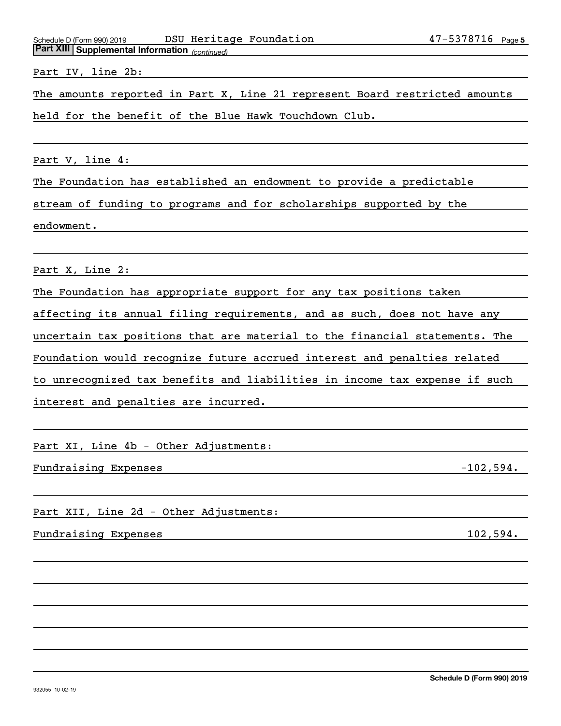*(continued)* **Part XIII Supplemental Information**  Schedule D (Form 990) 2019 DSU Heritage Foundation 47-5378716 page

Part IV, line 2b:

The amounts reported in Part X, Line 21 represent Board restricted amounts

held for the benefit of the Blue Hawk Touchdown Club.

Part V, line 4:

The Foundation has established an endowment to provide a predictable

stream of funding to programs and for scholarships supported by the

endowment.

Part X, Line 2:

The Foundation has appropriate support for any tax positions taken

affecting its annual filing requirements, and as such, does not have any

uncertain tax positions that are material to the financial statements. The

Foundation would recognize future accrued interest and penalties related

to unrecognized tax benefits and liabilities in income tax expense if such

interest and penalties are incurred.

Part XI, Line 4b - Other Adjustments:

Fundraising Expenses  $-102,594$ .

Part XII, Line 2d - Other Adjustments:

Fundraising Expenses 102,594.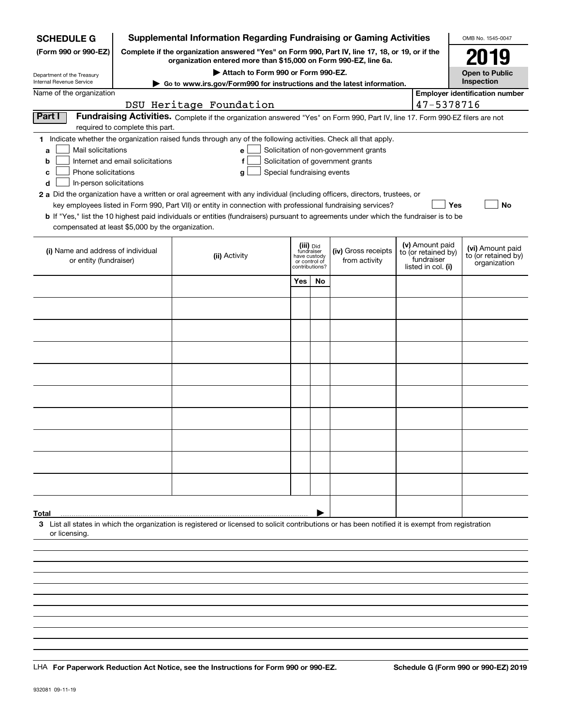| <b>SCHEDULE G</b>                                            |                                  | <b>Supplemental Information Regarding Fundraising or Gaming Activities</b>                                                                                          |                            |                                                                            |                                       |                                                                            | OMB No. 1545-0047                                       |
|--------------------------------------------------------------|----------------------------------|---------------------------------------------------------------------------------------------------------------------------------------------------------------------|----------------------------|----------------------------------------------------------------------------|---------------------------------------|----------------------------------------------------------------------------|---------------------------------------------------------|
| (Form 990 or 990-EZ)                                         |                                  | Complete if the organization answered "Yes" on Form 990, Part IV, line 17, 18, or 19, or if the<br>organization entered more than \$15,000 on Form 990-EZ, line 6a. |                            |                                                                            |                                       |                                                                            | 2019                                                    |
| Department of the Treasury                                   |                                  | Attach to Form 990 or Form 990-EZ.                                                                                                                                  |                            |                                                                            |                                       |                                                                            | <b>Open to Public</b>                                   |
| Internal Revenue Service                                     |                                  | Go to www.irs.gov/Form990 for instructions and the latest information.                                                                                              |                            |                                                                            |                                       |                                                                            | Inspection                                              |
| Name of the organization                                     |                                  |                                                                                                                                                                     |                            |                                                                            |                                       | 47-5378716                                                                 | <b>Employer identification number</b>                   |
| Part I                                                       |                                  | DSU Heritage Foundation                                                                                                                                             |                            |                                                                            |                                       |                                                                            |                                                         |
|                                                              | required to complete this part.  | Fundraising Activities. Complete if the organization answered "Yes" on Form 990, Part IV, line 17. Form 990-EZ filers are not                                       |                            |                                                                            |                                       |                                                                            |                                                         |
|                                                              |                                  | 1 Indicate whether the organization raised funds through any of the following activities. Check all that apply.                                                     |                            |                                                                            |                                       |                                                                            |                                                         |
| Mail solicitations<br>a                                      |                                  | e                                                                                                                                                                   |                            |                                                                            | Solicitation of non-government grants |                                                                            |                                                         |
| b                                                            | Internet and email solicitations | f                                                                                                                                                                   |                            |                                                                            | Solicitation of government grants     |                                                                            |                                                         |
| Phone solicitations<br>c                                     |                                  | g                                                                                                                                                                   | Special fundraising events |                                                                            |                                       |                                                                            |                                                         |
| In-person solicitations<br>d                                 |                                  |                                                                                                                                                                     |                            |                                                                            |                                       |                                                                            |                                                         |
|                                                              |                                  | 2 a Did the organization have a written or oral agreement with any individual (including officers, directors, trustees, or                                          |                            |                                                                            |                                       |                                                                            |                                                         |
|                                                              |                                  | key employees listed in Form 990, Part VII) or entity in connection with professional fundraising services?                                                         |                            |                                                                            |                                       | Yes                                                                        | No                                                      |
|                                                              |                                  | <b>b</b> If "Yes," list the 10 highest paid individuals or entities (fundraisers) pursuant to agreements under which the fundraiser is to be                        |                            |                                                                            |                                       |                                                                            |                                                         |
| compensated at least \$5,000 by the organization.            |                                  |                                                                                                                                                                     |                            |                                                                            |                                       |                                                                            |                                                         |
| (i) Name and address of individual<br>or entity (fundraiser) |                                  | (ii) Activity                                                                                                                                                       |                            | (iii) Did<br>fundraiser<br>have custody<br>or control of<br>contributions? | (iv) Gross receipts<br>from activity  | (v) Amount paid<br>to (or retained by)<br>fundraiser<br>listed in col. (i) | (vi) Amount paid<br>to (or retained by)<br>organization |
|                                                              |                                  |                                                                                                                                                                     |                            |                                                                            |                                       |                                                                            |                                                         |
|                                                              |                                  |                                                                                                                                                                     | Yes                        | <b>No</b>                                                                  |                                       |                                                                            |                                                         |
|                                                              |                                  |                                                                                                                                                                     |                            |                                                                            |                                       |                                                                            |                                                         |
|                                                              |                                  |                                                                                                                                                                     |                            |                                                                            |                                       |                                                                            |                                                         |
|                                                              |                                  |                                                                                                                                                                     |                            |                                                                            |                                       |                                                                            |                                                         |
|                                                              |                                  |                                                                                                                                                                     |                            |                                                                            |                                       |                                                                            |                                                         |
|                                                              |                                  |                                                                                                                                                                     |                            |                                                                            |                                       |                                                                            |                                                         |
|                                                              |                                  |                                                                                                                                                                     |                            |                                                                            |                                       |                                                                            |                                                         |
|                                                              |                                  |                                                                                                                                                                     |                            |                                                                            |                                       |                                                                            |                                                         |
|                                                              |                                  |                                                                                                                                                                     |                            |                                                                            |                                       |                                                                            |                                                         |
|                                                              |                                  |                                                                                                                                                                     |                            |                                                                            |                                       |                                                                            |                                                         |
|                                                              |                                  |                                                                                                                                                                     |                            |                                                                            |                                       |                                                                            |                                                         |
|                                                              |                                  |                                                                                                                                                                     |                            |                                                                            |                                       |                                                                            |                                                         |
|                                                              |                                  |                                                                                                                                                                     |                            |                                                                            |                                       |                                                                            |                                                         |
|                                                              |                                  |                                                                                                                                                                     |                            |                                                                            |                                       |                                                                            |                                                         |
|                                                              |                                  |                                                                                                                                                                     |                            |                                                                            |                                       |                                                                            |                                                         |
|                                                              |                                  |                                                                                                                                                                     |                            |                                                                            |                                       |                                                                            |                                                         |
|                                                              |                                  |                                                                                                                                                                     |                            |                                                                            |                                       |                                                                            |                                                         |
|                                                              |                                  |                                                                                                                                                                     |                            |                                                                            |                                       |                                                                            |                                                         |
| Total                                                        |                                  |                                                                                                                                                                     |                            |                                                                            |                                       |                                                                            |                                                         |
| or licensing                                                 |                                  | 3 List all states in which the organization is registered or licensed to solicit contributions or has been notified it is exempt from registration                  |                            |                                                                            |                                       |                                                                            |                                                         |
|                                                              |                                  |                                                                                                                                                                     |                            |                                                                            |                                       |                                                                            |                                                         |
|                                                              |                                  |                                                                                                                                                                     |                            |                                                                            |                                       |                                                                            |                                                         |
|                                                              |                                  |                                                                                                                                                                     |                            |                                                                            |                                       |                                                                            |                                                         |
|                                                              |                                  |                                                                                                                                                                     |                            |                                                                            |                                       |                                                                            |                                                         |
|                                                              |                                  |                                                                                                                                                                     |                            |                                                                            |                                       |                                                                            |                                                         |

LHA For Paperwork Reduction Act Notice, see the Instructions for Form 990 or 990-EZ. Schedule G (Form 990 or 990-EZ) 2019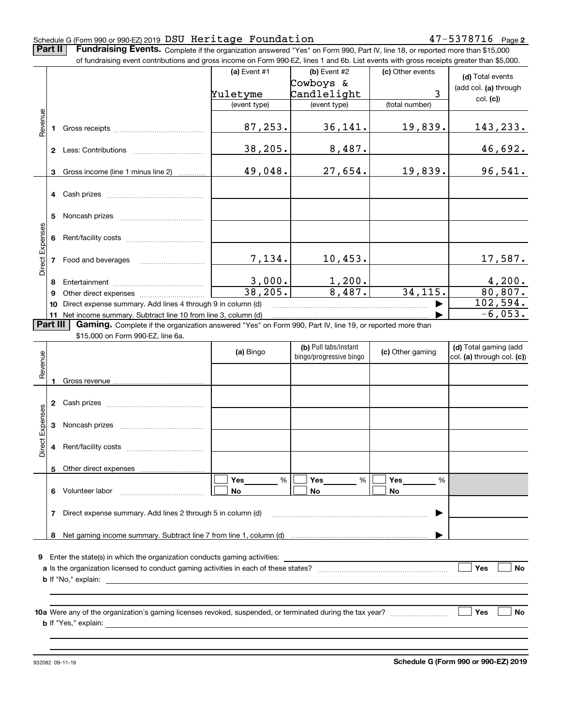#### Schedule G (Form 990 or 990-EZ) 2019 Page DSU Heritage Foundation 47-5378716

**Part II** | Fundraising Events. Complete if the organization answered "Yes" on Form 990, Part IV, line 18, or reported more than \$15,000

|                 |          | of fundraising event contributions and gross income on Form 990-EZ, lines 1 and 6b. List events with gross receipts greater than \$5,000.                                          |                        |                         |                  |                            |
|-----------------|----------|------------------------------------------------------------------------------------------------------------------------------------------------------------------------------------|------------------------|-------------------------|------------------|----------------------------|
|                 |          |                                                                                                                                                                                    | (a) Event #1           | (b) Event #2            | (c) Other events | (d) Total events           |
|                 |          |                                                                                                                                                                                    |                        | Cowboys &               |                  | (add col. (a) through      |
|                 |          |                                                                                                                                                                                    | Yuletyme               | Candlelight             | 3                | col. (c)                   |
|                 |          |                                                                                                                                                                                    | (event type)           | (event type)            | (total number)   |                            |
| Revenue         |          |                                                                                                                                                                                    |                        |                         |                  |                            |
|                 |          |                                                                                                                                                                                    | 87,253.                | 36,141.                 | 19,839.          | <u>143,233.</u>            |
|                 |          |                                                                                                                                                                                    |                        |                         |                  |                            |
|                 |          |                                                                                                                                                                                    | 38,205.                | 8,487.                  |                  | 46,692.                    |
|                 |          |                                                                                                                                                                                    |                        |                         |                  |                            |
|                 |          | 3 Gross income (line 1 minus line 2)                                                                                                                                               | 49,048.                | 27,654.                 | 19,839.          | 96,541.                    |
|                 |          |                                                                                                                                                                                    |                        |                         |                  |                            |
|                 |          |                                                                                                                                                                                    |                        |                         |                  |                            |
|                 |          |                                                                                                                                                                                    |                        |                         |                  |                            |
|                 | 5        |                                                                                                                                                                                    |                        |                         |                  |                            |
|                 |          |                                                                                                                                                                                    |                        |                         |                  |                            |
|                 |          |                                                                                                                                                                                    |                        |                         |                  |                            |
| Direct Expenses |          |                                                                                                                                                                                    |                        |                         |                  |                            |
|                 |          |                                                                                                                                                                                    | 7,134.                 | 10,453.                 |                  | 17,587.                    |
|                 |          |                                                                                                                                                                                    |                        |                         |                  |                            |
|                 |          |                                                                                                                                                                                    |                        |                         |                  |                            |
|                 | 8        |                                                                                                                                                                                    | $\frac{3,000}{38,205}$ | $\frac{1,200}{8,487}$ . | 34, 115.         | $\frac{4,200}{80,807}$ .   |
|                 | 9        |                                                                                                                                                                                    |                        |                         |                  | 102,594.                   |
|                 | 10       | Direct expense summary. Add lines 4 through 9 in column (d)                                                                                                                        |                        |                         |                  | $-6,053.$                  |
|                 | Part III | 11 Net income summary. Subtract line 10 from line 3, column (d)<br><b>Gaming.</b> Complete if the organization answered "Yes" on Form 990, Part IV, line 19, or reported more than |                        |                         |                  |                            |
|                 |          | \$15,000 on Form 990-EZ, line 6a.                                                                                                                                                  |                        |                         |                  |                            |
|                 |          |                                                                                                                                                                                    |                        | (b) Pull tabs/instant   |                  | (d) Total gaming (add      |
|                 |          |                                                                                                                                                                                    | (a) Bingo              | bingo/progressive bingo | (c) Other gaming | col. (a) through col. (c)) |
| Revenue         |          |                                                                                                                                                                                    |                        |                         |                  |                            |
|                 |          |                                                                                                                                                                                    |                        |                         |                  |                            |
|                 |          |                                                                                                                                                                                    |                        |                         |                  |                            |
|                 |          |                                                                                                                                                                                    |                        |                         |                  |                            |
|                 |          |                                                                                                                                                                                    |                        |                         |                  |                            |
| Expenses        |          |                                                                                                                                                                                    |                        |                         |                  |                            |
|                 |          |                                                                                                                                                                                    |                        |                         |                  |                            |
| Direct          |          |                                                                                                                                                                                    |                        |                         |                  |                            |
|                 |          |                                                                                                                                                                                    |                        |                         |                  |                            |
|                 |          | 5 Other direct expenses                                                                                                                                                            |                        |                         |                  |                            |
|                 |          |                                                                                                                                                                                    | %<br>Yes               | Yes<br>%                | Yes<br>%         |                            |
|                 |          | 6 Volunteer labor                                                                                                                                                                  |                        |                         |                  |                            |
|                 |          |                                                                                                                                                                                    | No                     | No                      | No               |                            |
|                 |          |                                                                                                                                                                                    |                        |                         |                  |                            |
|                 | 7        | Direct expense summary. Add lines 2 through 5 in column (d)                                                                                                                        |                        |                         |                  |                            |
|                 |          |                                                                                                                                                                                    |                        |                         |                  |                            |
|                 |          |                                                                                                                                                                                    |                        |                         |                  |                            |
|                 |          | <b>9</b> Enter the state(s) in which the organization conducts gaming activities:                                                                                                  |                        |                         |                  |                            |
|                 |          |                                                                                                                                                                                    |                        |                         |                  | Yes<br>No                  |
|                 |          |                                                                                                                                                                                    |                        |                         |                  |                            |
|                 |          |                                                                                                                                                                                    |                        |                         |                  |                            |
|                 |          |                                                                                                                                                                                    |                        |                         |                  |                            |
|                 |          |                                                                                                                                                                                    |                        |                         |                  | Yes<br>No                  |
|                 |          |                                                                                                                                                                                    |                        |                         |                  |                            |
|                 |          |                                                                                                                                                                                    |                        |                         |                  |                            |
|                 |          |                                                                                                                                                                                    |                        |                         |                  |                            |

**Schedule G (Form 990 or 990-EZ) 2019**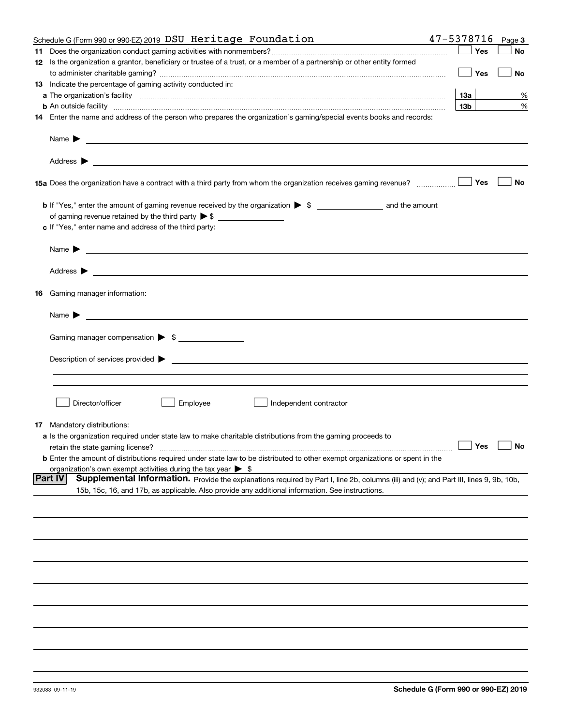|    | Schedule G (Form 990 or 990-EZ) 2019 DSU Heritage Foundation                                                                                                                                                                                                 | 47-5378716      | Page 3    |    |
|----|--------------------------------------------------------------------------------------------------------------------------------------------------------------------------------------------------------------------------------------------------------------|-----------------|-----------|----|
| 11 |                                                                                                                                                                                                                                                              |                 | Yes       | No |
|    | 12 Is the organization a grantor, beneficiary or trustee of a trust, or a member of a partnership or other entity formed                                                                                                                                     |                 |           |    |
|    |                                                                                                                                                                                                                                                              |                 | Yes       | No |
|    | 13 Indicate the percentage of gaming activity conducted in:                                                                                                                                                                                                  |                 |           |    |
|    |                                                                                                                                                                                                                                                              | <b>13a</b>      |           | %  |
|    | <b>b</b> An outside facility <i>www.communically.communically.communically.communically.communically.communically.communically.communically.communically.communically.communically.communically.communically.communically.communicall</i>                    | 13 <sub>b</sub> |           | %  |
|    | 14 Enter the name and address of the person who prepares the organization's gaming/special events books and records:                                                                                                                                         |                 |           |    |
|    | Name $\blacktriangleright$<br><u> 1989 - Andrea State Barbara, amerikan personal di sebagai personal di sebagai personal di sebagai personal di</u>                                                                                                          |                 |           |    |
|    |                                                                                                                                                                                                                                                              |                 |           |    |
|    |                                                                                                                                                                                                                                                              |                 | Yes       | No |
|    |                                                                                                                                                                                                                                                              |                 |           |    |
|    |                                                                                                                                                                                                                                                              |                 |           |    |
|    | c If "Yes," enter name and address of the third party:                                                                                                                                                                                                       |                 |           |    |
|    | Name $\blacktriangleright$                                                                                                                                                                                                                                   |                 |           |    |
|    | Address $\blacktriangleright$                                                                                                                                                                                                                                |                 |           |    |
| 16 | Gaming manager information:                                                                                                                                                                                                                                  |                 |           |    |
|    | Name $\blacktriangleright$                                                                                                                                                                                                                                   |                 |           |    |
|    | Gaming manager compensation > \$                                                                                                                                                                                                                             |                 |           |    |
|    |                                                                                                                                                                                                                                                              |                 |           |    |
|    | $\blacksquare$ Description of services provided $\blacktriangleright$                                                                                                                                                                                        |                 |           |    |
|    |                                                                                                                                                                                                                                                              |                 |           |    |
|    |                                                                                                                                                                                                                                                              |                 |           |    |
|    | Director/officer<br>Employee<br>Independent contractor                                                                                                                                                                                                       |                 |           |    |
|    |                                                                                                                                                                                                                                                              |                 |           |    |
| 17 | Mandatory distributions:                                                                                                                                                                                                                                     |                 |           |    |
|    | a Is the organization required under state law to make charitable distributions from the gaming proceeds to                                                                                                                                                  |                 |           |    |
|    | retain the state gaming license?                                                                                                                                                                                                                             | $\Box$ Yes      | $\Box$ No |    |
|    | <b>b</b> Enter the amount of distributions required under state law to be distributed to other exempt organizations or spent in the                                                                                                                          |                 |           |    |
|    | organization's own exempt activities during the tax year $\triangleright$ \$                                                                                                                                                                                 |                 |           |    |
|    | <b>Part IV</b><br>Supplemental Information. Provide the explanations required by Part I, line 2b, columns (iii) and (v); and Part III, lines 9, 9b, 10b,<br>15b, 15c, 16, and 17b, as applicable. Also provide any additional information. See instructions. |                 |           |    |
|    |                                                                                                                                                                                                                                                              |                 |           |    |
|    |                                                                                                                                                                                                                                                              |                 |           |    |
|    |                                                                                                                                                                                                                                                              |                 |           |    |
|    |                                                                                                                                                                                                                                                              |                 |           |    |
|    |                                                                                                                                                                                                                                                              |                 |           |    |
|    |                                                                                                                                                                                                                                                              |                 |           |    |
|    |                                                                                                                                                                                                                                                              |                 |           |    |
|    |                                                                                                                                                                                                                                                              |                 |           |    |
|    |                                                                                                                                                                                                                                                              |                 |           |    |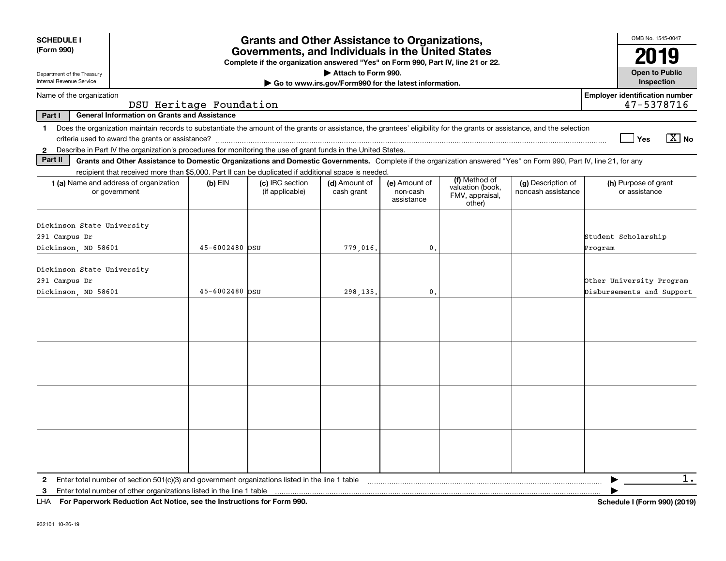| <b>SCHEDULE I</b><br>(Form 990)                                                                                                                                                                                                                                                                             |                         | <b>Grants and Other Assistance to Organizations,</b><br>Governments, and Individuals in the United States<br>Complete if the organization answered "Yes" on Form 990, Part IV, line 21 or 22. |                                                       |                                         |                                                                |                                          | OMB No. 1545-0047<br>2019                             |
|-------------------------------------------------------------------------------------------------------------------------------------------------------------------------------------------------------------------------------------------------------------------------------------------------------------|-------------------------|-----------------------------------------------------------------------------------------------------------------------------------------------------------------------------------------------|-------------------------------------------------------|-----------------------------------------|----------------------------------------------------------------|------------------------------------------|-------------------------------------------------------|
| Department of the Treasury                                                                                                                                                                                                                                                                                  |                         |                                                                                                                                                                                               | Attach to Form 990.                                   |                                         |                                                                |                                          | <b>Open to Public</b>                                 |
| Internal Revenue Service                                                                                                                                                                                                                                                                                    |                         |                                                                                                                                                                                               | Go to www.irs.gov/Form990 for the latest information. |                                         |                                                                |                                          | Inspection                                            |
| Name of the organization                                                                                                                                                                                                                                                                                    | DSU Heritage Foundation |                                                                                                                                                                                               |                                                       |                                         |                                                                |                                          | <b>Employer identification number</b><br>47-5378716   |
| <b>General Information on Grants and Assistance</b><br>Part I                                                                                                                                                                                                                                               |                         |                                                                                                                                                                                               |                                                       |                                         |                                                                |                                          |                                                       |
| Does the organization maintain records to substantiate the amount of the grants or assistance, the grantees' eligibility for the grants or assistance, and the selection<br>$\mathbf{1}$<br>2 Describe in Part IV the organization's procedures for monitoring the use of grant funds in the United States. |                         |                                                                                                                                                                                               |                                                       |                                         |                                                                |                                          | $\boxed{\text{X}}$ No<br>Yes                          |
| Part II<br>Grants and Other Assistance to Domestic Organizations and Domestic Governments. Complete if the organization answered "Yes" on Form 990, Part IV, line 21, for any                                                                                                                               |                         |                                                                                                                                                                                               |                                                       |                                         |                                                                |                                          |                                                       |
| recipient that received more than \$5,000. Part II can be duplicated if additional space is needed.<br>1 (a) Name and address of organization<br>or government                                                                                                                                              | $(b)$ EIN               | (c) IRC section<br>(if applicable)                                                                                                                                                            | (d) Amount of<br>cash grant                           | (e) Amount of<br>non-cash<br>assistance | (f) Method of<br>valuation (book,<br>FMV, appraisal,<br>other) | (g) Description of<br>noncash assistance | (h) Purpose of grant<br>or assistance                 |
| Dickinson State University<br>291 Campus Dr<br>Dickinson, ND 58601                                                                                                                                                                                                                                          | 45-6002480 DSU          |                                                                                                                                                                                               | 779,016.                                              | 0.                                      |                                                                |                                          | Student Scholarship<br>Program                        |
| Dickinson State University<br>291 Campus Dr<br>Dickinson, ND 58601                                                                                                                                                                                                                                          | $45 - 6002480$ DSU      |                                                                                                                                                                                               | 298,135.                                              | $\mathbf{0}$                            |                                                                |                                          | Other University Program<br>Disbursements and Support |
|                                                                                                                                                                                                                                                                                                             |                         |                                                                                                                                                                                               |                                                       |                                         |                                                                |                                          |                                                       |
|                                                                                                                                                                                                                                                                                                             |                         |                                                                                                                                                                                               |                                                       |                                         |                                                                |                                          |                                                       |
|                                                                                                                                                                                                                                                                                                             |                         |                                                                                                                                                                                               |                                                       |                                         |                                                                |                                          |                                                       |
|                                                                                                                                                                                                                                                                                                             |                         |                                                                                                                                                                                               |                                                       |                                         |                                                                |                                          |                                                       |
| Enter total number of section $501(c)(3)$ and government organizations listed in the line 1 table<br>$\mathbf{2}$<br>Enter total number of other organizations listed in the line 1 table<br>3                                                                                                              |                         |                                                                                                                                                                                               |                                                       |                                         |                                                                |                                          | 1.                                                    |

**For Paperwork Reduction Act Notice, see the Instructions for Form 990. Schedule I (Form 990) (2019)** LHA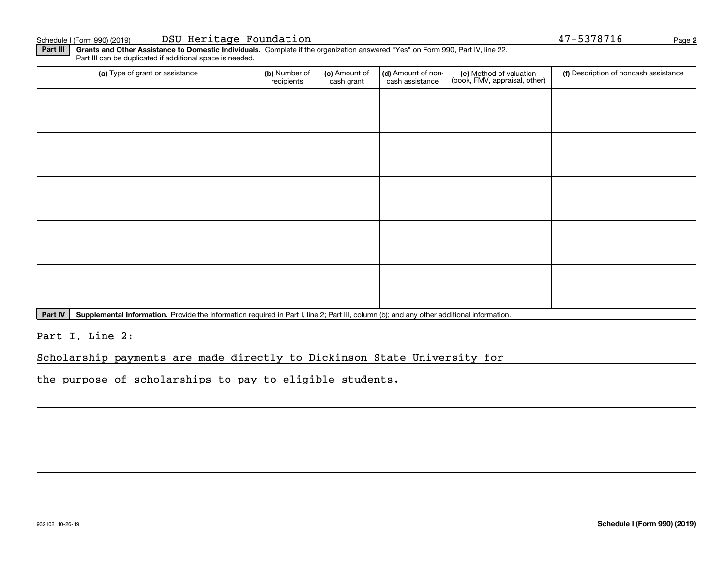Schedule I (Form 990) (2019) Page DSU Heritage Foundation 47-5378716

**2**

**Part III | Grants and Other Assistance to Domestic Individuals. Complete if the organization answered "Yes" on Form 990, Part IV, line 22.** Part III can be duplicated if additional space is needed.

| (a) Type of grant or assistance | (b) Number of<br>recipients | (c) Amount of<br>cash grant | (d) Amount of non-<br>cash assistance | (e) Method of valuation<br>(book, FMV, appraisal, other) | (f) Description of noncash assistance |
|---------------------------------|-----------------------------|-----------------------------|---------------------------------------|----------------------------------------------------------|---------------------------------------|
|                                 |                             |                             |                                       |                                                          |                                       |
|                                 |                             |                             |                                       |                                                          |                                       |
|                                 |                             |                             |                                       |                                                          |                                       |
|                                 |                             |                             |                                       |                                                          |                                       |
|                                 |                             |                             |                                       |                                                          |                                       |
|                                 |                             |                             |                                       |                                                          |                                       |
|                                 |                             |                             |                                       |                                                          |                                       |
|                                 |                             |                             |                                       |                                                          |                                       |
|                                 |                             |                             |                                       |                                                          |                                       |
|                                 |                             |                             |                                       |                                                          |                                       |

Part IV | Supplemental Information. Provide the information required in Part I, line 2; Part III, column (b); and any other additional information.

Part I, Line 2:

Scholarship payments are made directly to Dickinson State University for

the purpose of scholarships to pay to eligible students.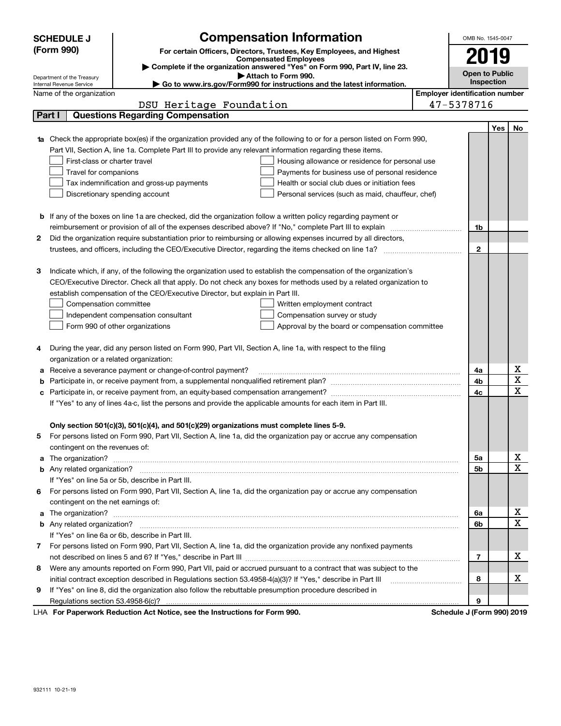|   | <b>SCHEDULE J</b>                       | <b>Compensation Information</b>                                                                                                                                                                                                          | OMB No. 1545-0047                     |            |              |
|---|-----------------------------------------|------------------------------------------------------------------------------------------------------------------------------------------------------------------------------------------------------------------------------------------|---------------------------------------|------------|--------------|
|   | (Form 990)                              | For certain Officers, Directors, Trustees, Key Employees, and Highest                                                                                                                                                                    |                                       |            |              |
|   |                                         | <b>Compensated Employees</b>                                                                                                                                                                                                             | 2019                                  |            |              |
|   | Department of the Treasury              | Complete if the organization answered "Yes" on Form 990, Part IV, line 23.<br>Attach to Form 990.                                                                                                                                        | <b>Open to Public</b>                 |            |              |
|   | Internal Revenue Service                | ► Go to www.irs.gov/Form990 for instructions and the latest information.                                                                                                                                                                 |                                       | Inspection |              |
|   | Name of the organization                |                                                                                                                                                                                                                                          | <b>Employer identification number</b> |            |              |
|   |                                         | DSU Heritage Foundation                                                                                                                                                                                                                  | 47-5378716                            |            |              |
|   | Part I                                  | <b>Questions Regarding Compensation</b>                                                                                                                                                                                                  |                                       |            |              |
|   |                                         |                                                                                                                                                                                                                                          |                                       | Yes        | No.          |
|   |                                         | <b>1a</b> Check the appropriate box(es) if the organization provided any of the following to or for a person listed on Form 990,                                                                                                         |                                       |            |              |
|   |                                         | Part VII, Section A, line 1a. Complete Part III to provide any relevant information regarding these items.                                                                                                                               |                                       |            |              |
|   | First-class or charter travel           | Housing allowance or residence for personal use                                                                                                                                                                                          |                                       |            |              |
|   | Travel for companions                   | Payments for business use of personal residence                                                                                                                                                                                          |                                       |            |              |
|   |                                         | Health or social club dues or initiation fees<br>Tax indemnification and gross-up payments                                                                                                                                               |                                       |            |              |
|   |                                         | Discretionary spending account<br>Personal services (such as maid, chauffeur, chef)                                                                                                                                                      |                                       |            |              |
|   |                                         |                                                                                                                                                                                                                                          |                                       |            |              |
|   |                                         | <b>b</b> If any of the boxes on line 1a are checked, did the organization follow a written policy regarding payment or                                                                                                                   |                                       |            |              |
|   |                                         |                                                                                                                                                                                                                                          | 1b                                    |            |              |
| 2 |                                         | Did the organization require substantiation prior to reimbursing or allowing expenses incurred by all directors,                                                                                                                         |                                       |            |              |
|   |                                         |                                                                                                                                                                                                                                          | $\mathbf{2}$                          |            |              |
| 3 |                                         |                                                                                                                                                                                                                                          |                                       |            |              |
|   |                                         | Indicate which, if any, of the following the organization used to establish the compensation of the organization's<br>CEO/Executive Director. Check all that apply. Do not check any boxes for methods used by a related organization to |                                       |            |              |
|   |                                         | establish compensation of the CEO/Executive Director, but explain in Part III.                                                                                                                                                           |                                       |            |              |
|   |                                         |                                                                                                                                                                                                                                          |                                       |            |              |
|   | Compensation committee                  | Written employment contract<br>Compensation survey or study                                                                                                                                                                              |                                       |            |              |
|   |                                         | Independent compensation consultant<br>Form 990 of other organizations<br>Approval by the board or compensation committee                                                                                                                |                                       |            |              |
|   |                                         |                                                                                                                                                                                                                                          |                                       |            |              |
| 4 |                                         | During the year, did any person listed on Form 990, Part VII, Section A, line 1a, with respect to the filing                                                                                                                             |                                       |            |              |
|   | organization or a related organization: |                                                                                                                                                                                                                                          |                                       |            |              |
| а |                                         | Receive a severance payment or change-of-control payment?                                                                                                                                                                                | 4a                                    |            | х            |
| b |                                         |                                                                                                                                                                                                                                          | 4b                                    |            | X            |
| с |                                         |                                                                                                                                                                                                                                          | 4c                                    |            | $\mathbf x$  |
|   |                                         | If "Yes" to any of lines 4a-c, list the persons and provide the applicable amounts for each item in Part III.                                                                                                                            |                                       |            |              |
|   |                                         |                                                                                                                                                                                                                                          |                                       |            |              |
|   |                                         | Only section 501(c)(3), 501(c)(4), and 501(c)(29) organizations must complete lines 5-9.                                                                                                                                                 |                                       |            |              |
|   |                                         | For persons listed on Form 990, Part VII, Section A, line 1a, did the organization pay or accrue any compensation                                                                                                                        |                                       |            |              |
|   | contingent on the revenues of:          |                                                                                                                                                                                                                                          |                                       |            |              |
|   |                                         | a The organization? <b>Constitution</b> and the organization?                                                                                                                                                                            | 5a                                    |            | х            |
|   |                                         |                                                                                                                                                                                                                                          | 5b                                    |            | $\mathbf{x}$ |
|   |                                         | If "Yes" on line 5a or 5b, describe in Part III.                                                                                                                                                                                         |                                       |            |              |
| 6 |                                         | For persons listed on Form 990, Part VII, Section A, line 1a, did the organization pay or accrue any compensation                                                                                                                        |                                       |            |              |
|   | contingent on the net earnings of:      |                                                                                                                                                                                                                                          |                                       |            |              |
| a |                                         |                                                                                                                                                                                                                                          | 6a                                    |            | х            |
|   |                                         |                                                                                                                                                                                                                                          | 6b                                    |            | $\mathbf X$  |
|   |                                         | If "Yes" on line 6a or 6b, describe in Part III.                                                                                                                                                                                         |                                       |            |              |
|   |                                         | 7 For persons listed on Form 990, Part VII, Section A, line 1a, did the organization provide any nonfixed payments                                                                                                                       |                                       |            |              |
|   |                                         |                                                                                                                                                                                                                                          | 7                                     |            | х            |
| 8 |                                         | Were any amounts reported on Form 990, Part VII, paid or accrued pursuant to a contract that was subject to the                                                                                                                          |                                       |            |              |
|   |                                         | initial contract exception described in Regulations section 53.4958-4(a)(3)? If "Yes," describe in Part III                                                                                                                              | 8                                     |            | х            |
| 9 |                                         | If "Yes" on line 8, did the organization also follow the rebuttable presumption procedure described in                                                                                                                                   |                                       |            |              |
|   |                                         |                                                                                                                                                                                                                                          | 9                                     |            |              |
|   |                                         | usuli Deduction Act Notice, nee the Instructions for Form 000                                                                                                                                                                            | Calcadota, LIPagni                    |            | 00010040     |

LHA For Paperwork Reduction Act Notice, see the Instructions for Form 990. Schedule J (Form 990) 2019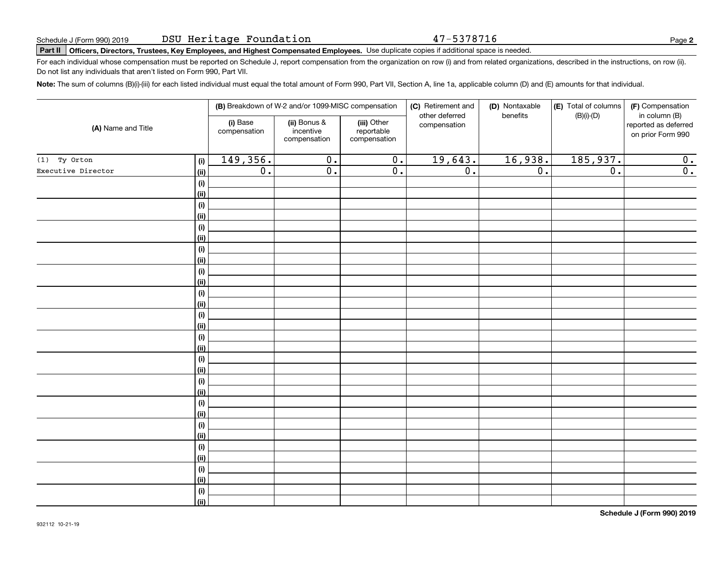47-5378716

**2**

# **Part II Officers, Directors, Trustees, Key Employees, and Highest Compensated Employees.**  Schedule J (Form 990) 2019 Page Use duplicate copies if additional space is needed.

For each individual whose compensation must be reported on Schedule J, report compensation from the organization on row (i) and from related organizations, described in the instructions, on row (ii). Do not list any individuals that aren't listed on Form 990, Part VII.

**Note:**  The sum of columns (B)(i)-(iii) for each listed individual must equal the total amount of Form 990, Part VII, Section A, line 1a, applicable column (D) and (E) amounts for that individual.

|                    |             |                          | (B) Breakdown of W-2 and/or 1099-MISC compensation |                                           | (C) Retirement and<br>other deferred | (D) Nontaxable<br>benefits | (E) Total of columns | (F) Compensation<br>in column (B)         |
|--------------------|-------------|--------------------------|----------------------------------------------------|-------------------------------------------|--------------------------------------|----------------------------|----------------------|-------------------------------------------|
| (A) Name and Title |             | (i) Base<br>compensation | (ii) Bonus &<br>incentive<br>compensation          | (iii) Other<br>reportable<br>compensation | compensation                         |                            | $(B)(i)-(D)$         | reported as deferred<br>on prior Form 990 |
| $(1)$ Ty Orton     | (i)         | 149,356.                 | $\overline{0}$ .                                   | $\overline{0}$ .                          | 19,643.                              | 16,938.                    | 185,937.             | 0.                                        |
| Executive Director | (ii)        | $\overline{0}$ .         | $\overline{0}$ .                                   | $\overline{0}$ .                          | $\overline{0}$ .                     | $\overline{0}$ .           | $\overline{0}$ .     | $\overline{0}$ .                          |
|                    | (i)         |                          |                                                    |                                           |                                      |                            |                      |                                           |
|                    | (ii)        |                          |                                                    |                                           |                                      |                            |                      |                                           |
|                    | $(\sf{i})$  |                          |                                                    |                                           |                                      |                            |                      |                                           |
|                    | (ii)        |                          |                                                    |                                           |                                      |                            |                      |                                           |
|                    | $(\sf{i})$  |                          |                                                    |                                           |                                      |                            |                      |                                           |
|                    | (ii)        |                          |                                                    |                                           |                                      |                            |                      |                                           |
|                    | $(\sf{i})$  |                          |                                                    |                                           |                                      |                            |                      |                                           |
|                    | (ii)        |                          |                                                    |                                           |                                      |                            |                      |                                           |
|                    | $(\sf{i})$  |                          |                                                    |                                           |                                      |                            |                      |                                           |
|                    | (ii)        |                          |                                                    |                                           |                                      |                            |                      |                                           |
|                    | $(\sf{i})$  |                          |                                                    |                                           |                                      |                            |                      |                                           |
|                    | (ii)<br>(i) |                          |                                                    |                                           |                                      |                            |                      |                                           |
|                    | (ii)        |                          |                                                    |                                           |                                      |                            |                      |                                           |
|                    | (i)         |                          |                                                    |                                           |                                      |                            |                      |                                           |
|                    | (ii)        |                          |                                                    |                                           |                                      |                            |                      |                                           |
|                    | (i)         |                          |                                                    |                                           |                                      |                            |                      |                                           |
|                    | (ii)        |                          |                                                    |                                           |                                      |                            |                      |                                           |
|                    | (i)         |                          |                                                    |                                           |                                      |                            |                      |                                           |
|                    | (ii)        |                          |                                                    |                                           |                                      |                            |                      |                                           |
|                    | (i)         |                          |                                                    |                                           |                                      |                            |                      |                                           |
|                    | (ii)        |                          |                                                    |                                           |                                      |                            |                      |                                           |
|                    | (i)         |                          |                                                    |                                           |                                      |                            |                      |                                           |
|                    | (ii)        |                          |                                                    |                                           |                                      |                            |                      |                                           |
|                    | (i)         |                          |                                                    |                                           |                                      |                            |                      |                                           |
|                    | (ii)        |                          |                                                    |                                           |                                      |                            |                      |                                           |
|                    | (i)         |                          |                                                    |                                           |                                      |                            |                      |                                           |
|                    | (ii)        |                          |                                                    |                                           |                                      |                            |                      |                                           |
|                    | $(\sf{i})$  |                          |                                                    |                                           |                                      |                            |                      |                                           |
|                    | (ii)        |                          |                                                    |                                           |                                      |                            |                      |                                           |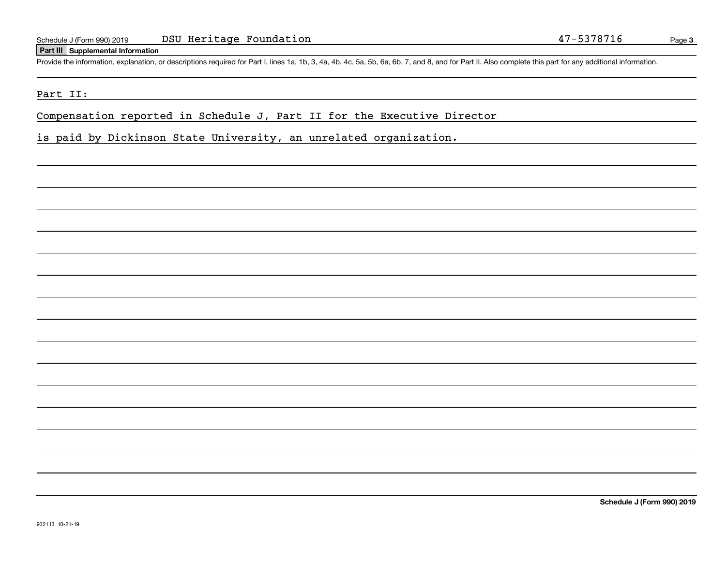#### **Part III Supplemental Information**

Schedule J (Form 990) 2019 DSU Heritage Foundation<br>
Part III Supplemental Information<br>
Provide the information, explanation, or descriptions required for Part I, lines 1a, 1b, 3, 4a, 4b, 4c, 5a, 5b, 6a, 6b, 7, and 8, and f

#### Part II:

Compensation reported in Schedule J, Part II for the Executive Director

is paid by Dickinson State University, an unrelated organization.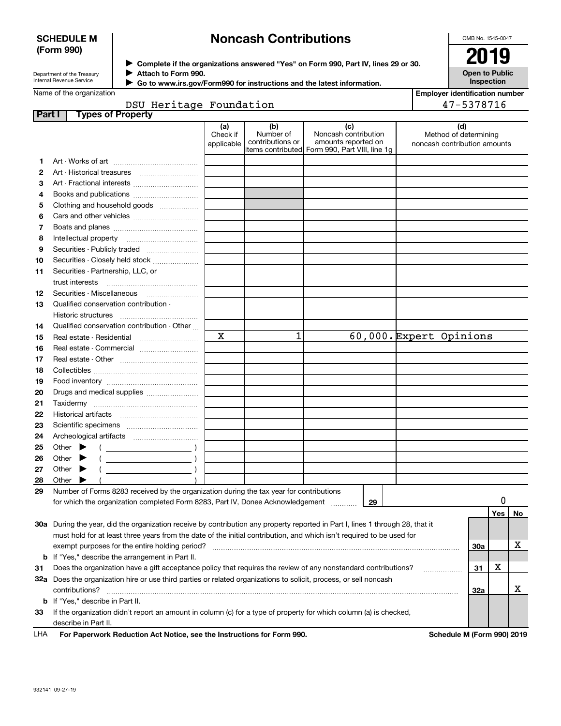### **SCHEDULE M (Form 990)**

# **Noncash Contributions**

OMB No. 1545-0047

| Department of the Treasury      |  |
|---------------------------------|--|
| <b>Internal Revenue Service</b> |  |

**Complete if the organizations answered "Yes" on Form 990, Part IV, lines 29 or 30.** <sup>J</sup>**2019 Attach to Form 990.** J

**Open to Public Inspection**

**Employer identification number**

| Name of the organization |  |
|--------------------------|--|

 $\blacktriangleright$ 

 **Go to www.irs.gov/Form990 for instructions and the latest information.**

|        | DSU Heritage Foundation                                                                                                                                                                                                                                                                                                                                                            |                               |                                      |                                                                                                       | 47-5378716                                                   |
|--------|------------------------------------------------------------------------------------------------------------------------------------------------------------------------------------------------------------------------------------------------------------------------------------------------------------------------------------------------------------------------------------|-------------------------------|--------------------------------------|-------------------------------------------------------------------------------------------------------|--------------------------------------------------------------|
| Part I | <b>Types of Property</b>                                                                                                                                                                                                                                                                                                                                                           |                               |                                      |                                                                                                       |                                                              |
|        |                                                                                                                                                                                                                                                                                                                                                                                    | (a)<br>Check if<br>applicable | (b)<br>Number of<br>contributions or | (c)<br>Noncash contribution<br>amounts reported on<br>litems contributed Form 990, Part VIII, line 1g | (d)<br>Method of determining<br>noncash contribution amounts |
| 1      |                                                                                                                                                                                                                                                                                                                                                                                    |                               |                                      |                                                                                                       |                                                              |
| 2      |                                                                                                                                                                                                                                                                                                                                                                                    |                               |                                      |                                                                                                       |                                                              |
| з      |                                                                                                                                                                                                                                                                                                                                                                                    |                               |                                      |                                                                                                       |                                                              |
| 4      |                                                                                                                                                                                                                                                                                                                                                                                    |                               |                                      |                                                                                                       |                                                              |
| 5      | Clothing and household goods                                                                                                                                                                                                                                                                                                                                                       |                               |                                      |                                                                                                       |                                                              |
| 6      |                                                                                                                                                                                                                                                                                                                                                                                    |                               |                                      |                                                                                                       |                                                              |
| 7      |                                                                                                                                                                                                                                                                                                                                                                                    |                               |                                      |                                                                                                       |                                                              |
| 8      |                                                                                                                                                                                                                                                                                                                                                                                    |                               |                                      |                                                                                                       |                                                              |
| 9      |                                                                                                                                                                                                                                                                                                                                                                                    |                               |                                      |                                                                                                       |                                                              |
| 10     | Securities - Closely held stock                                                                                                                                                                                                                                                                                                                                                    |                               |                                      |                                                                                                       |                                                              |
| 11     | Securities - Partnership, LLC, or                                                                                                                                                                                                                                                                                                                                                  |                               |                                      |                                                                                                       |                                                              |
|        | trust interests                                                                                                                                                                                                                                                                                                                                                                    |                               |                                      |                                                                                                       |                                                              |
| 12     |                                                                                                                                                                                                                                                                                                                                                                                    |                               |                                      |                                                                                                       |                                                              |
| 13     | Qualified conservation contribution -                                                                                                                                                                                                                                                                                                                                              |                               |                                      |                                                                                                       |                                                              |
|        | Historic structures                                                                                                                                                                                                                                                                                                                                                                |                               |                                      |                                                                                                       |                                                              |
| 14     | Qualified conservation contribution - Other                                                                                                                                                                                                                                                                                                                                        |                               |                                      |                                                                                                       |                                                              |
| 15     |                                                                                                                                                                                                                                                                                                                                                                                    | X                             | 1                                    |                                                                                                       | 60,000. Expert Opinions                                      |
| 16     |                                                                                                                                                                                                                                                                                                                                                                                    |                               |                                      |                                                                                                       |                                                              |
| 17     |                                                                                                                                                                                                                                                                                                                                                                                    |                               |                                      |                                                                                                       |                                                              |
| 18     |                                                                                                                                                                                                                                                                                                                                                                                    |                               |                                      |                                                                                                       |                                                              |
| 19     |                                                                                                                                                                                                                                                                                                                                                                                    |                               |                                      |                                                                                                       |                                                              |
| 20     | Drugs and medical supplies                                                                                                                                                                                                                                                                                                                                                         |                               |                                      |                                                                                                       |                                                              |
| 21     |                                                                                                                                                                                                                                                                                                                                                                                    |                               |                                      |                                                                                                       |                                                              |
| 22     |                                                                                                                                                                                                                                                                                                                                                                                    |                               |                                      |                                                                                                       |                                                              |
| 23     |                                                                                                                                                                                                                                                                                                                                                                                    |                               |                                      |                                                                                                       |                                                              |
| 24     |                                                                                                                                                                                                                                                                                                                                                                                    |                               |                                      |                                                                                                       |                                                              |
| 25     | Other $\blacktriangleright$<br>$\left($ $\right)$                                                                                                                                                                                                                                                                                                                                  |                               |                                      |                                                                                                       |                                                              |
| 26     | $\begin{picture}(20,10) \put(0,0){\line(1,0){10}} \put(15,0){\line(1,0){10}} \put(15,0){\line(1,0){10}} \put(15,0){\line(1,0){10}} \put(15,0){\line(1,0){10}} \put(15,0){\line(1,0){10}} \put(15,0){\line(1,0){10}} \put(15,0){\line(1,0){10}} \put(15,0){\line(1,0){10}} \put(15,0){\line(1,0){10}} \put(15,0){\line(1,0){10}} \put(15,0){\line(1$<br>Other                       |                               |                                      |                                                                                                       |                                                              |
| 27     | $\begin{picture}(20,10) \put(0,0){\line(1,0){10}} \put(15,0){\line(1,0){10}} \put(15,0){\line(1,0){10}} \put(15,0){\line(1,0){10}} \put(15,0){\line(1,0){10}} \put(15,0){\line(1,0){10}} \put(15,0){\line(1,0){10}} \put(15,0){\line(1,0){10}} \put(15,0){\line(1,0){10}} \put(15,0){\line(1,0){10}} \put(15,0){\line(1,0){10}} \put(15,0){\line(1$<br>Other $\blacktriangleright$ |                               |                                      |                                                                                                       |                                                              |
| 28     | Other                                                                                                                                                                                                                                                                                                                                                                              |                               |                                      |                                                                                                       |                                                              |
| 29     | Number of Forms 8283 received by the organization during the tax year for contributions                                                                                                                                                                                                                                                                                            |                               |                                      |                                                                                                       |                                                              |
|        | for which the organization completed Form 8283, Part IV, Donee Acknowledgement                                                                                                                                                                                                                                                                                                     |                               |                                      | 29                                                                                                    | 0<br>Yes                                                     |
|        |                                                                                                                                                                                                                                                                                                                                                                                    |                               |                                      |                                                                                                       | No                                                           |
|        | 30a During the year, did the organization receive by contribution any property reported in Part I, lines 1 through 28, that it                                                                                                                                                                                                                                                     |                               |                                      |                                                                                                       |                                                              |
|        | must hold for at least three years from the date of the initial contribution, and which isn't required to be used for                                                                                                                                                                                                                                                              |                               |                                      |                                                                                                       | х                                                            |
|        | exempt purposes for the entire holding period?                                                                                                                                                                                                                                                                                                                                     |                               |                                      |                                                                                                       | 30a                                                          |
|        | <b>b</b> If "Yes," describe the arrangement in Part II.                                                                                                                                                                                                                                                                                                                            |                               |                                      |                                                                                                       | х                                                            |
| 31     | Does the organization have a gift acceptance policy that requires the review of any nonstandard contributions?                                                                                                                                                                                                                                                                     |                               |                                      |                                                                                                       | 31                                                           |
|        | 32a Does the organization hire or use third parties or related organizations to solicit, process, or sell noncash                                                                                                                                                                                                                                                                  |                               |                                      |                                                                                                       | х                                                            |
|        | contributions?                                                                                                                                                                                                                                                                                                                                                                     |                               |                                      |                                                                                                       | 32a                                                          |
|        | <b>b</b> If "Yes," describe in Part II.                                                                                                                                                                                                                                                                                                                                            |                               |                                      |                                                                                                       |                                                              |
| 33     | If the organization didn't report an amount in column (c) for a type of property for which column (a) is checked,                                                                                                                                                                                                                                                                  |                               |                                      |                                                                                                       |                                                              |
|        | describe in Part II.                                                                                                                                                                                                                                                                                                                                                               |                               |                                      |                                                                                                       |                                                              |
| LHA    | For Paperwork Reduction Act Notice, see the Instructions for Form 990.                                                                                                                                                                                                                                                                                                             |                               |                                      |                                                                                                       | Schedule M (Form 990) 2019                                   |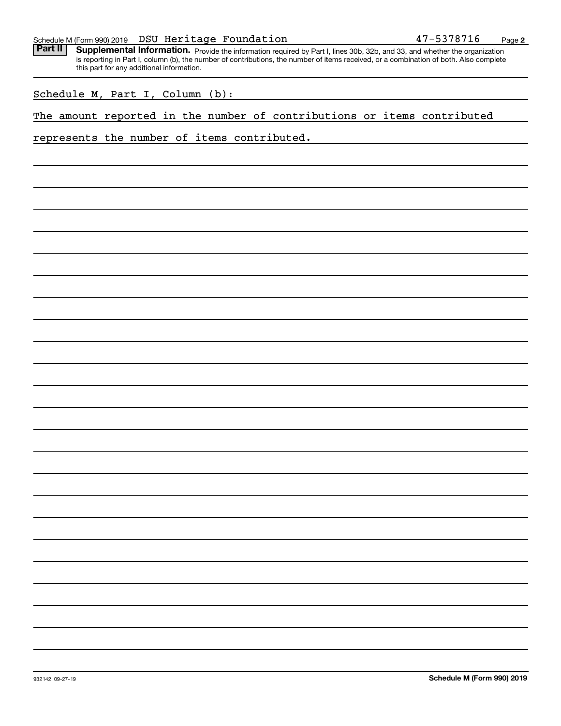| Part II |  | this part for any additional information. |  |  | Supplemental Information. Provide the information required by Part I, lines 30b, 32b, and 33, and whether the organization<br>is reporting in Part I, column (b), the number of contributions, the number of items received, or a combination of both. Also complete |  |  |
|---------|--|-------------------------------------------|--|--|----------------------------------------------------------------------------------------------------------------------------------------------------------------------------------------------------------------------------------------------------------------------|--|--|
|         |  | Schedule M, Part I, Column (b):           |  |  |                                                                                                                                                                                                                                                                      |  |  |
|         |  |                                           |  |  | The amount reported in the number of contributions or items contributed                                                                                                                                                                                              |  |  |
|         |  |                                           |  |  | represents the number of items contributed.                                                                                                                                                                                                                          |  |  |
|         |  |                                           |  |  |                                                                                                                                                                                                                                                                      |  |  |
|         |  |                                           |  |  |                                                                                                                                                                                                                                                                      |  |  |
|         |  |                                           |  |  |                                                                                                                                                                                                                                                                      |  |  |
|         |  |                                           |  |  |                                                                                                                                                                                                                                                                      |  |  |
|         |  |                                           |  |  |                                                                                                                                                                                                                                                                      |  |  |
|         |  |                                           |  |  |                                                                                                                                                                                                                                                                      |  |  |
|         |  |                                           |  |  |                                                                                                                                                                                                                                                                      |  |  |
|         |  |                                           |  |  |                                                                                                                                                                                                                                                                      |  |  |
|         |  |                                           |  |  |                                                                                                                                                                                                                                                                      |  |  |
|         |  |                                           |  |  |                                                                                                                                                                                                                                                                      |  |  |
|         |  |                                           |  |  |                                                                                                                                                                                                                                                                      |  |  |
|         |  |                                           |  |  |                                                                                                                                                                                                                                                                      |  |  |
|         |  |                                           |  |  |                                                                                                                                                                                                                                                                      |  |  |
|         |  |                                           |  |  |                                                                                                                                                                                                                                                                      |  |  |
|         |  |                                           |  |  |                                                                                                                                                                                                                                                                      |  |  |
|         |  |                                           |  |  |                                                                                                                                                                                                                                                                      |  |  |
|         |  |                                           |  |  |                                                                                                                                                                                                                                                                      |  |  |
|         |  |                                           |  |  |                                                                                                                                                                                                                                                                      |  |  |
|         |  |                                           |  |  |                                                                                                                                                                                                                                                                      |  |  |
|         |  |                                           |  |  |                                                                                                                                                                                                                                                                      |  |  |
|         |  |                                           |  |  |                                                                                                                                                                                                                                                                      |  |  |
|         |  |                                           |  |  |                                                                                                                                                                                                                                                                      |  |  |

Schedule M (Form 990) 2019 **DSU Heritage Foundation** 47-5378716 <sub>Page</sub>

**2**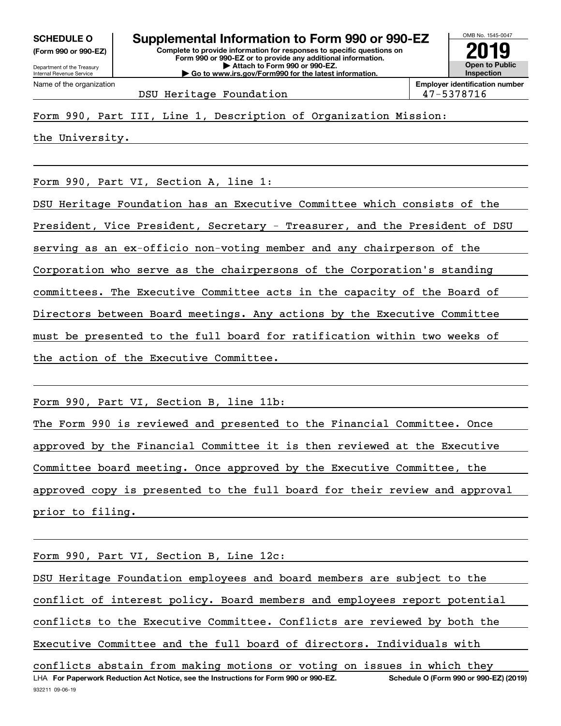**(Form 990 or 990-EZ)**

Department of the Treasury Internal Revenue Service Name of the organization

**Complete to provide information for responses to specific questions on Form 990 or 990-EZ or to provide any additional information. | Attach to Form 990 or 990-EZ. | Go to www.irs.gov/Form990 for the latest information. SCHEDULE O Supplemental Information to Form 990 or 990-EZ**



DSU Heritage Foundation 1980 1980 1980 1980 1981

Form 990, Part III, Line 1, Description of Organization Mission:

the University.

Form 990, Part VI, Section A, line 1:

DSU Heritage Foundation has an Executive Committee which consists of the

President, Vice President, Secretary - Treasurer, and the President of DSU

serving as an ex-officio non-voting member and any chairperson of the

Corporation who serve as the chairpersons of the Corporation's standing

committees. The Executive Committee acts in the capacity of the Board of

Directors between Board meetings. Any actions by the Executive Committee

must be presented to the full board for ratification within two weeks of

the action of the Executive Committee.

Form 990, Part VI, Section B, line 11b:

The Form 990 is reviewed and presented to the Financial Committee. Once approved by the Financial Committee it is then reviewed at the Executive Committee board meeting. Once approved by the Executive Committee, the approved copy is presented to the full board for their review and approval prior to filing.

Form 990, Part VI, Section B, Line 12c:

LHA For Paperwork Reduction Act Notice, see the Instructions for Form 990 or 990-EZ. Schedule O (Form 990 or 990-EZ) (2019) DSU Heritage Foundation employees and board members are subject to the conflict of interest policy. Board members and employees report potential conflicts to the Executive Committee. Conflicts are reviewed by both the Executive Committee and the full board of directors. Individuals with conflicts abstain from making motions or voting on issues in which they